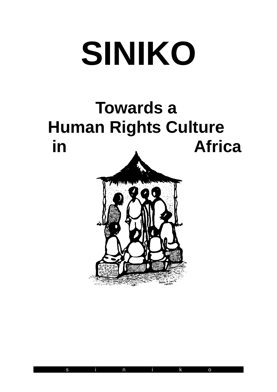# **SINIKO**

## **Towards a Human Rights Culture in Africa**

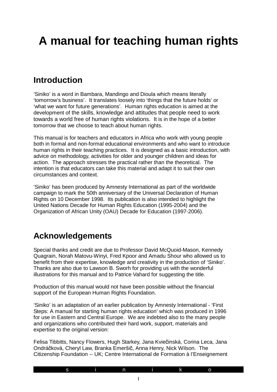### **A manual for teaching human rights**

#### **Introduction**

'Siniko' is a word in Bambara, Mandingo and Dioula which means literally 'tomorrow's business'. It translates loosely into 'things that the future holds' or 'what we want for future generations'. Human rights education is aimed at the development of the skills, knowledge and attitudes that people need to work towards a world free of human rights violations. It is in the hope of a better tomorrow that we choose to teach about human rights.

This manual is for teachers and educators in Africa who work with young people both in formal and non-formal educational environments and who want to introduce human rights in their teaching practices. It is designed as a basic introduction, with advice on methodology, activities for older and younger children and ideas for action. The approach stresses the practical rather than the theoretical. The intention is that educators can take this material and adapt it to suit their own circumstances and context.

'Siniko' has been produced by Amnesty International as part of the worldwide campaign to mark the 50th anniversary of the Universal Declaration of Human Rights on 10 December 1998. Its publication is also intended to highlight the United Nations Decade for Human Rights Education (1995-2004) and the Organization of African Unity (OAU) Decade for Education (1997-2006).

#### **Acknowledgements**

Special thanks and credit are due to Professor David McQuoid-Mason, Kennedy Quagrain, Norah Matovu-Winyi, Fred Kpoor and Amadu Shour who allowed us to benefit from their expertise, knowledge and creativity in the production of 'Siniko'. Thanks are also due to Lawson B. Sworh for providing us with the wonderful illustrations for this manual and to Patrice Vahard for suggesting the title.

Production of this manual would not have been possible without the financial support of the European Human Rights Foundation.

'Siniko' is an adaptation of an earlier publication by Amnesty International - 'First Steps: A manual for starting human rights education' which was produced in 1996 for use in Eastern and Central Europe. We are indebted also to the many people and organizations who contributed their hard work, support, materials and expertise to the original version:

Felisa Tibbitts, Nancy Flowers, Hugh Starkey, Jana Kviečinská, Corina Leca, Jana Ondráčková, Cheryl Law, Branka Emeršič, Anna Henry, Nick Wilson. The Citizenship Foundation -- UK; Centre International de Formation à l'Enseignement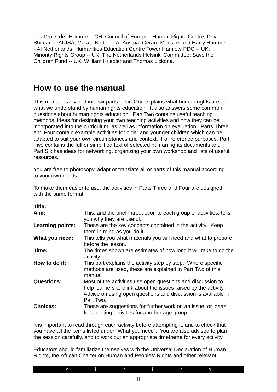des Droits de l'Homme -- CH; Council of Europe - Human Rights Centre; David Shiman -- AIUSA; Gerald Kador -- AI Austria; Gerard Mensink and Harry Hummel - - AI Netherlands; Humanities Education Centre Tower Hamlets PDC -- UK; Minority Rights Group -- UK; The Netherlands Helsinki Committee; Save the Children Fund -- UK; William Kriedler and Thomas Lickona.

#### **How to use the manual**

This manual is divided into six parts. Part One explains what human rights are and what we understand by human rights education. It also answers some common questions about human rights education. Part Two contains useful teaching methods, ideas for designing your own teaching activities and how they can be incorporated into the curriculum, as well as information on evaluation. Parts Three and Four contain example activities for older and younger children which can be adapted to suit your own circumstances and context. For reference purposes, Part Five contains the full or simplified text of selected human rights documents and Part Six has ideas for networking, organizing your own workshop and lists of useful resources.

You are free to photocopy, adapt or translate all or parts of this manual according to your own needs.

| Title:            |                                                                                                                                                                                                              |
|-------------------|--------------------------------------------------------------------------------------------------------------------------------------------------------------------------------------------------------------|
| Aim:              | This, and the brief introduction to each group of activities, tells<br>you why they are useful.                                                                                                              |
| Learning points:  | These are the key concepts contained in the activity. Keep<br>them in mind as you do it.                                                                                                                     |
| What you need:    | This tells you what materials you will need and what to prepare<br>before the lesson.                                                                                                                        |
| Time:             | The times shown are estimates of how long it will take to do the<br>activity.                                                                                                                                |
| How to do it:     | This part explains the activity step by step. Where specific<br>methods are used, these are explained in Part Two of this<br>manual.                                                                         |
| <b>Questions:</b> | Most of the activities use open questions and discussion to<br>help learners to think about the issues raised by the activity.<br>Advice on using open questions and discussion is available in<br>Part Two. |
| <b>Choices:</b>   | These are suggestions for further work on an issue, or ideas<br>for adapting activities for another age group.                                                                                               |

To make them easier to use, the activities in Parts Three and Four are designed with the same format.

It is important to read through each activity before attempting it, and to check that you have all the items listed under "What you need". You are also advised to plan the session carefully, and to work out an appropriate timeframe for every activity.

Educators should familiarize themselves with the Universal Declaration of Human Rights, the African Charter on Human and Peoples' Rights and other relevant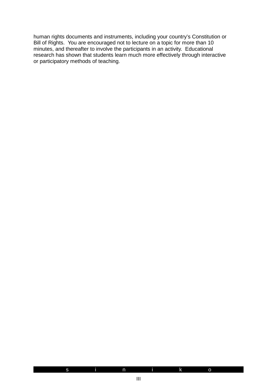human rights documents and instruments, including your country's Constitution or Bill of Rights. You are encouraged not to lecture on a topic for more than 10 minutes, and thereafter to involve the participants in an activity. Educational research has shown that students learn much more effectively through interactive or participatory methods of teaching.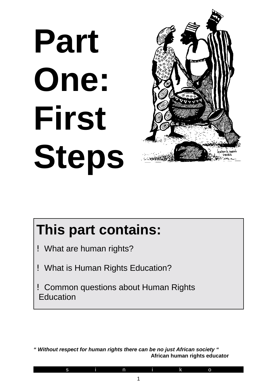# **Part One: First Steps**



## **This part contains:**

- ! What are human rights?
- ! What is Human Rights Education?
- ! Common questions about Human Rights Education

*" Without respect for human rights there can be no just African society "* **African human rights educator**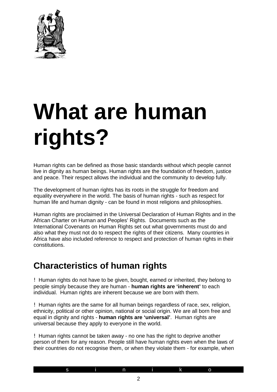

## **What are human rights?**

Human rights can be defined as those basic standards without which people cannot live in dignity as human beings. Human rights are the foundation of freedom, justice and peace. Their respect allows the individual and the community to develop fully.

The development of human rights has its roots in the struggle for freedom and equality everywhere in the world. The basis of human rights - such as respect for human life and human dignity - can be found in most religions and philosophies.

Human rights are proclaimed in the Universal Declaration of Human Rights and in the African Charter on Human and Peoples' Rights. Documents such as the International Covenants on Human Rights set out what governments must do and also what they must not do to respect the rights of their citizens. Many countries in Africa have also included reference to respect and protection of human rights in their constitutions.

#### **Characteristics of human rights**

! Human rights do not have to be given, bought, earned or inherited, they belong to people simply because they are human - **human rights are 'inherent'** to each individual. Human rights are inherent because we are born with them.

! Human rights are the same for all human beings regardless of race, sex, religion, ethnicity, political or other opinion, national or social origin. We are all born free and equal in dignity and rights - **human rights are 'universal'**. Human rights are universal because they apply to everyone in the world.

! Human rights cannot be taken away - no one has the right to deprive another person of them for any reason. People still have human rights even when the laws of their countries do not recognise them, or when they violate them - for example, when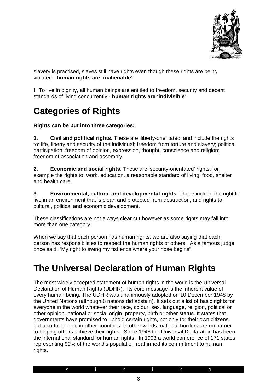

slavery is practised, slaves still have rights even though these rights are being violated - **human rights are 'inalienable'**.

! To live in dignity, all human beings are entitled to freedom, security and decent standards of living concurrently - **human rights are 'indivisible'**.

#### **Categories of Rights**

**Rights can be put into three categories:**

**1. Civil and political rights**. These are 'liberty-orientated' and include the rights to: life, liberty and security of the individual; freedom from torture and slavery; political participation; freedom of opinion, expression, thought, conscience and religion; freedom of association and assembly.

**2. Economic and social rights**. These are 'security-orientated' rights, for example the rights to: work, education, a reasonable standard of living, food, shelter and health care.

**3. Environmental, cultural and developmental rights**. These include the right to live in an environment that is clean and protected from destruction, and rights to cultural, political and economic development.

These classifications are not always clear cut however as some rights may fall into more than one category.

When we say that each person has human rights, we are also saying that each person has responsibilities to respect the human rights of others. As a famous judge once said: "My right to swing my fist ends where your nose begins".

#### **The Universal Declaration of Human Rights**

The most widely accepted statement of human rights in the world is the Universal Declaration of Human Rights (UDHR). Its core message is the inherent value of every human being. The UDHR was unanimously adopted on 10 December 1948 by the United Nations (although 8 nations did abstain). It sets out a list of basic rights for everyone in the world whatever their race, colour, sex, language, religion, political or other opinion, national or social origin, property, birth or other status. It states that governments have promised to uphold certain rights, not only for their own citizens, but also for people in other countries. In other words, national borders are no barrier to helping others achieve their rights. Since 1948 the Universal Declaration has been the international standard for human rights. In 1993 a world conference of 171 states representing 99% of the world's population reaffirmed its commitment to human rights.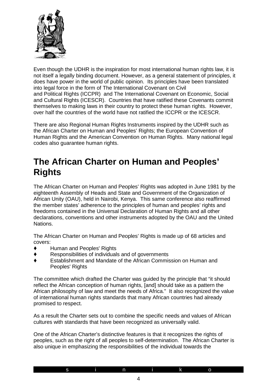

Even though the UDHR is the inspiration for most international human rights law, it is not itself a legally binding document. However, as a general statement of principles, it does have power in the world of public opinion. Its principles have been translated into legal force in the form of The International Covenant on Civil and Political Rights (ICCPR) and The International Covenant on Economic, Social and Cultural Rights (ICESCR). Countries that have ratified these Covenants commit themselves to making laws in their country to protect these human rights. However, over half the countries of the world have not ratified the ICCPR or the ICESCR.

There are also Regional Human Rights Instruments inspired by the UDHR such as the African Charter on Human and Peoples' Rights; the European Convention of Human Rights and the American Convention on Human Rights. Many national legal codes also guarantee human rights.

#### **The African Charter on Human and Peoples' Rights**

The African Charter on Human and Peoples' Rights was adopted in June 1981 by the eighteenth Assembly of Heads and State and Government of the Organization of African Unity (OAU), held in Nairobi, Kenya. This same conference also reaffirmed the member states' adherence to the principles of human and peoples' rights and freedoms contained in the Universal Declaration of Human Rights and all other declarations, conventions and other instruments adopted by the OAU and the United Nations.

The African Charter on Human and Peoples' Rights is made up of 68 articles and covers:

- Human and Peoples' Rights
- Responsibilities of individuals and of governments
- Establishment and Mandate of the African Commission on Human and Peoples' Rights

The committee which drafted the Charter was guided by the principle that "it should reflect the African conception of human rights, [and] should take as a pattern the African philosophy of law and meet the needs of Africa." It also recognized the value of international human rights standards that many African countries had already promised to respect.

As a result the Charter sets out to combine the specific needs and values of African cultures with standards that have been recognized as universally valid.

One of the African Charter's distinctive features is that it recognizes the rights of peoples, such as the right of all peoples to self-determination. The African Charter is also unique in emphasizing the responsibilities of the individual towards the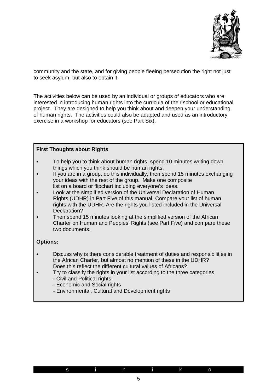

community and the state, and for giving people fleeing persecution the right not just to seek asylum, but also to obtain it.

The activities below can be used by an individual or groups of educators who are interested in introducing human rights into the curricula of their school or educational project. They are designed to help you think about and deepen your understanding of human rights. The activities could also be adapted and used as an introductory exercise in a workshop for educators (see Part Six).

#### **First Thoughts about Rights**

- - To help you to think about human rights, spend 10 minutes writing down things which you think should be human rights.
- - If you are in a group, do this individually, then spend 15 minutes exchanging your ideas with the rest of the group. Make one composite list on a board or flipchart including everyone's ideas.
- - Look at the simplified version of the Universal Declaration of Human Rights (UDHR) in Part Five of this manual. Compare your list of human rights with the UDHR. Are the rights you listed included in the Universal Declaration?
- - Then spend 15 minutes looking at the simplified version of the African Charter on Human and Peoples' Rights (see Part Five) and compare these two documents.

#### **Options:**

- - Discuss why is there considerable treatment of duties and responsibilities in the African Charter, but almost no mention of these in the UDHR? Does this reflect the different cultural values of Africans?
- - Try to classify the rights in your list according to the three categories
	- Civil and Political rights
	- Economic and Social rights
	- Environmental, Cultural and Development rights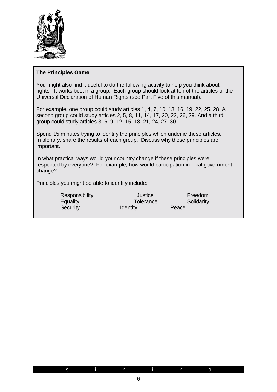

#### **The Principles Game**

You might also find it useful to do the following activity to help you think about rights. It works best in a group. Each group should look at ten of the articles of the Universal Declaration of Human Rights (see Part Five of this manual).

For example, one group could study articles 1, 4, 7, 10, 13, 16, 19, 22, 25, 28. A second group could study articles 2, 5, 8, 11, 14, 17, 20, 23, 26, 29. And a third group could study articles 3, 6, 9, 12, 15, 18, 21, 24, 27, 30.

Spend 15 minutes trying to identify the principles which underlie these articles. In plenary, share the results of each group. Discuss why these principles are important.

In what practical ways would your country change if these principles were respected by everyone? For example, how would participation in local government change?

Principles you might be able to identify include:

| <b>Responsibility</b> | Justice          | Freedom    |
|-----------------------|------------------|------------|
| Equality              | <b>Tolerance</b> | Solidarity |
| Security              | <b>Identity</b>  | Peace      |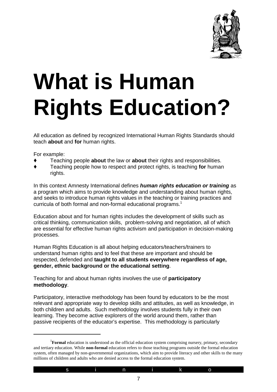

## **What is Human Rights Education?**

All education as defined by recognized International Human Rights Standards should teach **about** and **for** human rights.

For example:

- Teaching people **about** the law or **about** their rights and responsibilities.
- Teaching people how to respect and protect rights, is teaching **for** human rights.

In this context Amnesty International defines *human rights education or training* as a program which aims to provide knowledge and understanding about human rights, and seeks to introduce human rights values in the teaching or training practices and curricula of both formal and non-formal educational programs.<sup>1</sup>

Education about and for human rights includes the development of skills such as critical thinking, communication skills, problem-solving and negotiation, all of which are essential for effective human rights activism and participation in decision-making processes.

Human Rights Education is all about helping educators/teachers/trainers to understand human rights and to feel that these are important and should be respected, defended and **taught to all students everywhere regardless of age, gender, ethnic background or the educational setting**.

Teaching for and about human rights involves the use of **participatory methodology**.

Participatory, interactive methodology has been found by educators to be the most relevant and appropriate way to develop skills and attitudes, as well as knowledge, in both children and adults. Such methodology involves students fully in their own learning. They become active explorers of the world around them, rather than passive recipients of the educator's expertise. This methodology is particularly

<sup>&</sup>lt;sup>1</sup>**Formal** education is understood as the official education system comprising nursery, primary, secondary and tertiary education. While **non-formal** education refers to those teaching programs outside the formal education system, often managed by non-governmental organizations, which aim to provide literacy and other skills to the many millions of children and adults who are denied access to the formal education system.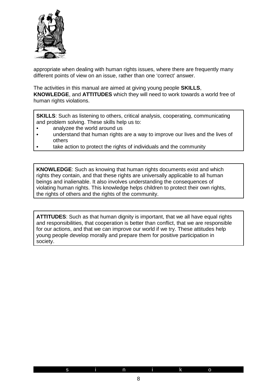

appropriate when dealing with human rights issues, where there are frequently many different points of view on an issue, rather than one 'correct' answer.

The activities in this manual are aimed at giving young people **SKILLS**, **KNOWLEDGE**, and **ATTITUDES** which they will need to work towards a world free of human rights violations.

**SKILLS:** Such as listening to others, critical analysis, cooperating, communicating and problem solving. These skills help us to:

- analyzee the world around us
- understand that human rights are a way to improve our lives and the lives of others
- take action to protect the rights of individuals and the community

**KNOWLEDGE**: Such as knowing that human rights documents exist and which rights they contain, and that these rights are universally applicable to all human beings and inalienable. It also involves understanding the consequences of violating human rights. This knowledge helps children to protect their own rights, the rights of others and the rights of the community.

**ATTITUDES:** Such as that human dignity is important, that we all have equal rights and responsibilities, that cooperation is better than conflict, that we are responsible for our actions, and that we can improve our world if we try. These attitudes help young people develop morally and prepare them for positive participation in society.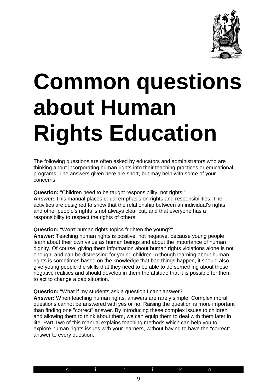

## **Common questions about Human Rights Education**

The following questions are often asked by educators and administrators who are thinking about incorporating human rights into their teaching practices or educational programs. The answers given here are short, but may help with some of your concerns.

**Question:** "Children need to be taught responsibility, not rights." **Answer:** This manual places equal emphasis on rights and responsibilities. The activities are designed to show that the relationship between an individual's rights and other people's rights is not always clear cut, and that everyone has a responsibility to respect the rights of others.

#### **Question:** "Won't human rights topics frighten the young?"

**Answer:** Teaching human rights is positive, not negative, because young people learn about their own value as human beings and about the importance of human dignity. Of course, giving them information about human rights violations alone is not enough, and can be distressing for young children. Although learning about human rights is sometimes based on the knowledge that bad things happen, it should also give young people the skills that they need to be able to do something about these negative realities and should develop in them the attitude that it is possible for them to act to change a bad situation.

**Question:** "What if my students ask a question I can't answer?"

**Answer:** When teaching human rights, answers are rarely simple. Complex moral questions cannot be answered with yes or no. Raising the question is more important than finding one "correct" answer. By introducing these complex issues to children and allowing them to think about them, we can equip them to deal with them later in life. Part Two of this manual explains teaching methods which can help you to explore human rights issues with your learners, without having to have the "correct" answer to every question.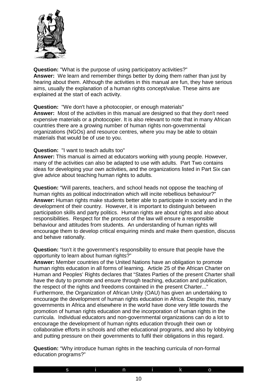

**Question:** "What is the purpose of using participatory activities?" **Answer:** We learn and remember things better by doing them rather than just by hearing about them. Although the activities in this manual are fun, they have serious aims, usually the explanation of a human rights concept/value. These aims are explained at the start of each activity.

**Question:** "We don't have a photocopier, or enough materials" **Answer:** Most of the activities in this manual are designed so that they don't need expensive materials or a photocopier. It is also relevant to note that in many African countries there are a growing number of human rights non-governmental organizations (NGOs) and resource centres, where you may be able to obtain materials that would be of use to you.

#### **Question:** "I want to teach adults too"

**Answer:** This manual is aimed at educators working with young people. However, many of the activities can also be adapted to use with adults. Part Two contains ideas for developing your own activities, and the organizations listed in Part Six can give advice about teaching human rights to adults.

**Question:** "Will parents, teachers, and school heads not oppose the teaching of human rights as political indoctrination which will incite rebellious behaviour?" **Answer:** Human rights make students better able to participate in society and in the development of their country. However, it is important to distinguish between participation skills and party politics. Human rights are about rights and also about responsibilities. Respect for the process of the law will ensure a responsible behaviour and attitudes from students. An understanding of human rights will encourage them to develop critical enquiring minds and make them question, discuss and behave rationally.

**Question:** "Isn't it the government's responsibility to ensure that people have the opportunity to learn about human rights?"

**Answer:** Member countries of the United Nations have an obligation to promote human rights education in all forms of learning. Article 25 of the African Charter on Human and Peoples' Rights declares that "States Parties of the present Charter shall have the duty to promote and ensure through teaching, education and publication, the respect of the rights and freedoms contained in the present Charter..." Furthermore, the Organization of African Unity (OAU) has given an undertaking to encourage the development of human rights education in Africa. Despite this, many governments in Africa and elsewhere in the world have done very little towards the promotion of human rights education and the incorporation of human rights in the curricula. Individual educators and non-governmental organizations can do a lot to encourage the development of human rights education through their own or collaborative efforts in schools and other educational programs, and also by lobbying and putting pressure on their governments to fulfil their obligations in this regard.

**Question:** "Why introduce human rights in the teaching curricula of non-formal education programs?"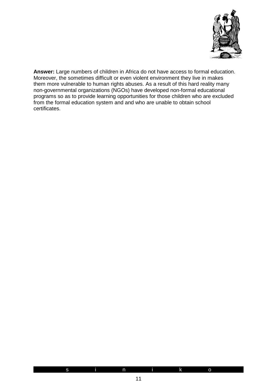

**Answer:** Large numbers of children in Africa do not have access to formal education. Moreover, the sometimes difficult or even violent environment they live in makes them more vulnerable to human rights abuses. As a result of this hard reality many non-governmental organizations (NGOs) have developed non-formal educational programs so as to provide learning opportunities for those children who are excluded from the formal education system and and who are unable to obtain school certificates.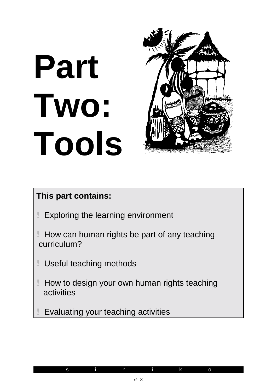# **Part Two: Tools**



#### **This part contains:**

- ! Exploring the learning environment
- ! How can human rights be part of any teaching curriculum?
- ! Useful teaching methods
- ! How to design your own human rights teaching activities
- ! Evaluating your teaching activities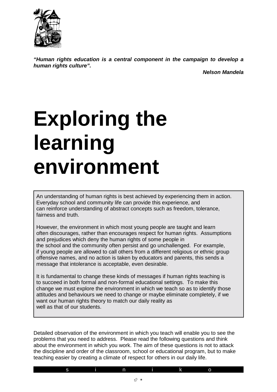

*"Human rights education is a central component in the campaign to develop a human rights culture".* 

*Nelson Mandela*

## **Exploring the learning environment**

An understanding of human rights is best achieved by experiencing them in action. Everyday school and community life can provide this experience, and can reinforce understanding of abstract concepts such as freedom, tolerance, fairness and truth.

However, the environment in which most young people are taught and learn often discourages, rather than encourages respect for human rights. Assumptions and prejudices which deny the human rights of some people in the school and the community often persist and go unchallenged. For example, if young people are allowed to call others from a different religious or ethnic group offensive names, and no action is taken by educators and parents, this sends a message that intolerance is acceptable, even desirable.

It is fundamental to change these kinds of messages if human rights teaching is to succeed in both formal and non-formal educational settings. To make this change we must explore the environment in which we teach so as to identify those attitudes and behaviours we need to change or maybe eliminate completely, if we want our human rights theory to match our daily reality as well as that of our students.

Detailed observation of the environment in which you teach will enable you to see the problems that you need to address. Please read the following questions and think about the environment in which you work. The aim of these questions is not to attack the discipline and order of the classroom, school or educational program, but to make teaching easier by creating a climate of respect for others in our daily life.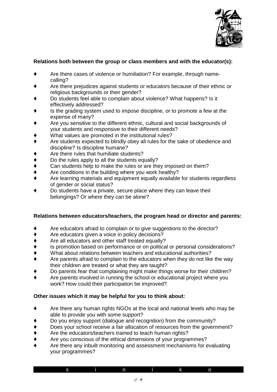

#### **Relations both between the group or class members and with the educator(s):**

- Are there cases of violence or humiliation? For example, through namecalling?
- Are there prejudices against students or educators because of their ethnic or religious backgrounds or their gender?
- Do students feel able to complain about violence? What happens? Is it effectively addressed?
- Is the grading system used to impose discipline, or to promote a few at the expense of many?
- Are you sensitive to the different ethnic, cultural and social backgrounds of your students and responsive to their different needs?
- What values are promoted in the institutional rules?
- Are students expected to blindly obey all rules for the sake of obedience and discipline? Is discipline humane?
- Are there rules that humiliate students?
- Do the rules apply to all the students equally?
- Can students help to make the rules or are they imposed on them?
- Are conditions in the building where you work healthy?
- Are learning materials and equipment equally available for students regardless of gender or social status?
- Do students have a private, secure place where they can leave their belongings? Or where they can be alone?

#### **Relations between educators/teachers, the program head or director and parents:**

- Are educators afraid to complain or to give suggestions to the director?
- Are educators given a voice in policy decisions?
- Are all educators and other staff treated equally?
- Is promotion based on performance or on political or personal considerations?
- What about relations between teachers and educational authorities?
- Are parents afraid to complain to the educators when they do not like the way their children are treated or what they are taught?
- Do parents fear that complaining might make things worse for their children?
- Are parents involved in running the school or educational project where you work? How could their participation be improved?

#### **Other issues which it may be helpful for you to think about:**

- Are there any human rights NGOs at the local and national levels who may be able to provide you with some support?
- Do you enjoy support (dialogue and recognition) from the community?
- Does your school receive a fair allocation of resources from the government?
- Are the educators/teachers trained to teach human rights?
- Are you conscious of the ethical dimensions of your programmes?
- Are there any inbuilt monitoring and assessment mechanisms for evaluating your programmes?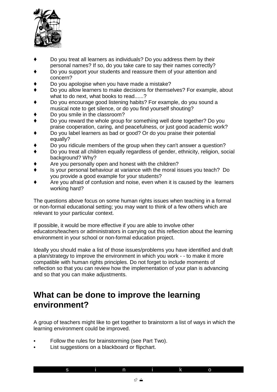

- Do you treat all learners as individuals? Do you address them by their personal names? If so, do you take care to say their names correctly?
- Do you support your students and reassure them of your attention and concern?
- Do you apologise when you have made a mistake?
- Do you allow learners to make decisions for themselves? For example, about what to do next, what books to read......?
- Do you encourage good listening habits? For example, do you sound a musical note to get silence, or do you find yourself shouting?
- Do you smile in the classroom?
- Do you reward the whole group for something well done together? Do you praise cooperation, caring, and peacefulness, or just good academic work?
- Do you label learners as bad or good? Or do you praise their potential equally?
- Do you ridicule members of the group when they can't answer a question?
- Do you treat all children equally regardless of gender, ethnicity, religion, social background? Why?
- Are you personally open and honest with the children?
- Is your personal behaviour at variance with the moral issues you teach? Do you provide a good example for your students?
- Are you afraid of confusion and noise, even when it is caused by the learners working hard?

The questions above focus on some human rights issues when teaching in a formal or non-formal educational setting; you may want to think of a few others which are relevant to your particular context.

If possible, it would be more effective if you are able to involve other educators/teachers or administrators in carrying out this reflection about the learning environment in your school or non-formal education project.

Ideally you should make a list of those issues/problems you have identified and draft a plan/strategy to improve the environment in which you work - - to make it more compatible with human rights principles. Do not forget to include moments of reflection so that you can review how the implementation of your plan is advancing and so that you can make adjustments.

#### **What can be done to improve the learning environment?**

A group of teachers might like to get together to brainstorm a list of ways in which the learning environment could be improved.

- -Follow the rules for brainstorming (see Part Two).
- -List suggestions on a blackboard or flipchart.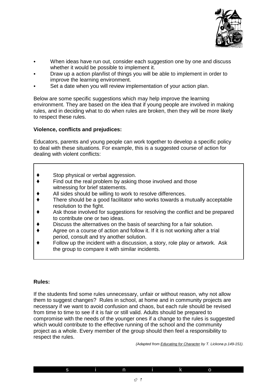

- -When ideas have run out, consider each suggestion one by one and discuss whether it would be possible to implement it.
- - Draw up a action plan/list of things you will be able to implement in order to improve the learning environment.
- -Set a date when you will review implementation of your action plan.

Below are some specific suggestions which may help improve the learning environment. They are based on the idea that if young people are involved in making rules, and in deciding what to do when rules are broken, then they will be more likely to respect these rules.

#### **Violence, conflicts and prejudices:**

Educators, parents and young people can work together to develop a specific policy to deal with these situations. For example, this is a suggested course of action for dealing with violent conflicts:

- ◆ Stop physical or verbal aggression.
- Find out the real problem by asking those involved and those witnessing for brief statements.
- All sides should be willing to work to resolve differences.
- ◆ There should be a good facilitator who works towards a mutually acceptable resolution to the fight.
- Ask those involved for suggestions for resolving the conflict and be prepared to contribute one or two ideas.
- Discuss the alternatives on the basis of searching for a fair solution.
- Agree on a course of action and follow it. If it is not working after a trial period, consult and try another solution.
- Follow up the incident with a discussion, a story, role play or artwork. Ask the group to compare it with similar incidents.

#### **Rules:**

If the students find some rules unnecessary, unfair or without reason, why not allow them to suggest changes? Rules in school, at home and in community projects are necessary if we want to avoid confusion and chaos, but each rule should be revised from time to time to see if it is fair or still valid. Adults should be prepared to compromise with the needs of the younger ones if a change to the rules is suggested which would contribute to the effective running of the school and the community project as a whole. Every member of the group should then feel a responsibility to respect the rules.

*(Adapted from Educating for Character by T. Lickona p.149-151).*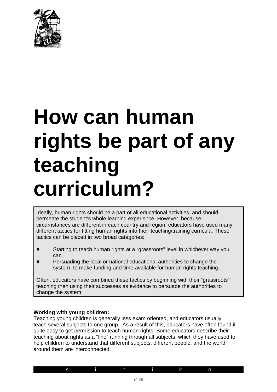

## **How can human rights be part of any teaching curriculum?**

Ideally, human rights should be a part of all educational activities, and should permeate the student's whole learning experience. However, because circumstances are different in each country and region, educators have used many different tactics for fitting human rights into their teaching/training curricula. These tactics can be placed in two broad categories:

- Starting to teach human rights at a "grassroots" level in whichever way you can.
- Persuading the local or national educational authorities to change the system, to make funding and time available for human rights teaching.

Often, educators have combined these tactics by beginning with their "grassroots" teaching then using their successes as evidence to persuade the authorities to change the system.

#### **Working with young children:**

Teaching young children is generally less exam oriented, and educators usually teach several subjects to one group. As a result of this, educators have often found it quite easy to get permission to teach human rights. Some educators describe their teaching about rights as a "line" running through all subjects, which they have used to help children to understand that different subjects, different people, and the world around them are interconnected.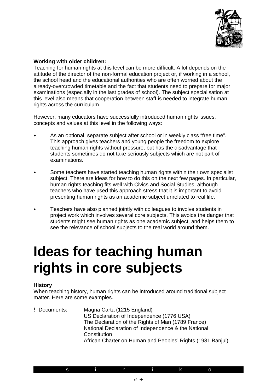

#### **Working with older children:**

Teaching for human rights at this level can be more difficult. A lot depends on the attitude of the director of the non-formal education project or, if working in a school, the school head and the educational authorities who are often worried about the already-overcrowded timetable and the fact that students need to prepare for major examinations (especially in the last grades of school). The subject specialisation at this level also means that cooperation between staff is needed to integrate human rights across the curriculum.

However, many educators have successfully introduced human rights issues, concepts and values at this level in the following ways:

- As an optional, separate subject after school or in weekly class "free time". This approach gives teachers and young people the freedom to explore teaching human rights without pressure, but has the disadvantage that students sometimes do not take seriously subjects which are not part of examinations.
- Some teachers have started teaching human rights within their own specialist subject. There are ideas for how to do this on the next few pages. In particular, human rights teaching fits well with Civics and Social Studies, although teachers who have used this approach stress that it is important to avoid presenting human rights as an academic subject unrelated to real life.
- Teachers have also planned jointly with colleagues to involve students in project work which involves several core subjects. This avoids the danger that students might see human rights as one academic subject, and helps them to see the relevance of school subjects to the real world around them.

### **Ideas for teaching human rights in core subjects**

#### **History**

When teaching history, human rights can be introduced around traditional subject matter. Here are some examples.

| ! Documents: | Magna Carta (1215 England)                                 |
|--------------|------------------------------------------------------------|
|              | US Declaration of Independence (1776 USA)                  |
|              | The Declaration of the Rights of Man (1789 France)         |
|              | National Declaration of Independence & the National        |
|              | Constitution                                               |
|              | African Charter on Human and Peoples' Rights (1981 Banjul) |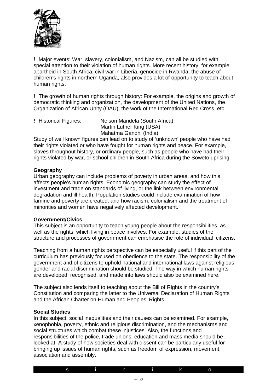

! Major events: War, slavery, colonialism, and Nazism, can all be studied with special attention to their violation of human rights. More recent history, for example apartheid in South Africa, civil war in Liberia, genocide in Rwanda, the abuse of children's rights in northern Uganda, also provides a lot of opportunity to teach about human rights.

! The growth of human rights through history: For example, the origins and growth of democratic thinking and organization, the development of the United Nations, the Organization of African Unity (OAU), the work of the International Red Cross, etc.

! Historical Figures: Nelson Mandela (South Africa) Martin Luther King (USA) Mahatma Gandhi (India)

Study of well known figures can lead on to study of 'unknown' people who have had their rights violated or who have fought for human rights and peace. For example, slaves throughout history, or ordinary people, such as people who have had their rights violated by war, or school children in South Africa during the Soweto uprising.

#### **Geography**

Urban geography can include problems of poverty in urban areas, and how this affects people's human rights. Economic geography can study the effect of investment and trade on standards of living, or the link between environmental degradation and ill health. Population studies could include examination of how famine and poverty are created, and how racism, colonialism and the treatment of minorities and women have negatively affected development.

#### **Government/Civics**

This subject is an opportunity to teach young people about the responsibilities, as well as the rights, which living in peace involves. For example, studies of the structure and processes of government can emphasise the role of individual citizens.

Teaching from a human rights perspective can be especially useful if this part of the curriculum has previously focused on obedience to the state. The responsibility of the government and of citizens to uphold national and international laws against religious, gender and racial discrimination should be studied. The way in which human rights are developed, recognised, and made into laws should also be examined here.

The subject also lends itself to teaching about the Bill of Rights in the country's Constitution and comparing the latter to the Universal Declaration of Human Rights and the African Charter on Human and Peoples' Rights.

#### **Social Studies**

In this subject, social inequalities and their causes can be examined. For example, xenophobia, poverty, ethnic and religious discrimination, and the mechanisms and social structures which combat these injustices. Also, the functions and responsibilities of the police, trade unions, education and mass media should be looked at. A study of how societies deal with dissent can be particularly useful for bringing up issues of human rights, such as freedom of expression, movement, association and assembly.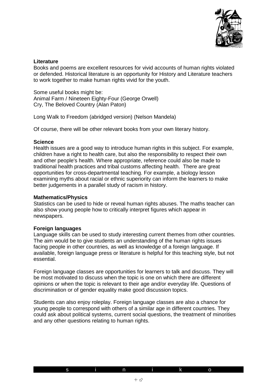

#### **Literature**

Books and poems are excellent resources for vivid accounts of human rights violated or defended. Historical literature is an opportunity for History and Literature teachers to work together to make human rights vivid for the youth.

Some useful books might be: Animal Farm / Nineteen Eighty-Four (George Orwell) Cry, The Beloved Country (Alan Paton)

Long Walk to Freedom (abridged version) (Nelson Mandela)

Of course, there will be other relevant books from your own literary history.

#### **Science**

Health issues are a good way to introduce human rights in this subject. For example, children have a right to health care, but also the responsibility to respect their own and other people's health. Where appropriate, reference could also be made to traditional health practices and tribal customs affecting health. There are great opportunities for cross-departmental teaching. For example, a biology lesson examining myths about racial or ethnic superiority can inform the learners to make better judgements in a parallel study of racism in history.

#### **Mathematics/Physics**

Statistics can be used to hide or reveal human rights abuses. The maths teacher can also show young people how to critically interpret figures which appear in newspapers.

#### **Foreign languages**

Language skills can be used to study interesting current themes from other countries. The aim would be to give students an understanding of the human rights issues facing people in other countries, as well as knowledge of a foreign language. If available, foreign language press or literature is helpful for this teaching style, but not essential.

Foreign language classes are opportunities for learners to talk and discuss. They will be most motivated to discuss when the topic is one on which there are different opinions or when the topic is relevant to their age and/or everyday life. Questions of discrimination or of gender equality make good discussion topics.

Students can also enjoy roleplay. Foreign language classes are also a chance for young people to correspond with others of a similar age in different countries. They could ask about political systems, current social questions, the treatment of minorities and any other questions relating to human rights.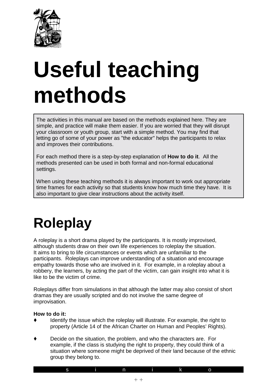

## **Useful teaching methods**

The activities in this manual are based on the methods explained here. They are simple, and practice will make them easier. If you are worried that they will disrupt your classroom or youth group, start with a simple method. You may find that letting go of some of your power as "the educator" helps the participants to relax and improves their contributions.

For each method there is a step-by-step explanation of **How to do it**. All the methods presented can be used in both formal and non-formal educational settings.

When using these teaching methods it is always important to work out appropriate time frames for each activity so that students know how much time they have. It is also important to give clear instructions about the activity itself.

## **Roleplay**

A roleplay is a short drama played by the participants. It is mostly improvised, although students draw on their own life experiences to roleplay the situation. It aims to bring to life circumstances or events which are unfamiliar to the participants. Roleplays can improve understanding of a situation and encourage empathy towards those who are involved in it. For example, in a roleplay about a robbery, the learners, by acting the part of the victim, can gain insight into what it is like to be the victim of crime.

Roleplays differ from simulations in that although the latter may also consist of short dramas they are usually scripted and do not involve the same degree of improvisation.

#### **How to do it:**

- Identify the issue which the roleplay will illustrate. For example, the right to property (Article 14 of the African Charter on Human and Peoples' Rights).
- Decide on the situation, the problem, and who the characters are. For example, if the class is studying the right to property, they could think of a situation where someone might be deprived of their land because of the ethnic group they belong to.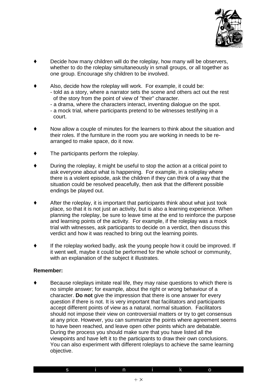

- Decide how many children will do the roleplay, how many will be observers, whether to do the roleplay simultaneously in small groups, or all together as one group. Encourage shy children to be involved.
- Also, decide how the roleplay will work. For example, it could be: - told as a story, where a narrator sets the scene and others act out the rest of the story from the point of view of "their" character.
	- a drama, where the characters interact, inventing dialogue on the spot.
	- a mock trial, where participants pretend to be witnesses testifying in a court.
- Now allow a couple of minutes for the learners to think about the situation and their roles. If the furniture in the room you are working in needs to be rearranged to make space, do it now.
- The participants perform the roleplay.
- During the roleplay, it might be useful to stop the action at a critical point to ask everyone about what is happening. For example, in a roleplay where there is a violent episode, ask the children if they can think of a way that the situation could be resolved peacefully, then ask that the different possible endings be played out.
- After the roleplay, it is important that participants think about what just took place, so that it is not just an activity, but is also a learning experience. When planning the roleplay, be sure to leave time at the end to reinforce the purpose and learning points of the activity. For example, if the roleplay was a mock trial with witnesses, ask participants to decide on a verdict, then discuss this verdict and how it was reached to bring out the learning points.
- If the roleplay worked badly, ask the young people how it could be improved. If it went well, maybe it could be performed for the whole school or community, with an explanation of the subject it illustrates.

#### **Remember:**

 Because roleplays imitate real life, they may raise questions to which there is no simple answer; for example, about the right or wrong behaviour of a character. **Do not** give the impression that there is one answer for every question if there is not. It is very important that facilitators and participants accept different points of view as a natural, normal situation. Facilitators should not impose their view on controversial matters or try to get consensus at any price. However, you can summarize the points where agreement seems to have been reached, and leave open other points which are debatable. During the process you should make sure that you have listed all the viewpoints and have left it to the participants to draw their own conclusions. You can also experiment with different roleplays to achieve the same learning objective.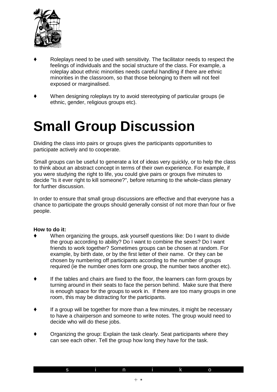

- Roleplays need to be used with sensitivity. The facilitator needs to respect the feelings of individuals and the social structure of the class. For example, a roleplay about ethnic minorities needs careful handling if there are ethnic minorities in the classroom, so that those belonging to them will not feel exposed or marginalised.
- When designing roleplays try to avoid stereotyping of particular groups (ie ethnic, gender, religious groups etc).

### **Small Group Discussion**

Dividing the class into pairs or groups gives the participants opportunities to participate actively and to cooperate.

Small groups can be useful to generate a lot of ideas very quickly, or to help the class to think about an abstract concept in terms of their own experience. For example, if you were studying the right to life, you could give pairs or groups five minutes to decide "Is it ever right to kill someone?", before returning to the whole-class plenary for further discussion.

In order to ensure that small group discussions are effective and that everyone has a chance to participate the groups should generally consist of not more than four or five people.

#### **How to do it:**

- When organizing the groups, ask yourself questions like: Do I want to divide the group according to ability? Do I want to combine the sexes? Do I want friends to work together? Sometimes groups can be chosen at random. For example, by birth date, or by the first letter of their name. Or they can be chosen by numbering off participants according to the number of groups required (ie the number ones form one group, the number twos another etc).
- If the tables and chairs are fixed to the floor, the learners can form groups by turning around in their seats to face the person behind. Make sure that there is enough space for the groups to work in. If there are too many groups in one room, this may be distracting for the participants.
- If a group will be together for more than a few minutes, it might be necessary to have a chairperson and someone to write notes. The group would need to decide who will do these jobs.
- Organizing the group: Explain the task clearly. Seat participants where they can see each other. Tell the group how long they have for the task.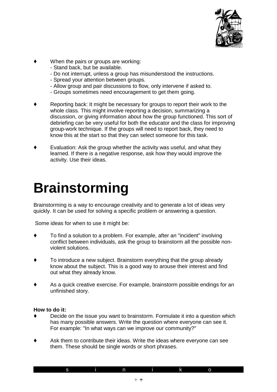

- When the pairs or groups are working:
	- Stand back, but be available.
	- Do not interrupt, unless a group has misunderstood the instructions.
	- Spread your attention between groups.
	- Allow group and pair discussions to flow, only intervene if asked to.
	- Groups sometimes need encouragement to get them going.
- Reporting back: It might be necessary for groups to report their work to the whole class. This might involve reporting a decision, summarizing a discussion, or giving information about how the group functioned. This sort of debriefing can be very useful for both the educator and the class for improving group-work technique. If the groups will need to report back, they need to know this at the start so that they can select someone for this task.
- Evaluation: Ask the group whether the activity was useful, and what they learned. If there is a negative response, ask how they would improve the activity. Use their ideas.

## **Brainstorming**

Brainstorming is a way to encourage creativity and to generate a lot of ideas very quickly. It can be used for solving a specific problem or answering a question.

Some ideas for when to use it might be:

- To find a solution to a problem. For example, after an "incident" involving conflict between individuals, ask the group to brainstorm all the possible nonviolent solutions.
- To introduce a new subject. Brainstorm everything that the group already know about the subject. This is a good way to arouse their interest and find out what they already know.
- As a quick creative exercise. For example, brainstorm possible endings for an unfinished story.

#### **How to do it:**

- Decide on the issue you want to brainstorm. Formulate it into a question which has many possible answers. Write the question where everyone can see it. For example: "In what ways can we improve our community?"
- Ask them to contribute their ideas. Write the ideas where everyone can see them. These should be single words or short phrases.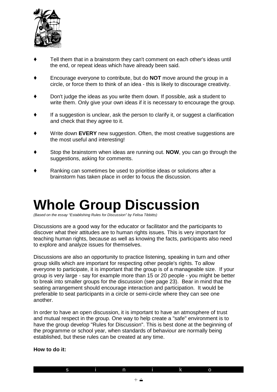

- Tell them that in a brainstorm they can't comment on each other's ideas until the end, or repeat ideas which have already been said.
- Encourage everyone to contribute, but do **NOT** move around the group in a circle, or force them to think of an idea - this is likely to discourage creativity.
- Don't judge the ideas as you write them down. If possible, ask a student to write them. Only give your own ideas if it is necessary to encourage the group.
- If a suggestion is unclear, ask the person to clarify it, or suggest a clarification and check that they agree to it.
- Write down **EVERY** new suggestion. Often, the most creative suggestions are the most useful and interesting!
- Stop the brainstorm when ideas are running out. **NOW**, you can go through the suggestions, asking for comments.
- Ranking can sometimes be used to prioritise ideas or solutions after a brainstorm has taken place in order to focus the discussion.

## **Whole Group Discussion**

*(Based on the essay "Establishing Rules for Discussion" by Felisa Tibbitts)*

Discussions are a good way for the educator or facilitator and the participants to discover what their attitudes are to human rights issues. This is very important for teaching human rights, because as well as knowing the facts, participants also need to explore and analyze issues for themselves.

Discussions are also an opportunity to practice listening, speaking in turn and other group skills which are important for respecting other people's rights. To allow everyone to participate, it is important that the group is of a manageable size. If your group is very large - say for example more than 15 or 20 people - you might be better to break into smaller groups for the discussion (see page 23). Bear in mind that the seating arrangement should encourage interaction and participation. It would be preferable to seat participants in a circle or semi-circle where they can see one another.

In order to have an open discussion, it is important to have an atmosphere of trust and mutual respect in the group. One way to help create a "safe" environment is to have the group develop "Rules for Discussion". This is best done at the beginning of the programme or school year, when standards of behaviour are normally being established, but these rules can be created at any time.

**How to do it:**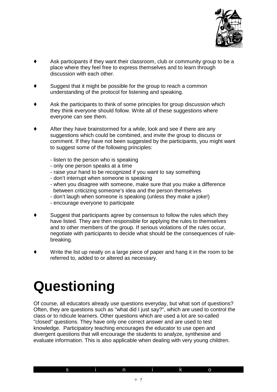

- Ask participants if they want their classroom, club or community group to be a place where they feel free to express themselves and to learn through discussion with each other.
- Suggest that it might be possible for the group to reach a common understanding of the protocol for listening and speaking.
- Ask the participants to think of some principles for group discussion which they think everyone should follow. Write all of these suggestions where everyone can see them.
- After they have brainstormed for a while, look and see if there are any suggestions which could be combined, and invite the group to discuss or comment. If they have not been suggested by the participants, you might want to suggest some of the following principles:
	- listen to the person who is speaking
	- only one person speaks at a time
	- raise your hand to be recognized if you want to say something
	- don't interrupt when someone is speaking
	- when you disagree with someone, make sure that you make a difference between criticizing someone's idea and the person themselves
	- don't laugh when someone is speaking (unless they make a joke!)
	- encourage everyone to participate
- Suggest that participants agree by consensus to follow the rules which they have listed. They are then responsible for applying the rules to themselves and to other members of the group. If serious violations of the rules occur, negotiate with participants to decide what should be the consequences of rulebreaking.
- Write the list up neatly on a large piece of paper and hang it in the room to be referred to, added to or altered as necessary.

## **Questioning**

Of course, all educators already use questions everyday, but what sort of questions? Often, they are questions such as "what did I just say?", which are used to control the class or to ridicule learners. Other questions which are used a lot are so-called "closed" questions. They have only one correct answer and are used to test knowledge. Participatory teaching encourages the educator to use open and divergent questions that will encourage the students to analyze, synthesise and evaluate information. This is also applicable when dealing with very young children.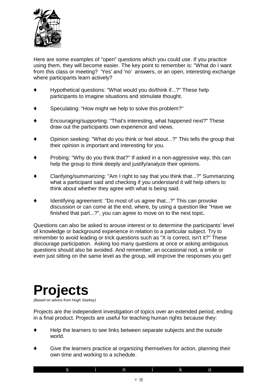

Here are some examples of "open" questions which you could use. If you practice using them, they will become easier. The key point to remember is: "What do I want from this class or meeting? 'Yes' and 'no' answers, or an open, interesting exchange where participants learn actively?

- Hypothetical questions: "What would you do/think if...?" These help participants to imagine situations and stimulate thought.
- Speculating: "How might we help to solve this problem?"
- Encouraging/supporting: "That's interesting, what happened next?" These draw out the participants own experience and views.
- Opinion seeking: "What do you think or feel about...?" This tells the group that their opinion is important and interesting for you.
- Probing: "Why do you think that?" If asked in a non-aggressive way, this can help the group to think deeply and justify/analyze their opinions.
- Clarifying/summarizing: "Am I right to say that you think that...?" Summarizing what a participant said and checking if you understand it will help others to think about whether they agree with what is being said.
- Identifying agreement: "Do most of us agree that...?" This can provoke discussion or can come at the end, where, by using a question like "Have we finished that part...?", you can agree to move on to the next topic.

Questions can also be asked to arouse interest or to determine the participants' level of knowledge or background experience in relation to a particular subject. Try to remember to avoid leading or trick questions such as "X is correct, isn't it?" These discourage participation. Asking too many questions at once or asking ambiguous questions should also be avoided. And remember, an occasional nod, a smile or even just sitting on the same level as the group, will improve the responses you get!

## **Projects**

*(Based on advice from Hugh Starkey)*

Projects are the independent investigation of topics over an extended period, ending in a final product. Projects are useful for teaching human rights because they:

- Help the learners to see links between separate subjects and the outside world.
- Give the learners practice at organizing themselves for action, planning their own time and working to a schedule.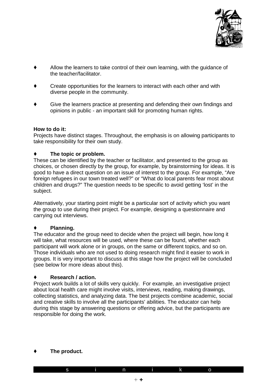

- Allow the learners to take control of their own learning, with the guidance of the teacher/facilitator.
- Create opportunities for the learners to interact with each other and with diverse people in the community.
- Give the learners practice at presenting and defending their own findings and opinions in public - an important skill for promoting human rights.

#### **How to do it:**

Projects have distinct stages. Throughout, the emphasis is on allowing participants to take responsibility for their own study.

#### **The topic or problem.**

These can be identified by the teacher or facilitator, and presented to the group as choices, or chosen directly by the group, for example, by brainstorming for ideas. It is good to have a direct question on an issue of interest to the group. For example, "Are foreign refugees in our town treated well?" or "What do local parents fear most about children and drugs?" The question needs to be specific to avoid getting 'lost' in the subject.

Alternatively, your starting point might be a particular sort of activity which you want the group to use during their project. For example, designing a questionnaire and carrying out interviews.

#### **Planning.**

The educator and the group need to decide when the project will begin, how long it will take, what resources will be used, where these can be found, whether each participant will work alone or in groups, on the same or different topics, and so on. Those individuals who are not used to doing research might find it easier to work in groups. It is very important to discuss at this stage how the project will be concluded (see below for more ideas about this).

#### **Research / action.**

Project work builds a lot of skills very quickly. For example, an investigative project about local health care might involve visits, interviews, reading, making drawings, collecting statistics, and analyzing data. The best projects combine academic, social and creative skills to involve all the participants' abilities. The educator can help during this stage by answering questions or offering advice, but the participants are responsible for doing the work.

#### **The product.**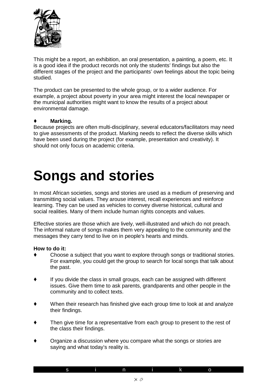

This might be a report, an exhibition, an oral presentation, a painting, a poem, etc. It is a good idea if the product records not only the students' findings but also the different stages of the project and the participants' own feelings about the topic being studied.

The product can be presented to the whole group, or to a wider audience. For example, a project about poverty in your area might interest the local newspaper or the municipal authorities might want to know the results of a project about environmental damage.

#### **Marking.**

Because projects are often multi-disciplinary, several educators/facilitators may need to give assessments of the product. Marking needs to reflect the diverse skills which have been used during the project (for example, presentation and creativity). It should not only focus on academic criteria.

### **Songs and stories**

In most African societies, songs and stories are used as a medium of preserving and transmitting social values. They arouse interest, recall experiences and reinforce learning. They can be used as vehicles to convey diverse historical, cultural and social realities. Many of them include human rights concepts and values.

Effective stories are those which are lively, well-illustrated and which do not preach. The informal nature of songs makes them very appealing to the community and the messages they carry tend to live on in people's hearts and minds.

#### **How to do it:**

- Choose a subject that you want to explore through songs or traditional stories. For example, you could get the group to search for local songs that talk about the past.
- If you divide the class in small groups, each can be assigned with different issues. Give them time to ask parents, grandparents and other people in the community and to collect texts.
- When their research has finished give each group time to look at and analyze their findings.
- Then give time for a representative from each group to present to the rest of the class their findings.
- Organize a discussion where you compare what the songs or stories are saying and what today's reality is.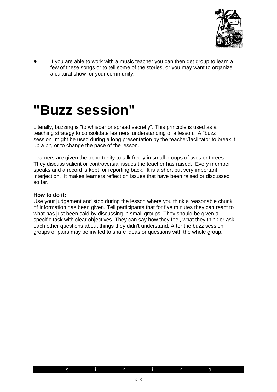

 If you are able to work with a music teacher you can then get group to learn a few of these songs or to tell some of the stories, or you may want to organize a cultural show for your community.

### **"Buzz session"**

Literally, buzzing is "to whisper or spread secretly". This principle is used as a teaching strategy to consolidate learners' understanding of a lesson. A "buzz session" might be used during a long presentation by the teacher/facilitator to break it up a bit, or to change the pace of the lesson.

Learners are given the opportunity to talk freely in small groups of twos or threes. They discuss salient or controversial issues the teacher has raised. Every member speaks and a record is kept for reporting back. It is a short but very important interjection. It makes learners reflect on issues that have been raised or discussed so far.

#### **How to do it:**

Use your judgement and stop during the lesson where you think a reasonable chunk of information has been given. Tell participants that for five minutes they can react to what has just been said by discussing in small groups. They should be given a specific task with clear objectives. They can say how they feel, what they think or ask each other questions about things they didn't understand. After the buzz session groups or pairs may be invited to share ideas or questions with the whole group.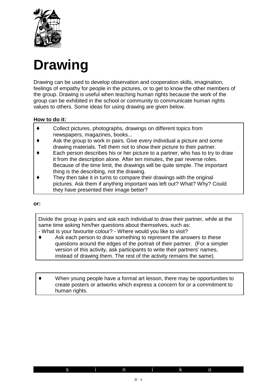

## **Drawing**

Drawing can be used to develop observation and cooperation skills, imagination, feelings of empathy for people in the pictures, or to get to know the other members of the group. Drawing is useful when teaching human rights because the work of the group can be exhibited in the school or community to communicate human rights values to others. Some ideas for using drawing are given below.

#### **How to do it:**

- Collect pictures, photographs, drawings on different topics from newspapers, magazines, books...
- Ask the group to work in pairs. Give every individual a picture and some drawing materials. Tell them not to show their picture to their partner.
- Each person describes his or her picture to a partner, who has to try to draw it from the description alone. After ten minutes, the pair reverse roles. Because of the time limit, the drawings will be quite simple. The important thing is the describing, not the drawing.
- They then take it in turns to compare their drawings with the original pictures. Ask them if anything important was left out? What? Why? Could they have presented their image better?

#### **or:**

Divide the group in pairs and ask each individual to draw their partner, while at the same time asking him/her questions about themselves, such as: - What is your favourite colour? - Where would you like to visit?

- $\bullet$  Ask each person to draw something to represent the answers to these questions around the edges of the portrait of their partner. (For a simpler version of this activity, ask participants to write their partners' names, instead of drawing them. The rest of the activity remains the same).
- When young people have a formal art lesson, there may be opportunities to create posters or artworks which express a concern for or a commitment to human rights.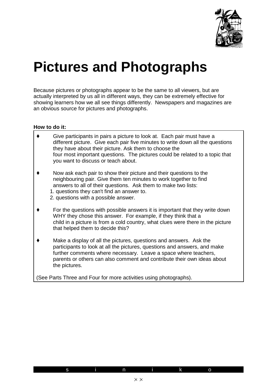

### **Pictures and Photographs**

Because pictures or photographs appear to be the same to all viewers, but are actually interpreted by us all in different ways, they can be extremely effective for showing learners how we all see things differently. Newspapers and magazines are an obvious source for pictures and photographs.

#### **How to do it:**

- Give participants in pairs a picture to look at. Each pair must have a different picture. Give each pair five minutes to write down all the questions they have about their picture. Ask them to choose the four most important questions. The pictures could be related to a topic that you want to discuss or teach about.
- Now ask each pair to show their picture and their questions to the neighbouring pair. Give them ten minutes to work together to find answers to all of their questions. Ask them to make two lists: 1. questions they can't find an answer to.
	- 2. questions with a possible answer.
- For the questions with possible answers it is important that they write down WHY they chose this answer. For example, if they think that a child in a picture is from a cold country, what clues were there in the picture that helped them to decide this?
- Make a display of all the pictures, questions and answers. Ask the participants to look at all the pictures, questions and answers, and make further comments where necessary. Leave a space where teachers, parents or others can also comment and contribute their own ideas about the pictures.

(See Parts Three and Four for more activities using photographs).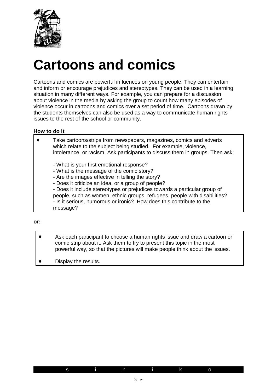

## **Cartoons and comics**

Cartoons and comics are powerful influences on young people. They can entertain and inform or encourage prejudices and stereotypes. They can be used in a learning situation in many different ways. For example, you can prepare for a discussion about violence in the media by asking the group to count how many episodes of violence occur in cartoons and comics over a set period of time. Cartoons drawn by the students themselves can also be used as a way to communicate human rights issues to the rest of the school or community.

#### **How to do it**

| Take cartoons/strips from newspapers, magazines, comics and adverts<br>which relate to the subject being studied. For example, violence,<br>intolerance, or racism. Ask participants to discuss them in groups. Then ask:                                                                                                                                                                                                                     |
|-----------------------------------------------------------------------------------------------------------------------------------------------------------------------------------------------------------------------------------------------------------------------------------------------------------------------------------------------------------------------------------------------------------------------------------------------|
| - What is your first emotional response?<br>- What is the message of the comic story?<br>- Are the images effective in telling the story?<br>- Does it criticize an idea, or a group of people?<br>- Does it include stereotypes or prejudices towards a particular group of<br>people, such as women, ethnic groups, refugees, people with disabilities?<br>- Is it serious, humorous or ironic? How does this contribute to the<br>message? |
|                                                                                                                                                                                                                                                                                                                                                                                                                                               |

#### **or:**

| Ask each participant to choose a human rights issue and draw a cartoon or<br>comic strip about it. Ask them to try to present this topic in the most<br>powerful way, so that the pictures will make people think about the issues. |
|-------------------------------------------------------------------------------------------------------------------------------------------------------------------------------------------------------------------------------------|
| Display the results.                                                                                                                                                                                                                |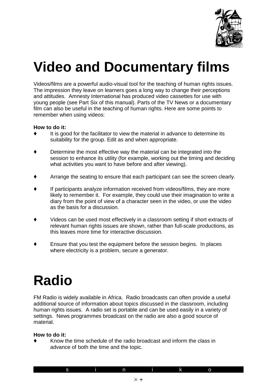

## **Video and Documentary films**

Videos/films are a powerful audio-visual tool for the teaching of human rights issues. The impression they leave on learners goes a long way to change their perceptions and attitudes. Amnesty International has produced video cassettes for use with young people (see Part Six of this manual). Parts of the TV News or a documentary film can also be useful in the teaching of human rights. Here are some points to remember when using videos:

#### **How to do it:**

- It is good for the facilitator to view the material in advance to determine its suitability for the group. Edit as and when appropriate.
- Determine the most effective way the material can be integrated into the session to enhance its utility (for example, working out the timing and deciding what activities you want to have before and after viewing).
- Arrange the seating to ensure that each participant can see the screen clearly.
- If participants analyze information received from videos/films, they are more likely to remember it. For example, they could use their imagination to write a diary from the point of view of a character seen in the video, or use the video as the basis for a discussion.
- Videos can be used most effectively in a classroom setting if short extracts of relevant human rights issues are shown, rather than full-scale productions, as this leaves more time for interactive discussion.
- Ensure that you test the equipment before the session begins. In places where electricity is a problem, secure a generator.

## **Radio**

FM Radio is widely available in Africa. Radio broadcasts can often provide a useful additional source of information about topics discussed in the classroom, including human rights issues. A radio set is portable and can be used easily in a variety of settings. News programmes broadcast on the radio are also a good source of material.

#### **How to do it:**

 Know the time schedule of the radio broadcast and inform the class in advance of both the time and the topic.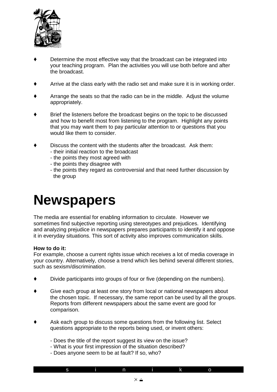

- Determine the most effective way that the broadcast can be integrated into your teaching program. Plan the activities you will use both before and after the broadcast.
- Arrive at the class early with the radio set and make sure it is in working order.
- Arrange the seats so that the radio can be in the middle. Adjust the volume appropriately.
- Brief the listeners before the broadcast begins on the topic to be discussed and how to benefit most from listening to the program. Highlight any points that you may want them to pay particular attention to or questions that you would like them to consider.
- Discuss the content with the students after the broadcast. Ask them:
	- their initial reaction to the broadcast
	- the points they most agreed with
	- the points they disagree with
	- the points they regard as controversial and that need further discussion by the group

### **Newspapers**

The media are essential for enabling information to circulate. However we sometimes find subjective reporting using stereotypes and prejudices. Identifying and analyzing prejudice in newspapers prepares participants to identify it and oppose it in everyday situations. This sort of activity also improves communication skills.

#### **How to do it:**

For example, choose a current rights issue which receives a lot of media coverage in your country. Alternatively, choose a trend which lies behind several different stories, such as sexism/discrimination.

- Divide participants into groups of four or five (depending on the numbers).
- Give each group at least one story from local or national newspapers about the chosen topic. If necessary, the same report can be used by all the groups. Reports from different newspapers about the same event are good for comparison.
- Ask each group to discuss some questions from the following list. Select questions appropriate to the reports being used, or invent others:
	- Does the title of the report suggest its view on the issue?
	- What is your first impression of the situation described?
	- Does anyone seem to be at fault? If so, who?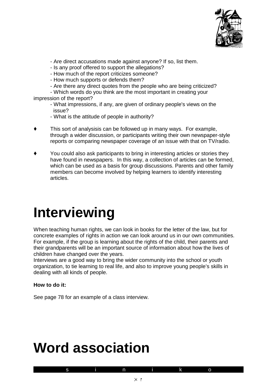

- Are direct accusations made against anyone? If so, list them.
- Is any proof offered to support the allegations?
- How much of the report criticizes someone?
- How much supports or defends them?
- Are there any direct quotes from the people who are being criticized?
- Which words do you think are the most important in creating your impression of the report?
	- What impressions, if any, are given of ordinary people's views on the issue?
	- What is the attitude of people in authority?
- This sort of analysisis can be followed up in many ways. For example, through a wider discussion, or participants writing their own newspaper-style reports or comparing newspaper coverage of an issue with that on TV/radio.
- You could also ask participants to bring in interesting articles or stories they have found in newspapers. In this way, a collection of articles can be formed, which can be used as a basis for group discussions. Parents and other family members can become involved by helping learners to identify interesting articles.

## **Interviewing**

When teaching human rights, we can look in books for the letter of the law, but for concrete examples of rights in action we can look around us in our own communities. For example, if the group is learning about the rights of the child, their parents and their grandparents will be an important source of information about how the lives of children have changed over the years.

Interviews are a good way to bring the wider community into the school or youth organization, to tie learning to real life, and also to improve young people's skills in dealing with all kinds of people.

#### **How to do it:**

See page 78 for an example of a class interview.

## **Word association**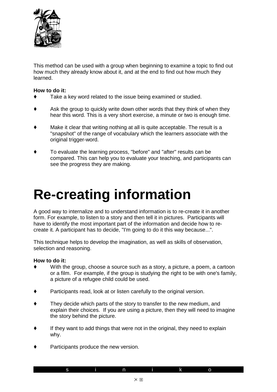

This method can be used with a group when beginning to examine a topic to find out how much they already know about it, and at the end to find out how much they learned.

#### **How to do it:**

- Take a key word related to the issue being examined or studied.
- Ask the group to quickly write down other words that they think of when they hear this word. This is a very short exercise, a minute or two is enough time.
- Make it clear that writing nothing at all is quite acceptable. The result is a "snapshot" of the range of vocabulary which the learners associate with the original trigger-word.
- To evaluate the learning process, "before" and "after" results can be compared. This can help you to evaluate your teaching, and participants can see the progress they are making.

## **Re-creating information**

A good way to internalize and to understand information is to re-create it in another form. For example, to listen to a story and then tell it in pictures. Participants will have to identify the most important part of the information and decide how to recreate it. A participant has to decide, "I'm going to do it this way because...".

This technique helps to develop the imagination, as well as skills of observation, selection and reasoning.

#### **How to do it:**

- With the group, choose a source such as a story, a picture, a poem, a cartoon or a film. For example, if the group is studying the right to be with one's family, a picture of a refugee child could be used.
- Participants read, look at or listen carefully to the original version.
- They decide which parts of the story to transfer to the new medium, and explain their choices. If you are using a picture, then they will need to imagine the story behind the picture.
- If they want to add things that were not in the original, they need to explain why.
- Participants produce the new version.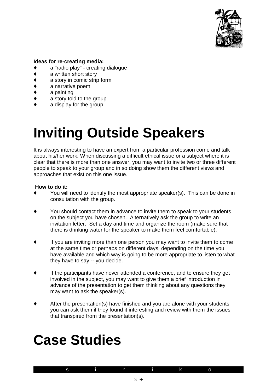

#### **Ideas for re-creating media:**

- a "radio play" creating dialogue
- a written short story
- a story in comic strip form
- a narrative poem
- a painting
- a story told to the group
- a display for the group

## **Inviting Outside Speakers**

It is always interesting to have an expert from a particular profession come and talk about his/her work. When discussing a difficult ethical issue or a subject where it is clear that there is more than one answer, you may want to invite two or three different people to speak to your group and in so doing show them the different views and approaches that exist on this one issue.

#### **How to do it:**

- You will need to identify the most appropriate speaker(s). This can be done in consultation with the group.
- You should contact them in advance to invite them to speak to your students on the subject you have chosen. Alternatively ask the group to write an invitation letter. Set a day and time and organize the room (make sure that there is drinking water for the speaker to make them feel comfortable).
- If you are inviting more than one person you may want to invite them to come at the same time or perhaps on different days, depending on the time you have available and which way is going to be more appropriate to listen to what they have to say -- you decide.
- If the participants have never attended a conference, and to ensure they get involved in the subject, you may want to give them a brief introduction in advance of the presentation to get them thinking about any questions they may want to ask the speaker(s).
- After the presentation(s) have finished and you are alone with your students you can ask them if they found it interesting and review with them the issues that transpired from the presentation(s).

### **Case Studies**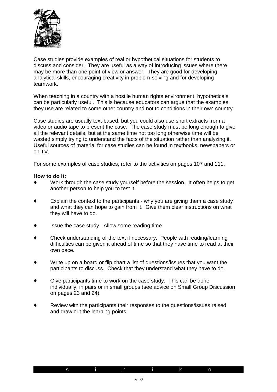

Case studies provide examples of real or hypothetical situations for students to discuss and consider. They are useful as a way of introducing issues where there may be more than one point of view or answer. They are good for developing analytical skills, encouraging creativity in problem-solving and for developing teamwork.

When teaching in a country with a hostile human rights environment, hypotheticals can be particularly useful. This is because educators can argue that the examples they use are related to some other country and not to conditions in their own country.

Case studies are usually text-based, but you could also use short extracts from a video or audio tape to present the case. The case study must be long enough to give all the relevant details, but at the same time not too long otherwise time will be wasted simply trying to understand the facts of the situation rather than analyzing it. Useful sources of material for case studies can be found in textbooks, newspapers or on TV.

For some examples of case studies, refer to the activities on pages 107 and 111.

#### **How to do it:**

- Work through the case study yourself before the session. It often helps to get another person to help you to test it.
- Explain the context to the participants why you are giving them a case study and what they can hope to gain from it. Give them clear instructions on what they will have to do.
- Issue the case study. Allow some reading time.
- Check understanding of the text if necessary. People with reading/learning difficulties can be given it ahead of time so that they have time to read at their own pace.
- Write up on a board or flip chart a list of questions/issues that you want the participants to discuss. Check that they understand what they have to do.
- Give participants time to work on the case study. This can be done individually, in pairs or in small groups (see advice on Small Group Discussion on pages 23 and 24).
- Review with the participants their responses to the questions/issues raised and draw out the learning points.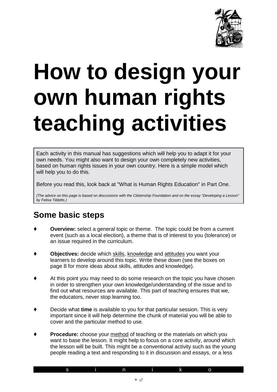

## **How to design your own human rights teaching activities**

Each activity in this manual has suggestions which will help you to adapt it for your own needs. You might also want to design your own completely new activities, based on human rights issues in your own country. Here is a simple model which will help you to do this.

Before you read this, look back at "What is Human Rights Education" in Part One.

*(The advice on this page is based on discussions with the Citizenship Foundation and on the essay "Developing a Lesson" by Felisa Tibbitts.)*

#### **Some basic steps**

- **Overview:** select a general topic or theme. The topic could be from a current event (such as a local election), a theme that is of interest to you (tolerance) or an issue required in the curriculum.
- **Objectives:** decide which skills, knowledge and attitudes you want your learners to develop around this topic. Write these down (see the boxes on page 8 for more ideas about skills, attitudes and knowledge).
- At this point you may need to do some research on the topic you have chosen in order to strengthen your own knowledge/understanding of the issue and to find out what resources are available. This part of teaching ensures that we, the educators, never stop learning too.
- Decide what **time** is available to you for that particular session. This is very important since it will help determine the chunk of material you will be able to cover and the particular method to use.
- **Procedure:** choose your method of teaching or the materials on which you want to base the lesson. It might help to focus on a core activity, around which the lesson will be built. This might be a conventional activity such as the young people reading a text and responding to it in discussion and essays, or a less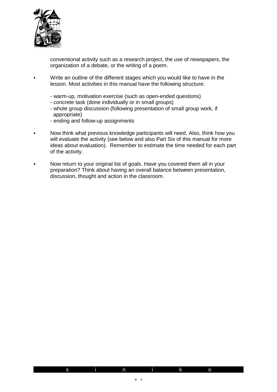

-

conventional activity such as a research project, the use of newspapers, the organization of a debate, or the writing of a poem.

- Write an outline of the different stages which you would like to have in the lesson. Most activities in this manual have the following structure:
	- warm-up, motivation exercise (such as open-ended questions)
	- concrete task (done individually or in small groups)
	- whole group discussion (following presentation of small group work, if appropriate)
	- ending and follow-up assignments
- - Now think what previous knowledge participants will need. Also, think how you will evaluate the activity (see below and also Part Six of this manual for more ideas about evaluation). Remember to estimate the time needed for each part of the activity.
- - Now return to your original list of goals. Have you covered them all in your preparation? Think about having an overall balance between presentation, discussion, thought and action in the classroom.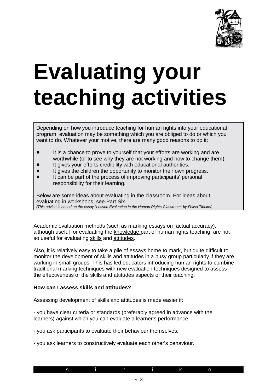

## **Evaluating your teaching activities**

Depending on how you introduce teaching for human rights into your educational program, evaluation may be something which you are obliged to do or which you want to do. Whatever your motive, there are many good reasons to do it:

- It is a chance to prove to yourself that your efforts are working and are worthwhile (or to see why they are not working and how to change them).
- It gives your efforts credibility with educational authorities.
- It gives the children the opportunity to monitor their own progress.
- It can be part of the process of improving participants' personal responsibility for their learning.

Below are some ideas about evaluating in the classroom. For ideas about evaluating in workshops, see Part Six. *(This advice is based on the essay "Lesson Evaluation in the Human Rights Classroom" by Felisa Tibbitts)*

Academic evaluation methods (such as marking essays on factual accuracy), although useful for evaluating the knowledge part of human rights teaching, are not so useful for evaluating skills and attitudes.

Also, it is relatively easy to take a pile of essays home to mark, but quite difficult to monitor the development of skills and attitudes in a busy group particularly if they are working in small groups. This has led educators introducing human rights to combine traditional marking techniques with new evaluation techniques designed to assess the effectiveness of the skills and attitudes aspects of their teaching.

#### **How can I assess skills and attitudes?**

Assessing development of skills and attitudes is made easier if:

- you have clear criteria or standards (preferably agreed in advance with the learners) against which you can evaluate a learner's performance.

- you ask participants to evaluate their behaviour themselves.

- you ask learners to constructively evaluate each other's behaviour.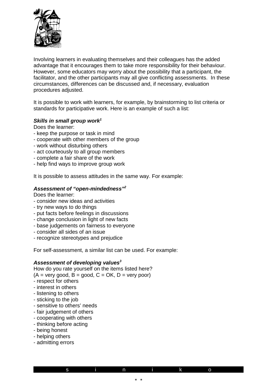

Involving learners in evaluating themselves and their colleagues has the added advantage that it encourages them to take more responsibility for their behaviour. However, some educators may worry about the possibility that a participant, the facilitator, and the other participants may all give conflicting assessments. In these circumstances, differences can be discussed and, if necessary, evaluation procedures adjusted.

It is possible to work with learners, for example, by brainstorming to list criteria or standards for participative work. Here is an example of such a list:

#### *Skills in small group work1*

Does the learner:

- keep the purpose or task in mind
- cooperate with other members of the group
- work without disturbing others
- act courteously to all group members
- complete a fair share of the work
- help find ways to improve group work

It is possible to assess attitudes in the same way. For example:

#### *Assessment of "open-mindedness"2*

Does the learner:

- consider new ideas and activities
- try new ways to do things
- put facts before feelings in discussions
- change conclusion in light of new facts
- base judgements on fairness to everyone
- consider all sides of an issue
- recognize stereotypes and prejudice

For self-assessment, a similar list can be used. For example:

#### *Assessment of developing values3*

How do you rate yourself on the items listed here?

 $(A = \text{very good}, B = \text{good}, C = \text{OK}, D = \text{very poor})$ 

- respect for others
- interest in others
- listening to others
- sticking to the job
- sensitive to others' needs
- fair judgement of others
- cooperating with others
- thinking before acting
- being honest
- helping others
- admitting errors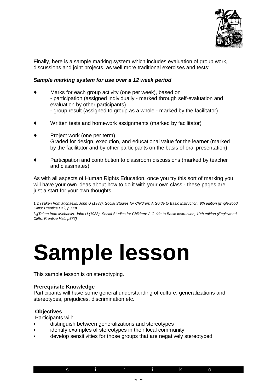

Finally, here is a sample marking system which includes evaluation of group work, discussions and joint projects, as well more traditional exercises and tests:

#### *Sample marking system for use over a 12 week period*

- Marks for each group activity (one per week), based on - participation (assigned individually - marked through self-evaluation and evaluation by other participants) - group result (assigned to group as a whole - marked by the facilitator)
- Written tests and homework assignments (marked by facilitator)
- Project work (one per term) Graded for design, execution, and educational value for the learner (marked by the facilitator and by other participants on the basis of oral presentation)
- Participation and contribution to classroom discussions (marked by teacher and classmates)

As with all aspects of Human Rights Education, once you try this sort of marking you will have your own ideas about how to do it with your own class - these pages are just a start for your own thoughts.

1,2 *(Taken from Michaelis, John U (1988), Social Studies for Children: A Guide to Basic Instruction, 9th edition (Englewood Cliffs: Prentice Hall, p388)*

3,*(Taken from Michaelis, John U (1988), Social Studies for Children: A Guide to Basic Instruction, 10th edition (Englewood Cliffs: Prentice Hall, p377)*

## **Sample lesson**

This sample lesson is on stereotyping.

#### **Prerequisite Knowledge**

Participants will have some general understanding of culture, generalizations and stereotypes, prejudices, discrimination etc.

#### **Objectives**

Participants will:

- distinguish between generalizations and stereotypes
- identify examples of stereotypes in their local community
- develop sensitivities for those groups that are negatively stereotyped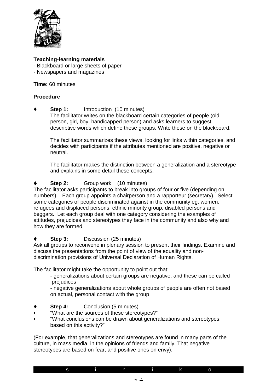

#### **Teaching-learning materials**

- Blackboard or large sheets of paper
- Newspapers and magazines

#### **Time:** 60 minutes

#### **Procedure**

**Step 1:** Introduction (10 minutes)

The facilitator writes on the blackboard certain categories of people (old person, girl, boy, handicapped person) and asks learners to suggest descriptive words which define these groups. Write these on the blackboard.

The facilitator summarizes these views, looking for links within categories, and decides with participants if the attributes mentioned are positive, negative or neutral.

The facilitator makes the distinction between a generalization and a stereotype and explains in some detail these concepts.

#### **Step 2:** Group work (10 minutes)

The facilitator asks participants to break into groups of four or five (depending on numbers). Each group appoints a chairperson and a rapporteur (secretary). Select some categories of people discriminated against in the community eg. women, refugees and displaced persons, ethnic minority group, disabled persons and beggars. Let each group deal with one category considering the examples of attitudes, prejudices and stereotypes they face in the community and also why and how they are formed.

#### **Step 3:** Discussion (25 minutes)

Ask all groups to reconvene in plenary session to present their findings. Examine and discuss the presentations from the point of view of the equality and nondiscrimination provisions of Universal Declaration of Human Rights.

The facilitator might take the opportunity to point out that:

- generalizations about certain groups are negative, and these can be called prejudices

- negative generalizations about whole groups of people are often not based on actual, personal contact with the group

- **Step 4:** Conclusion (5 minutes)
- -"What are the sources of these stereotypes?"
- - "What conclusions can be drawn about generalizations and stereotypes, based on this activity?"

(For example, that generalizations and stereotypes are found in many parts of the culture, in mass media, in the opinions of friends and family. That negative stereotypes are based on fear, and positive ones on envy).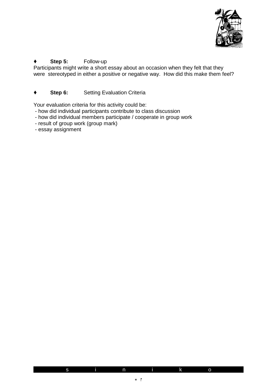

#### **Step 5:** Follow-up

Participants might write a short essay about an occasion when they felt that they were stereotyped in either a positive or negative way. How did this make them feel?

#### ◆ Step 6: Setting Evaluation Criteria

Your evaluation criteria for this activity could be:

- how did individual participants contribute to class discussion
- how did individual members participate / cooperate in group work
- result of group work (group mark)
- essay assignment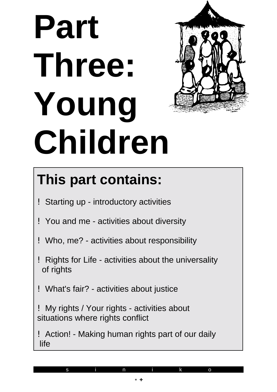# **Part Three: Young Children**



## **This part contains:**

- ! Starting up introductory activities
- ! You and me activities about diversity
- ! Who, me? activities about responsibility
- ! Rights for Life activities about the universality of rights
- ! What's fair? activities about justice
- ! My rights / Your rights activities about situations where rights conflict
- ! Action! Making human rights part of our daily life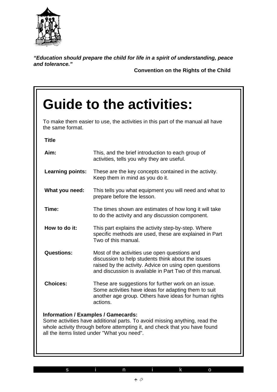

*"Education should prepare the child for life in a spirit of understanding, peace and tolerance."* 

**Convention on the Rights of the Child**

#### **Guide to the activities:** To make them easier to use, the activities in this part of the manual all have the same format.  **Title Aim:** This, and the brief introduction to each group of activities, tells you why they are useful.  **Learning points:** These are the key concepts contained in the activity. Keep them in mind as you do it.  **What you need:** This tells you what equipment you will need and what to prepare before the lesson. **Time:** The times shown are estimates of how long it will take to do the activity and any discussion component. **How to do it:** This part explains the activity step-by-step. Where specific methods are used, these are explained in Part Two of this manual.  **Questions:** Most of the activities use open questions and discussion to help students think about the issues raised by the activity. Advice on using open questions and discussion is available in Part Two of this manual. **Choices:** These are suggestions for further work on an issue. Some activities have ideas for adapting them to suit another age group. Others have ideas for human rights actions. **Information / Examples / Gamecards:**  Some activities have additional parts. To avoid missing anything, read the whole activity through before attempting it, and check that you have found all the items listed under "What you need".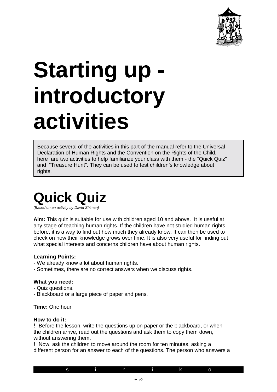

## **Starting up introductory activities**

Because several of the activities in this part of the manual refer to the Universal Declaration of Human Rights and the Convention on the Rights of the Child, here are two activities to help familiarize your class with them - the "Quick Quiz" and "Treasure Hunt". They can be used to test children's knowledge about rights.

### **Quick Quiz**

*(Based on an activity by David Shiman)*

**Aim:** This quiz is suitable for use with children aged 10 and above. It is useful at any stage of teaching human rights. If the children have not studied human rights before, it is a way to find out how much they already know. It can then be used to check on how their knowledge grows over time. It is also very useful for finding out what special interests and concerns children have about human rights.

#### **Learning Points:**

- We already know a lot about human rights.
- Sometimes, there are no correct answers when we discuss rights.

#### **What you need:**

- Quiz questions.
- Blackboard or a large piece of paper and pens.

#### **Time:** One hour

#### **How to do it:**

! Before the lesson, write the questions up on paper or the blackboard, or when the children arrive, read out the questions and ask them to copy them down, without answering them.

! Now, ask the children to move around the room for ten minutes, asking a different person for an answer to each of the questions. The person who answers a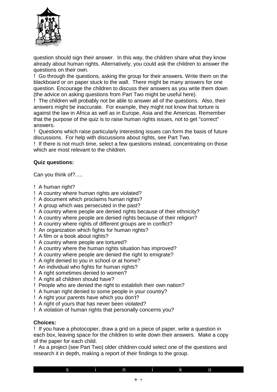

question should sign their answer. In this way, the children share what they know already about human rights. Alternatively, you could ask the children to answer the questions on their own.

! Go through the questions, asking the group for their answers. Write them on the blackboard or on paper stuck to the wall. There might be many answers for one question. Encourage the children to discuss their answers as you write them down (the advice on asking questions from Part Two might be useful here).

! The children will probably not be able to answer all of the questions. Also, their answers might be inaccurate. For example, they might not know that torture is against the law in Africa as well as in Europe, Asia and the Americas. Remember that the purpose of the quiz is to raise human rights issues, not to get "correct" answers.

! Questions which raise particularly interesting issues can form the basis of future discussions. For help with discussions about rights, see Part Two.

! If there is not much time, select a few questions instead, concentrating on those which are most relevant to the children.

#### **Quiz questions:**

Can you think of?.....

- ! A human right?
- ! A country where human rights are violated?
- ! A document which proclaims human rights?
- ! A group which was persecuted in the past?
- ! A country where people are denied rights because of their ethnicity?
- ! A country where people are denied rights because of their religion?
- ! A country where rights of different groups are in conflict?
- ! An organization which fights for human rights?
- ! A film or a book about rights?
- ! A country where people are tortured?
- ! A country where the human rights situation has improved?
- ! A country where people are denied the right to emigrate?
- ! A right denied to you in school or at home?
- ! An individual who fights for human rights?
- ! A right sometimes denied to women?
- ! A right all children should have?
- ! People who are denied the right to establish their own nation?
- ! A human right denied to some people in your country?
- ! A right your parents have which you don't?
- ! A right of yours that has never been violated?
- ! A violation of human rights that personally concerns you?

#### **Choices:**

! If you have a photocopier, draw a grid on a piece of paper, write a question in each box, leaving space for the children to write down their answers. Make a copy of the paper for each child.

! As a project (see Part Two) older children could select one of the questions and research it in depth, making a report of their findings to the group.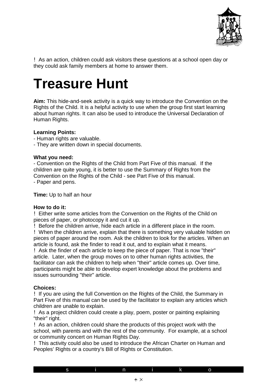

! As an action, children could ask visitors these questions at a school open day or they could ask family members at home to answer them.

## **Treasure Hunt**

**Aim:** This hide-and-seek activity is a quick way to introduce the Convention on the Rights of the Child. It is a helpful activity to use when the group first start learning about human rights. It can also be used to introduce the Universal Declaration of Human Rights.

#### **Learning Points:**

- Human rights are valuable.
- They are written down in special documents.

#### **What you need:**

- Convention on the Rights of the Child from Part Five of this manual. If the children are quite young, it is better to use the Summary of Rights from the Convention on the Rights of the Child - see Part Five of this manual. - Paper and pens.

**Time:** Up to half an hour

#### **How to do it:**

! Either write some articles from the Convention on the Rights of the Child on pieces of paper, or photocopy it and cut it up.

! Before the children arrive, hide each article in a different place in the room.

! When the children arrive, explain that there is something very valuable hidden on pieces of paper around the room. Ask the children to look for the articles. When an article is found, ask the finder to read it out, and to explain what it means. ! Ask the finder of each article to keep the piece of paper. That is now "their"

article. Later, when the group moves on to other human rights activities, the facilitator can ask the children to help when "their" article comes up. Over time, participants might be able to develop expert knowledge about the problems and issues surrounding "their" article.

#### **Choices:**

! If you are using the full Convention on the Rights of the Child, the Summary in Part Five of this manual can be used by the facilitator to explain any articles which children are unable to explain.

! As a project children could create a play, poem, poster or painting explaining "their" right.

! As an action, children could share the products of this project work with the school, with parents and with the rest of the community. For example, at a school or community concert on Human Rights Day.

! This activity could also be used to introduce the African Charter on Human and Peoples' Rights or a country's Bill of Rights or Constitution.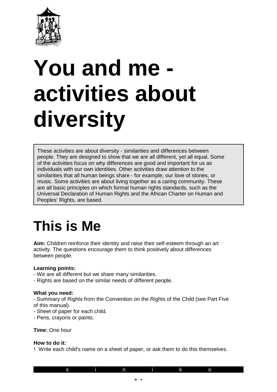

## **You and me activities about diversity**

These activities are about diversity - similarities and differences between people. They are designed to show that we are all different, yet all equal. Some of the activities focus on why differences are good and important for us as individuals with our own identities. Other activities draw attention to the similarities that all human beings share - for example, our love of stories, or music. Some activities are about living together as a caring community. These are all basic principles on which formal human rights standards, such as the Universal Declaration of Human Rights and the African Charter on Human and Peoples' Rights, are based.

## **This is Me**

**Aim:** Children reinforce their identity and raise their self-esteem through an art activity. The questions encourage them to think positively about differences between people.

#### **Learning points:**

- We are all different but we share many similarities.
- Rights are based on the similar needs of different people.

#### **What you need:**

- Summary of Rights from the Convention on the Rights of the Child (see Part Five of this manual).

- Sheet of paper for each child.
- Pens, crayons or paints.

#### **Time:** One hour

#### **How to do it:**

! Write each child's name on a sheet of paper, or ask them to do this themselves.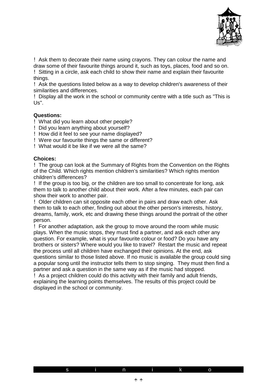

! Ask them to decorate their name using crayons. They can colour the name and draw some of their favourite things around it, such as toys, places, food and so on. ! Sitting in a circle, ask each child to show their name and explain their favourite things.

! Ask the questions listed below as a way to develop children's awareness of their similarities and differences.

! Display all the work in the school or community centre with a title such as "This is Us".

#### **Questions:**

! What did you learn about other people?

- ! Did you learn anything about yourself?
- ! How did it feel to see your name displayed?
- ! Were our favourite things the same or different?
- ! What would it be like if we were all the same?

#### **Choices:**

! The group can look at the Summary of Rights from the Convention on the Rights of the Child. Which rights mention children's similarities? Which rights mention children's differences?

! If the group is too big, or the children are too small to concentrate for long, ask them to talk to another child about their work. After a few minutes, each pair can show their work to another pair.

! Older children can sit opposite each other in pairs and draw each other. Ask them to talk to each other, finding out about the other person's interests, history, dreams, family, work, etc and drawing these things around the portrait of the other person.

! For another adaptation, ask the group to move around the room while music plays. When the music stops, they must find a partner, and ask each other any question. For example, what is your favourite colour or food? Do you have any brothers or sisters? Where would you like to travel? Restart the music and repeat the process until all children have exchanged their opinions. At the end, ask questions similar to those listed above. If no music is available the group could sing a popular song until the instructor tells them to stop singing. They must then find a partner and ask a question in the same way as if the music had stopped.

! As a project children could do this activity with their family and adult friends, explaining the learning points themselves. The results of this project could be displayed in the school or community.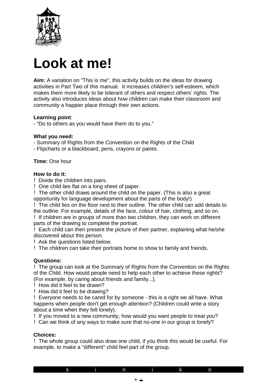

## **Look at me!**

**Aim:** A variation on "This is me", this activity builds on the ideas for drawing activities in Part Two of this manual. It increases children's self-esteem, which makes them more likely to be tolerant of others and respect others' rights. The activity also introduces ideas about how children can make their classroom and community a happier place through their own actions.

#### **Learning point**:

- "Do to others as you would have them do to you."

#### **What you need:**

- Summary of Rights from the Convention on the Rights of the Child
- Flipcharts or a blackboard, pens, crayons or paints.

**Time:** One hour

#### **How to do it:**

- ! Divide the children into pairs.
- ! One child lies flat on a long sheet of paper.
- ! The other child draws around the child on the paper. (This is also a great opportunity for language development about the parts of the body!)

! The child lies on the floor next to their outline. The other child can add details to the outline. For example, details of the face, colour of hair, clothing, and so on.

! If children are in groups of more than two children, they can work on different parts of the drawing to complete the portrait.

! Each child can then present the picture of their partner, explaining what he/she discovered about this person.

! Ask the questions listed below.

! The children can take their portraits home to show to family and friends.

#### **Questions:**

! The group can look at the Summary of Rights from the Convention on the Rights of the Child. How would people need to help each other to achieve these rights? (For example, by caring about friends and family...).

! How did it feel to be drawn?

! How did it feel to be drawing?

! Everyone needs to be cared for by someone - this is a right we all have. What happens when people don't get enough attention? (Children could write a story about a time when they felt lonely).

! If you moved to a new community, how would you want people to treat you?

! Can we think of any ways to make sure that no-one in our group is lonely?

#### **Choices:**

! The whole group could also draw one child, if you think this would be useful. For example, to make a "different" child feel part of the group.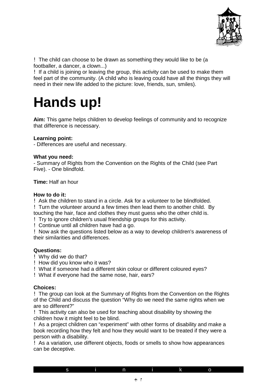

! The child can choose to be drawn as something they would like to be (a footballer, a dancer, a clown...)

! If a child is joining or leaving the group, this activity can be used to make them feel part of the community. (A child who is leaving could have all the things they will need in their new life added to the picture: love, friends, sun, smiles).

## **Hands up!**

**Aim:** This game helps children to develop feelings of community and to recognize that difference is necessary.

#### **Learning point:**

- Differences are useful and necessary.

#### **What you need:**

- Summary of Rights from the Convention on the Rights of the Child (see Part Five). - One blindfold.

**Time:** Half an hour

#### **How to do it:**

! Ask the children to stand in a circle. Ask for a volunteer to be blindfolded.

! Turn the volunteer around a few times then lead them to another child. By

touching the hair, face and clothes they must guess who the other child is.

! Try to ignore children's usual friendship groups for this activity.

! Continue until all children have had a go.

! Now ask the questions listed below as a way to develop children's awareness of their similarities and differences.

#### **Questions:**

- ! Why did we do that?
- ! How did you know who it was?
- ! What if someone had a different skin colour or different coloured eyes?
- ! What if everyone had the same nose, hair, ears?

#### **Choices:**

! The group can look at the Summary of Rights from the Convention on the Rights of the Child and discuss the question "Why do we need the same rights when we are so different?"

! This activity can also be used for teaching about disability by showing the children how it might feel to be blind.

! As a project children can "experiment" with other forms of disability and make a book recording how they felt and how they would want to be treated if they were a person with a disability.

! As a variation, use different objects, foods or smells to show how appearances can be deceptive.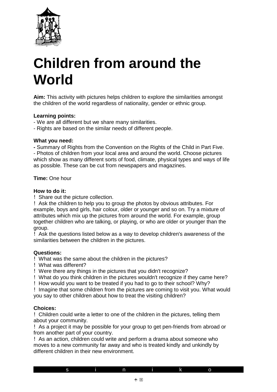

## **Children from around the World**

**Aim:** This activity with pictures helps children to explore the similarities amongst the children of the world regardless of nationality, gender or ethnic group.

#### **Learning points:**

- We are all different but we share many similarities.

- Rights are based on the similar needs of different people.

#### **What you need:**

**-** Summary of Rights from the Convention on the Rights of the Child in Part Five. - Photos of children from your local area and around the world. Choose pictures which show as many different sorts of food, climate, physical types and ways of life as possible. These can be cut from newspapers and magazines.

**Time:** One hour

#### **How to do it:**

! Share out the picture collection.

! Ask the children to help you to group the photos by obvious attributes. For example, boys and girls, hair colour, older or younger and so on. Try a mixture of attributes which mix up the pictures from around the world. For example, group together children who are talking, or playing, or who are older or younger than the group.

! Ask the questions listed below as a way to develop children's awareness of the similarities between the children in the pictures.

#### **Questions:**

! What was the same about the children in the pictures?

! What was different?

! Were there any things in the pictures that you didn't recognize?

! What do you think children in the pictures wouldn't recognize if they came here?

! How would you want to be treated if you had to go to their school? Why?

! Imagine that some children from the pictures are coming to visit you. What would you say to other children about how to treat the visiting children?

#### **Choices:**

! Children could write a letter to one of the children in the pictures, telling them about your community.

! As a project it may be possible for your group to get pen-friends from abroad or from another part of your country.

! As an action, children could write and perform a drama about someone who moves to a new community far away and who is treated kindly and unkindly by different children in their new environment.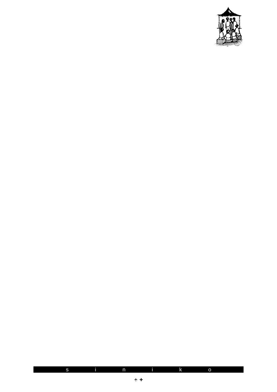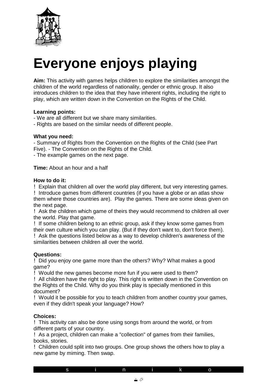

## **Everyone enjoys playing**

**Aim:** This activity with games helps children to explore the similarities amongst the children of the world regardless of nationality, gender or ethnic group. It also introduces children to the idea that they have inherent rights, including the right to play, which are written down in the Convention on the Rights of the Child.

#### **Learning points:**

- We are all different but we share many similarities.
- Rights are based on the similar needs of different people.

#### **What you need:**

- Summary of Rights from the Convention on the Rights of the Child (see Part Five). - The Convention on the Rights of the Child.

- The example games on the next page.

**Time:** About an hour and a half

#### **How to do it:**

! Explain that children all over the world play different, but very interesting games.

! Introduce games from different countries (if you have a globe or an atlas show them where those countries are). Play the games. There are some ideas given on the next page.

! Ask the children which game of theirs they would recommend to children all over the world. Play that game.

! If some children belong to an ethnic group, ask if they know some games from their own culture which you can play. (But if they don't want to, don't force them). ! Ask the questions listed below as a way to develop children's awareness of the similarities between children all over the world.

#### **Questions:**

! Did you enjoy one game more than the others? Why? What makes a good game?

! Would the new games become more fun if you were used to them?

! All children have the right to play. This right is written down in the Convention on the Rights of the Child. Why do you think play is specially mentioned in this document?

! Would it be possible for you to teach children from another country your games, even if they didn't speak your language? How?

#### **Choices:**

! This activity can also be done using songs from around the world, or from different parts of your country.

! As a project, children can make a "collection" of games from their families, books, stories.

! Children could split into two groups. One group shows the others how to play a new game by miming. Then swap.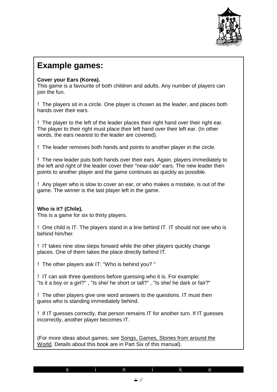

#### **Example games:**

#### **Cover your Ears (Korea).**

This game is a favourite of both children and adults. Any number of players can join the fun.

! The players sit in a circle. One player is chosen as the leader, and places both hands over their ears.

! The player to the left of the leader places their right hand over their right ear. The player to their right must place their left hand over their left ear. (In other words, the ears nearest to the leader are covered).

! The leader removes both hands and points to another player in the circle.

! The new leader puts both hands over their ears. Again, players immediately to the left and right of the leader cover their "near-side" ears. The new leader then points to another player and the game continues as quickly as possible.

! Any player who is slow to cover an ear, or who makes a mistake, is out of the game. The winner is the last player left in the game.

#### **Who is it? (Chile).**

This is a game for six to thirty players.

! One child is IT. The players stand in a line behind IT. IT should not see who is behind him/her.

! IT takes nine slow steps forward while the other players quickly change places. One of them takes the place directly behind IT.

! The other players ask IT: "Who is behind you? "

! IT can ask three questions before guessing who it is. For example: "Is it a boy or a girl?" , "Is she/ he short or tall?" , "Is she/ he dark or fair?"

! The other players give one word answers to the questions. IT must then guess who is standing immediately behind.

! If IT guesses correctly, that person remains IT for another turn. If IT guesses incorrectly, another player becomes IT.

(For more ideas about games, see Songs, Games, Stories from around the World. Details about this book are in Part Six of this manual).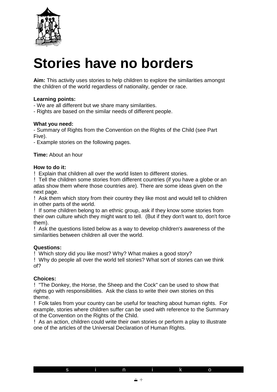

## **Stories have no borders**

**Aim:** This activity uses stories to help children to explore the similarities amongst the children of the world regardless of nationality, gender or race.

#### **Learning points:**

- We are all different but we share many similarities.

- Rights are based on the similar needs of different people.

#### **What you need:**

- Summary of Rights from the Convention on the Rights of the Child (see Part Five).

- Example stories on the following pages.

**Time:** About an hour

#### **How to do it:**

! Explain that children all over the world listen to different stories.

! Tell the children some stories from different countries (if you have a globe or an atlas show them where those countries are). There are some ideas given on the next page.

! Ask them which story from their country they like most and would tell to children in other parts of the world.

! If some children belong to an ethnic group, ask if they know some stories from their own culture which they might want to tell. (But if they don't want to, don't force them).

! Ask the questions listed below as a way to develop children's awareness of the similarities between children all over the world.

#### **Questions:**

! Which story did you like most? Why? What makes a good story?

! Why do people all over the world tell stories? What sort of stories can we think of?

#### **Choices:**

! "The Donkey, the Horse, the Sheep and the Cock" can be used to show that rights go with responsibilities. Ask the class to write their own stories on this theme.

! Folk tales from your country can be useful for teaching about human rights. For example, stories where children suffer can be used with reference to the Summary of the Convention on the Rights of the Child.

! As an action, children could write their own stories or perform a play to illustrate one of the articles of the Universal Declaration of Human Rights.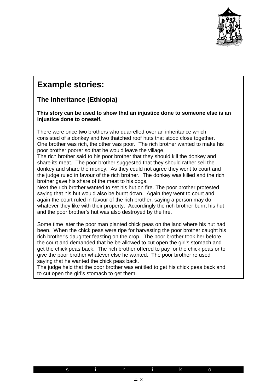

#### **Example stories:**

**The Inheritance (Ethiopia)**

**This story can be used to show that an injustice done to someone else is an injustice done to oneself.**

There were once two brothers who quarrelled over an inheritance which consisted of a donkey and two thatched roof huts that stood close together. One brother was rich, the other was poor. The rich brother wanted to make his poor brother poorer so that he would leave the village.

The rich brother said to his poor brother that they should kill the donkey and share its meat. The poor brother suggested that they should rather sell the donkey and share the money. As they could not agree they went to court and the judge ruled in favour of the rich brother. The donkey was killed and the rich brother gave his share of the meat to his dogs.

Next the rich brother wanted to set his hut on fire. The poor brother protested saying that his hut would also be burnt down. Again they went to court and again the court ruled in favour of the rich brother, saying a person may do whatever they like with their property. Accordingly the rich brother burnt his hut and the poor brother's hut was also destroyed by the fire.

Some time later the poor man planted chick peas on the land where his hut had been. When the chick peas were ripe for harvesting the poor brother caught his rich brother's daughter feasting on the crop. The poor brother took her before the court and demanded that he be allowed to cut open the girl's stomach and get the chick peas back. The rich brother offered to pay for the chick peas or to give the poor brother whatever else he wanted. The poor brother refused saying that he wanted the chick peas back.

The judge held that the poor brother was entitled to get his chick peas back and to cut open the girl's stomach to get them.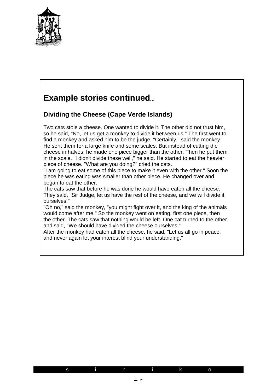

#### **Example stories continued...**

#### **Dividing the Cheese (Cape Verde Islands)**

Two cats stole a cheese. One wanted to divide it. The other did not trust him, so he said, "No, let us get a monkey to divide it between us!" The first went to find a monkey and asked him to be the judge. "Certainly," said the monkey. He sent them for a large knife and some scales. But instead of cutting the cheese in halves, he made one piece bigger than the other. Then he put them in the scale. "I didn't divide these well," he said. He started to eat the heavier piece of cheese. "What are you doing?" cried the cats.

"I am going to eat some of this piece to make it even with the other." Soon the piece he was eating was smaller than other piece. He changed over and began to eat the other.

The cats saw that before he was done he would have eaten all the cheese. They said, "Sir Judge, let us have the rest of the cheese, and we will divide it ourselves."

"Oh no," said the monkey, "you might fight over it, and the king of the animals would come after me." So the monkey went on eating, first one piece, then the other. The cats saw that nothing would be left. One cat turned to the other and said, "We should have divided the cheese ourselves."

After the monkey had eaten all the cheese, he said, "Let us all go in peace, and never again let your interest blind your understanding."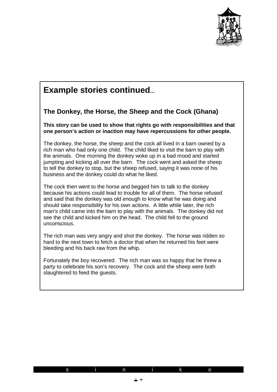

#### **Example stories continued...**

#### **The Donkey, the Horse, the Sheep and the Cock (Ghana)**

**This story can be used to show that rights go with responsibilities and that one person's action or inaction may have repercussions for other people.**

The donkey, the horse, the sheep and the cock all lived in a barn owned by a rich man who had only one child. The child liked to visit the barn to play with the animals. One morning the donkey woke up in a bad mood and started jumpting and kicking all over the barn. The cock went and asked the sheep to tell the donkey to stop, but the sheep refused, saying it was none of his business and the donkey could do what he liked.

The cock then went to the horse and begged him to talk to the donkey because his actions could lead to trouble for all of them. The horse refused and said that the donkey was old enough to know what he was doing and should take responsibility for his own actions. A little while later, the rich man's child came into the barn to play with the animals. The donkey did not see the child and kicked him on the head. The child fell to the ground unconscious.

The rich man was very angry and shot the donkey. The horse was ridden so hard to the next town to fetch a doctor that when he returned his feet were bleeding and his back raw from the whip.

Fortunately the boy recovered. The rich man was so happy that he threw a party to celebrate his son's recovery. The cock and the sheep were both slaughtered to feed the guests.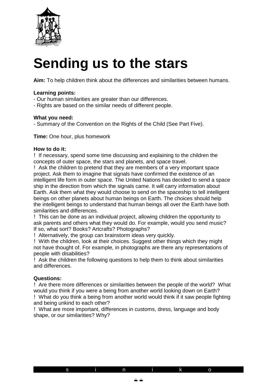

## **Sending us to the stars**

**Aim:** To help children think about the differences and similarities between humans.

#### **Learning points:**

- Our human similarities are greater than our differences.
- Rights are based on the similar needs of different people.

#### **What you need:**

- Summary of the Convention on the Rights of the Child (See Part Five).

**Time:** One hour, plus homework

#### **How to do it:**

! If necessary, spend some time discussing and explaining to the children the concepts of outer space, the stars and planets, and space travel.

! Ask the children to pretend that they are members of a very important space project. Ask them to imagine that signals have confirmed the existence of an intelligent life form in outer space. The United Nations has decided to send a space ship in the direction from which the signals came. It will carry information about Earth. Ask them what they would choose to send on the spaceship to tell intelligent beings on other planets about human beings on Earth. The choices should help the intelligent beings to understand that human beings all over the Earth have both similarities and differences.

! This can be done as an individual project, allowing children the opportunity to ask parents and others what they would do. For example, would you send music? If so, what sort? Books? Artcrafts? Photographs?

! Alternatively, the group can brainstorm ideas very quickly.

! With the children, look at their choices. Suggest other things which they might not have thought of. For example, in photographs are there any representations of people with disabilities?

! Ask the children the following questions to help them to think about similarities and differences.

#### **Questions:**

! Are there more differences or similarities between the people of the world? What would you think if you were a being from another world looking down on Earth? ! What do you think a being from another world would think if it saw people fighting

and being unkind to each other?

! What are more important, differences in customs, dress, language and body shape, or our similarities? Why?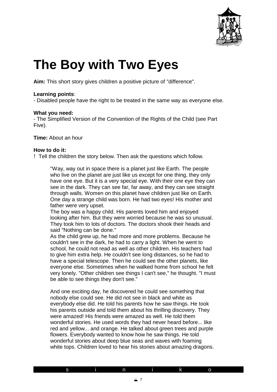

### **The Boy with Two Eyes**

**Aim:** This short story gives children a positive picture of "difference".

#### **Learning points**:

- Disabled people have the right to be treated in the same way as everyone else.

#### **What you need:**

- The Simplified Version of the Convention of the Rights of the Child (see Part Five).

#### **Time:** About an hour

#### **How to do it:**

! Tell the children the story below. Then ask the questions which follow.

"Way, way out in space there is a planet just like Earth. The people who live on the planet are just like us except for one thing, they only have one eye. But it is a very special eye. With their one eye they can see in the dark. They can see far, far away, and they can see straight through walls. Women on this planet have children just like on Earth. One day a strange child was born. He had two eyes! His mother and father were very upset.

The boy was a happy child. His parents loved him and enjoyed looking after him. But they were worried because he was so unusual. They took him to lots of doctors. The doctors shook their heads and said "Nothing can be done."

As the child grew up, he had more and more problems. Because he couldn't see in the dark, he had to carry a light. When he went to school, he could not read as well as other children. His teachers had to give him extra help. He couldn't see long distances, so he had to have a special telescope. Then he could see the other planets, like everyone else. Sometimes when he walked home from school he felt very lonely. "Other children see things I can't see," he thought. "I must be able to see things they don't see."

And one exciting day, he discovered he could see something that nobody else could see. He did not see in black and white as everybody else did. He told his parents how he saw things. He took his parents outside and told them about his thrilling discovery. They were amazed! His friends were amazed as well. He told them wonderful stories. He used words they had never heard before... like red and yellow... and orange. He talked about green trees and purple flowers. Everybody wanted to know how he saw things. He told wonderful stories about deep blue seas and waves with foaming white tops. Children loved to hear his stories about amazing dragons.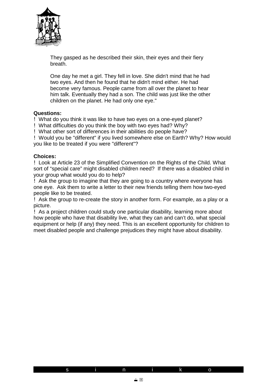

They gasped as he described their skin, their eyes and their fiery breath.

One day he met a girl. They fell in love. She didn't mind that he had two eyes. And then he found that he didn't mind either. He had become very famous. People came from all over the planet to hear him talk. Eventually they had a son. The child was just like the other children on the planet. He had only one eye."

#### **Questions:**

! What do you think it was like to have two eyes on a one-eyed planet?

! What difficulties do you think the boy with two eyes had? Why?

! What other sort of differences in their abilities do people have?

! Would you be "different" if you lived somewhere else on Earth? Why? How would you like to be treated if you were "different"?

#### **Choices:**

! Look at Article 23 of the Simplified Convention on the Rights of the Child. What sort of "special care" might disabled children need? If there was a disabled child in your group what would you do to help?

! Ask the group to imagine that they are going to a country where everyone has one eye. Ask them to write a letter to their new friends telling them how two-eyed people like to be treated.

! Ask the group to re-create the story in another form. For example, as a play or a picture.

! As a project children could study one particular disability, learning more about how people who have that disability live, what they can and can't do, what special equipment or help (if any) they need. This is an excellent opportunity for children to meet disabled people and challenge prejudices they might have about disability.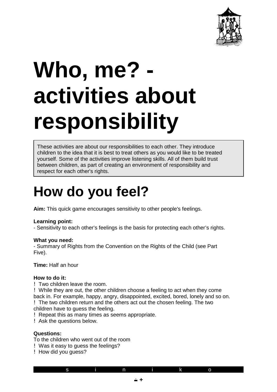

## **Who, me? activities about responsibility**

These activities are about our responsibilities to each other. They introduce children to the idea that it is best to treat others as you would like to be treated yourself. Some of the activities improve listening skills. All of them build trust between children, as part of creating an environment of responsibility and respect for each other's rights.

## **How do you feel?**

**Aim:** This quick game encourages sensitivity to other people's feelings.

#### **Learning point:**

- Sensitivity to each other's feelings is the basis for protecting each other's rights.

#### **What you need:**

- Summary of Rights from the Convention on the Rights of the Child (see Part Five).

**Time:** Half an hour

#### **How to do it:**

! Two children leave the room.

! While they are out, the other children choose a feeling to act when they come back in. For example, happy, angry, disappointed, excited, bored, lonely and so on. ! The two children return and the others act out the chosen feeling. The two

- children have to guess the feeling.
- ! Repeat this as many times as seems appropriate.
- ! Ask the questions below.

#### **Questions:**

To the children who went out of the room

- ! Was it easy to guess the feelings?
- ! How did you guess?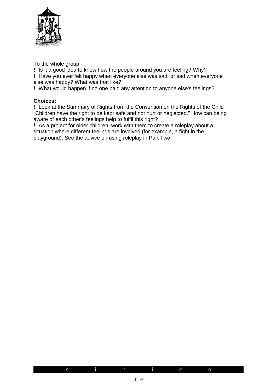

To the whole group -

! Is it a good idea to know how the people around you are feeling? Why?

! Have you ever felt happy when everyone else was sad, or sad when everyone else was happy? What was that like?

! What would happen if no one paid any attention to anyone else's feelings?

#### **Choices:**

! Look at the Summary of Rights from the Convention on the Rights of the Child "Children have the right to be kept safe and not hurt or neglected." How can being aware of each other's feelings help to fulfil this right?

! As a project for older children, work with them to create a roleplay about a situation where different feelings are involved (for example, a fight in the playground). See the advice on using roleplay in Part Two.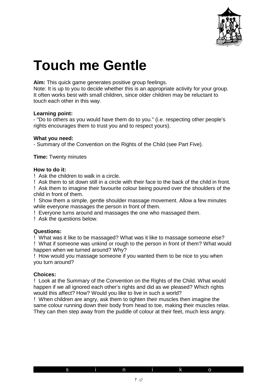

# **Touch me Gentle**

**Aim:** This quick game generates positive group feelings.

Note: It is up to you to decide whether this is an appropriate activity for your group. It often works best with small children, since older children may be reluctant to touch each other in this way.

# **Learning point:**

- "Do to others as you would have them do to you." (i.e. respecting other people's rights encourages them to trust you and to respect yours).

# **What you need:**

- Summary of the Convention on the Rights of the Child (see Part Five).

**Time:** Twenty minutes

# **How to do it:**

! Ask the children to walk in a circle.

! Ask them to sit down still in a circle with their face to the back of the child in front. ! Ask them to imagine their favourite colour being poured over the shoulders of the child in front of them.

! Show them a simple, gentle shoulder massage movement. Allow a few minutes while everyone massages the person in front of them.

! Everyone turns around and massages the one who massaged them.

! Ask the questions below.

# **Questions:**

! What was it like to be massaged? What was it like to massage someone else? ! What if someone was unkind or rough to the person in front of them? What would happen when we turned around? Why?

! How would you massage someone if you wanted them to be nice to you when you turn around?

# **Choices:**

! Look at the Summary of the Convention on the Rights of the Child. What would happen if we all ignored each other's rights and did as we pleased? Which rights would this affect? How? Would you like to live in such a world?

! When children are angry, ask them to tighten their muscles then imagine the same colour running down their body from head to toe, making their muscles relax. They can then step away from the puddle of colour at their feet, much less angry.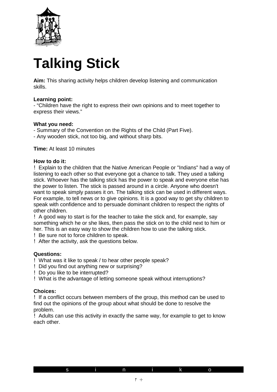

# **Talking Stick**

**Aim:** This sharing activity helps children develop listening and communication skills.

# **Learning point:**

- "Children have the right to express their own opinions and to meet together to express their views."

# **What you need:**

- Summary of the Convention on the Rights of the Child (Part Five).
- Any wooden stick, not too big, and without sharp bits.

**Time:** At least 10 minutes

# **How to do it:**

! Explain to the children that the Native American People or "Indians" had a way of listening to each other so that everyone got a chance to talk. They used a talking stick. Whoever has the talking stick has the power to speak and everyone else has the power to listen. The stick is passed around in a circle. Anyone who doesn't want to speak simply passes it on. The talking stick can be used in different ways. For example, to tell news or to give opinions. It is a good way to get shy children to speak with confidence and to persuade dominant children to respect the rights of other children.

! A good way to start is for the teacher to take the stick and, for example, say something which he or she likes, then pass the stick on to the child next to him or her. This is an easy way to show the children how to use the talking stick.

! Be sure not to force children to speak.

! After the activity, ask the questions below.

# **Questions:**

- ! What was it like to speak / to hear other people speak?
- ! Did you find out anything new or surprising?
- ! Do you like to be interrupted?
- ! What is the advantage of letting someone speak without interruptions?

# **Choices:**

! If a conflict occurs between members of the group, this method can be used to find out the opinions of the group about what should be done to resolve the problem.

! Adults can use this activity in exactly the same way, for example to get to know each other.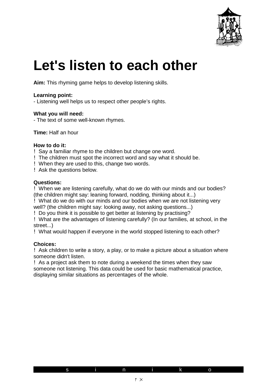

# **Let's listen to each other**

**Aim:** This rhyming game helps to develop listening skills.

# **Learning point:**

- Listening well helps us to respect other people's rights.

# **What you will need:**

- The text of some well-known rhymes.

**Time:** Half an hour

# **How to do it:**

- ! Say a familiar rhyme to the children but change one word.
- ! The children must spot the incorrect word and say what it should be.
- ! When they are used to this, change two words.
- ! Ask the questions below.

# **Questions:**

! When we are listening carefully, what do we do with our minds and our bodies? (the children might say: leaning forward, nodding, thinking about it...)

! What do we do with our minds and our bodies when we are not listening very well? (the children might say: looking away, not asking questions...)

! Do you think it is possible to get better at listening by practising?

! What are the advantages of listening carefully? (In our families, at school, in the street...)

! What would happen if everyone in the world stopped listening to each other?

# **Choices:**

! Ask children to write a story, a play, or to make a picture about a situation where someone didn't listen.

! As a project ask them to note during a weekend the times when they saw someone not listening. This data could be used for basic mathematical practice, displaying similar situations as percentages of the whole.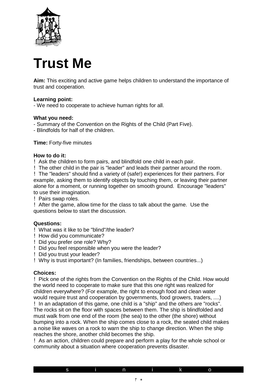

# **Trust Me**

**Aim:** This exciting and active game helps children to understand the importance of trust and cooperation.

# **Learning point:**

- We need to cooperate to achieve human rights for all.

# **What you need:**

- Summary of the Convention on the Rights of the Child (Part Five).
- Blindfolds for half of the children.

**Time:** Forty-five minutes

### **How to do it:**

! Ask the children to form pairs, and blindfold one child in each pair.

! The other child in the pair is "leader" and leads their partner around the room.

! The "leaders" should find a variety of (safe!) experiences for their partners. For example, asking them to identify objects by touching them, or leaving their partner alone for a moment, or running together on smooth ground. Encourage "leaders" to use their imagination.

! Pairs swap roles.

! After the game, allow time for the class to talk about the game. Use the questions below to start the discussion.

# **Questions:**

- ! What was it like to be "blind"/the leader?
- ! How did you communicate?
- ! Did you prefer one role? Why?
- ! Did you feel responsible when you were the leader?
- ! Did you trust your leader?
- ! Why is trust important? (In families, friendships, between countries...)

# **Choices:**

! Pick one of the rights from the Convention on the Rights of the Child. How would the world need to cooperate to make sure that this one right was realized for children everywhere? (For example, the right to enough food and clean water would require trust and cooperation by governments, food growers, traders, ....)

! In an adaptation of this game, one child is a "ship" and the others are "rocks". The rocks sit on the floor with spaces between them. The ship is blindfolded and must walk from one end of the room (the sea) to the other (the shore) without bumping into a rock. When the ship comes close to a rock, the seated child makes a noise like waves on a rock to warn the ship to change direction. When the ship reaches the shore, another child becomes the ship.

! As an action, children could prepare and perform a play for the whole school or community about a situation where cooperation prevents disaster.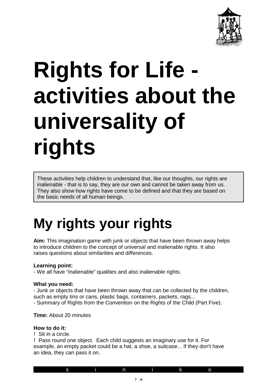

# **Rights for Life activities about the universality of rights**

These activities help children to understand that, like our thoughts, our rights are inalienable - that is to say, they are our own and cannot be taken away from us. They also show how rights have come to be defined and that they are based on the basic needs of all human beings.

# **My rights your rights**

**Aim:** This imagination game with junk or objects that have been thrown away helps to introduce children to the concept of universal and inalienable rights. It also raises questions about similarities and differences.

# **Learning point:**

- We all have "inalienable" qualities and also inalienable rights.

# **What you need:**

- Junk or objects that have been thrown away that can be collected by the children, such as empty tins or cans, plastic bags, containers, packets, rags... - Summary of Rights from the Convention on the Rights of the Child (Part Five).

# **Time:** About 20 minutes

# **How to do it:**

! Sit in a circle.

! Pass round one object. Each child suggests an imaginary use for it. For example, an empty packet could be a hat, a shoe, a suitcase... If they don't have an idea, they can pass it on.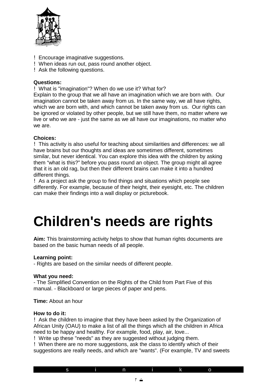

- ! Encourage imaginative suggestions.
- ! When ideas run out, pass round another object.
- ! Ask the following questions.

# **Questions:**

! What is "imagination"? When do we use it? What for?

Explain to the group that we all have an imagination which we are born with. Our imagination cannot be taken away from us. In the same way, we all have rights, which we are born with, and which cannot be taken away from us. Our rights can be ignored or violated by other people, but we still have them, no matter where we live or who we are - just the same as we all have our imaginations, no matter who we are.

# **Choices:**

! This activity is also useful for teaching about similarities and differences: we all have brains but our thoughts and ideas are sometimes different, sometimes similar, but never identical. You can explore this idea with the children by asking them "what is this?" before you pass round an object. The group might all agree that it is an old rag, but then their different brains can make it into a hundred different things.

! As a project ask the group to find things and situations which people see differently. For example, because of their height, their eyesight, etc. The children can make their findings into a wall display or picturebook.

# **Children's needs are rights**

**Aim:** This brainstorming activity helps to show that human rights documents are based on the basic human needs of all people.

# **Learning point:**

- Rights are based on the similar needs of different people.

# **What you need:**

- The Simplified Convention on the Rights of the Child from Part Five of this manual. - Blackboard or large pieces of paper and pens.

# **Time:** About an hour

### **How to do it:**

! Ask the children to imagine that they have been asked by the Organization of African Unity (OAU) to make a list of all the things which all the children in Africa need to be happy and healthy. For example, food, play, air, love...

! Write up these "needs" as they are suggested without judging them.

! When there are no more suggestions, ask the class to identify which of their suggestions are really needs, and which are "wants". (For example, TV and sweets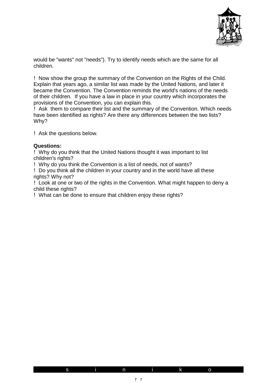

would be "wants" not "needs"). Try to identify needs which are the same for all children.

! Now show the group the summary of the Convention on the Rights of the Child. Explain that years ago, a similar list was made by the United Nations, and later it became the Convention. The Convention reminds the world's nations of the needs of their children. If you have a law in place in your country which incorporates the provisions of the Convention, you can explain this.

! Ask them to compare their list and the summary of the Convention. Which needs have been identified as rights? Are there any differences between the two lists? Why?

! Ask the questions below.

# **Questions:**

! Why do you think that the United Nations thought it was important to list children's rights?

! Why do you think the Convention is a list of needs, not of wants?

! Do you think all the children in your country and in the world have all these rights? Why not?

! Look at one or two of the rights in the Convention. What might happen to deny a child these rights?

! What can be done to ensure that children enjoy these rights?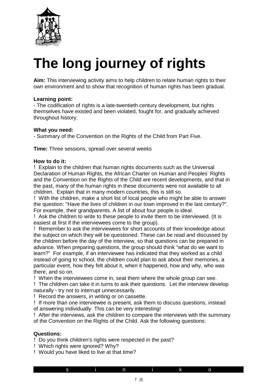

# **The long journey of rights**

**Aim:** This interviewing activity aims to help children to relate human rights to their own environment and to show that recognition of human rights has been gradual.

# **Learning point:**

- The codification of rights is a late-twentieth century development, but rights themselves have existed and been violated, fought for, and gradually achieved throughout history.

# **What you need:**

- Summary of the Convention on the Rights of the Child from Part Five.

**Time:** Three sessions, spread over several weeks

# **How to do it:**

! Explain to the children that human rights documents such as the Universal Declaration of Human Rights, the African Charter on Human and Peoples' Rights and the Convention on the Rights of the Child are recent developments, and that in the past, many of the human rights in these documents were not available to all children. Explain that in many modern countries, this is still so.

! With the children, make a short list of local people who might be able to answer the question: "Have the lives of children in our town improved in the last century?". For example, their grandparents. A list of about four people is ideal.

! Ask the children to write to these people to invite them to be interviewed. (It is easiest at first if the interviewees come to the group).

! Remember to ask the interviewees for short accounts of their knowledge about the subject on which they will be questioned. These can be read and discussed by the children before the day of the interview, so that questions can be prepared in advance. When preparing questions, the group should think "what do we want to learn?" For example, if an interviewee has indicated that they worked as a child instead of going to school, the children could plan to ask about their memories, a particular event, how they felt about it, when it happened, how and why, who was there, and so on.

! When the interviewees come in, seat them where the whole group can see.

! The children can take it in turns to ask their questions. Let the interview develop naturally - try not to interrupt unnecessarily.

! Record the answers, in writing or on cassette.

! If more than one interviewee is present, ask them to discuss questions, instead of answering individually. This can be very interesting!

! After the interviews, ask the children to compare the interviews with the summary of the Convention on the Rights of the Child. Ask the following questions:

# **Questions:**

- ! Do you think children's rights were respected in the past?
- ! Which rights were ignored? Why?
- ! Would you have liked to live at that time?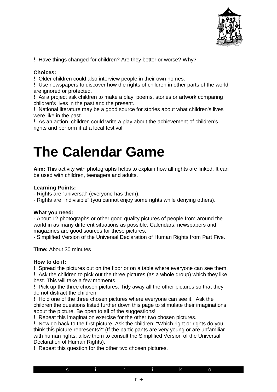

! Have things changed for children? Are they better or worse? Why?

# **Choices:**

! Older children could also interview people in their own homes.

! Use newspapers to discover how the rights of children in other parts of the world are ignored or protected.

! As a project ask children to make a play, poems, stories or artwork comparing children's lives in the past and the present.

! National literature may be a good source for stories about what children's lives were like in the past.

! As an action, children could write a play about the achievement of children's rights and perform it at a local festival.

# **The Calendar Game**

**Aim:** This activity with photographs helps to explain how all rights are linked. It can be used with children, teenagers and adults.

# **Learning Points:**

- Rights are "universal" (everyone has them).

- Rights are "indivisible" (you cannot enjoy some rights while denying others).

# **What you need:**

- About 12 photographs or other good quality pictures of people from around the world in as many different situations as possible. Calendars, newspapers and magazines are good sources for these pictures.

- Simplified Version of the Universal Declaration of Human Rights from Part Five.

**Time:** About 30 minutes

### **How to do it:**

! Spread the pictures out on the floor or on a table where everyone can see them. ! Ask the children to pick out the three pictures (as a whole group) which they like

best. This will take a few moments.

! Pick up the three chosen pictures. Tidy away all the other pictures so that they do not distract the children.

! Hold one of the three chosen pictures where everyone can see it. Ask the children the questions listed further down this page to stimulate their imaginations about the picture. Be open to all of the suggestions!

! Repeat this imagination exercise for the other two chosen pictures.

! Now go back to the first picture. Ask the children: "Which right or rights do you think this picture represents?" (If the participants are very young or are unfamiliar with human rights, allow them to consult the Simplified Version of the Universal Declaration of Human Rights).

! Repeat this question for the other two chosen pictures.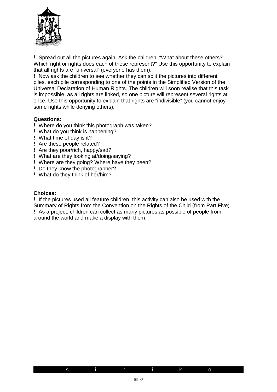

! Spread out all the pictures again. Ask the children: "What about these others? Which right or rights does each of these represent?" Use this opportunity to explain that all rights are "universal" (everyone has them).

! Now ask the children to see whether they can split the pictures into different piles, each pile corresponding to one of the points in the Simplified Version of the Universal Declaration of Human Rights. The children will soon realise that this task is impossible, as all rights are linked, so one picture will represent several rights at once. Use this opportunity to explain that rights are "indivisible" (you cannot enjoy some rights while denying others).

# **Questions:**

- ! Where do you think this photograph was taken?
- ! What do you think is happening?
- ! What time of day is it?
- ! Are these people related?
- ! Are they poor/rich, happy/sad?
- ! What are they looking at/doing/saying?
- ! Where are they going? Where have they been?
- ! Do they know the photographer?
- ! What do they think of her/him?

# **Choices:**

! If the pictures used all feature children, this activity can also be used with the Summary of Rights from the Convention on the Rights of the Child (from Part Five). ! As a project, children can collect as many pictures as possible of people from around the world and make a display with them.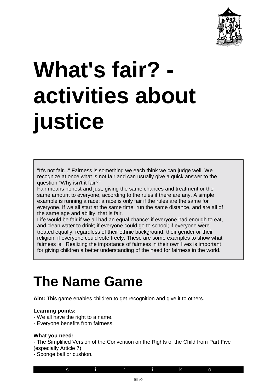

# **What's fair? activities about justice**

"It's not fair..." Fairness is something we each think we can judge well. We recognize at once what is not fair and can usually give a quick answer to the question "Why isn't it fair?"

Fair means honest and just, giving the same chances and treatment or the same amount to everyone, according to the rules if there are any. A simple example is running a race; a race is only fair if the rules are the same for everyone. If we all start at the same time, run the same distance, and are all of the same age and ability, that is fair.

Life would be fair if we all had an equal chance: if everyone had enough to eat, and clean water to drink; if everyone could go to school; if everyone were treated equally, regardless of their ethnic background, their gender or their religion; if everyone could vote freely. These are some examples to show what fairness is. Realizing the importance of fairness in their own lives is important for giving children a better understanding of the need for fairness in the world.

# **The Name Game**

**Aim:** This game enables children to get recognition and give it to others.

# **Learning points:**

- We all have the right to a name.
- Everyone benefits from fairness.

# **What you need:**

- The Simplified Version of the Convention on the Rights of the Child from Part Five (especially Article 7).

- Sponge ball or cushion.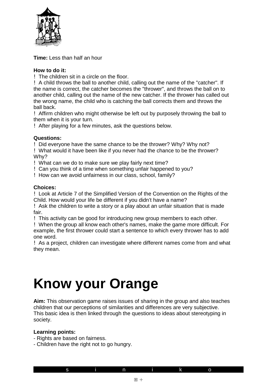

**Time:** Less than half an hour

# **How to do it:**

! The children sit in a circle on the floor.

! A child throws the ball to another child, calling out the name of the "catcher". If the name is correct, the catcher becomes the "thrower", and throws the ball on to another child, calling out the name of the new catcher. If the thrower has called out the wrong name, the child who is catching the ball corrects them and throws the ball back.

! Affirm children who might otherwise be left out by purposely throwing the ball to them when it is your turn.

! After playing for a few minutes, ask the questions below.

# **Questions:**

! Did everyone have the same chance to be the thrower? Why? Why not?

! What would it have been like if you never had the chance to be the thrower? Why?

- ! What can we do to make sure we play fairly next time?
- ! Can you think of a time when something unfair happened to you?
- ! How can we avoid unfairness in our class, school, family?

# **Choices:**

! Look at Article 7 of the Simplified Version of the Convention on the Rights of the Child. How would your life be different if you didn't have a name?

! Ask the children to write a story or a play about an unfair situation that is made fair.

! This activity can be good for introducing new group members to each other.

! When the group all know each other's names, make the game more difficult. For example, the first thrower could start a sentence to which every thrower has to add one word.

! As a project, children can investigate where different names come from and what they mean.

# **Know your Orange**

**Aim:** This observation game raises issues of sharing in the group and also teaches children that our perceptions of similarities and differences are very subjective. This basic idea is then linked through the questions to ideas about stereotyping in society.

# **Learning points:**

- Rights are based on fairness.
- Children have the right not to go hungry.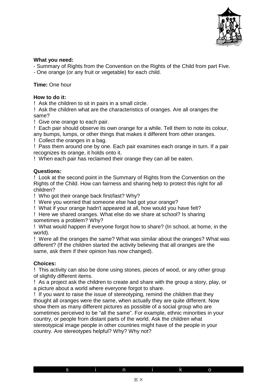

# **What you need:**

- Summary of Rights from the Convention on the Rights of the Child from part Five.

- One orange (or any fruit or vegetable) for each child.

**Time:** One hour

# **How to do it:**

! Ask the children to sit in pairs in a small circle.

! Ask the children what are the characteristics of oranges. Are all oranges the same?

! Give one orange to each pair.

! Each pair should observe its own orange for a while. Tell them to note its colour, any bumps, lumps, or other things that makes it different from other oranges.

! Collect the oranges in a bag.

! Pass them around one by one. Each pair examines each orange in turn. If a pair recognizes its orange, it holds onto it.

! When each pair has reclaimed their orange they can all be eaten.

# **Questions:**

! Look at the second point in the Summary of Rights from the Convention on the Rights of the Child. How can fairness and sharing help to protect this right for all children?

! Who got their orange back first/last? Why?

- ! Were you worried that someone else had got your orange?
- ! What if your orange hadn't appeared at all, how would you have felt?

! Here we shared oranges. What else do we share at school? Is sharing sometimes a problem? Why?

! What would happen if everyone forgot how to share? (In school, at home, in the world).

! Were all the oranges the same? What was similar about the oranges? What was different? (If the children started the activity believing that all oranges are the same, ask them if their opinion has now changed).

# **Choices:**

! This activity can also be done using stones, pieces of wood, or any other group of slightly different items.

! As a project ask the children to create and share with the group a story, play, or a picture about a world where everyone forgot to share.

! If you want to raise the issue of stereotyping, remind the children that they thought all oranges were the same, when actually they are quite different. Now show them as many different pictures as possible of a social group who are sometimes perceived to be "all the same". For example, ethnic minorities in your country, or people from distant parts of the world. Ask the children what stereotypical image people in other countries might have of the people in your country. Are stereotypes helpful? Why? Why not?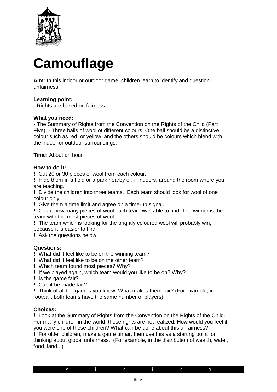

# **Camouflage**

**Aim:** In this indoor or outdoor game, children learn to identify and question unfairness.

# **Learning point:**

- Rights are based on fairness.

# **What you need:**

- The Summary of Rights from the Convention on the Rights of the Child (Part Five). - Three balls of wool of different colours. One ball should be a distinctive colour such as red, or yellow, and the others should be colours which blend with the indoor or outdoor surroundings.

**Time:** About an hour

# **How to do it:**

! Cut 20 or 30 pieces of wool from each colour.

! Hide them in a field or a park nearby or, if indoors, around the room where you are teaching.

! Divide the children into three teams. Each team should look for wool of one colour only.

! Give them a time limit and agree on a time-up signal.

! Count how many pieces of wool each team was able to find. The winner is the team with the most pieces of wool.

- ! The team which is looking for the brightly coloured wool will probably win,
- because it is easier to find.

! Ask the questions below.

# **Questions:**

- ! What did it feel like to be on the winning team?
- ! What did it feel like to be on the other team?
- ! Which team found most pieces? Why?
- ! If we played again, which team would you like to be on? Why?
- ! Is the game fair?
- ! Can it be made fair?

! Think of all the games you know: What makes them fair? (For example, in football, both teams have the same number of players).

# **Choices:**

! Look at the Summary of Rights from the Convention on the Rights of the Child. For many children in the world, these rights are not realized. How would you feel if you were one of these children? What can be done about this unfairness? ! For older children, make a game unfair, then use this as a starting point for thinking about global unfairness. (For example, in the distribution of wealth, water, food, land...)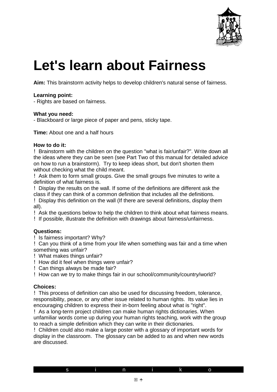

# **Let's learn about Fairness**

**Aim:** This brainstorm activity helps to develop children's natural sense of fairness.

# **Learning point:**

- Rights are based on fairness.

# **What you need:**

- Blackboard or large piece of paper and pens, sticky tape.

**Time:** About one and a half hours

# **How to do it:**

! Brainstorm with the children on the question "what is fair/unfair?". Write down all the ideas where they can be seen (see Part Two of this manual for detailed advice on how to run a brainstorm). Try to keep ideas short, but don't shorten them without checking what the child meant.

! Ask them to form small groups. Give the small groups five minutes to write a definition of what fairness is.

! Display the results on the wall. If some of the definitions are different ask the class if they can think of a common definition that includes all the definitions.

! Display this definition on the wall (If there are several definitions, display them all).

! Ask the questions below to help the children to think about what fairness means.

! If possible, illustrate the definition with drawings about fairness/unfairness.

# **Questions:**

! Is fairness important? Why?

! Can you think of a time from your life when something was fair and a time when something was unfair?

- ! What makes things unfair?
- ! How did it feel when things were unfair?
- ! Can things always be made fair?
- ! How can we try to make things fair in our school/community/country/world?

# **Choices:**

! This process of definition can also be used for discussing freedom, tolerance, responsibility, peace, or any other issue related to human rights. Its value lies in encouraging children to express their in-born feeling about what is "right".

! As a long-term project children can make human rights dictionaries. When unfamiliar words come up during your human rights teaching, work with the group to reach a simple definition which they can write in their dictionaries.

! Children could also make a large poster with a glossary of important words for display in the classroom. The glossary can be added to as and when new words are discussed.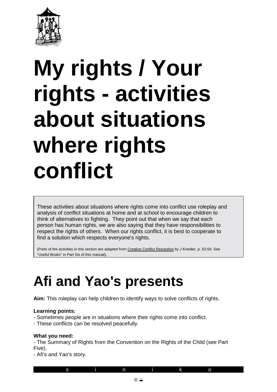

# **My rights / Your rights - activities about situations where rights conflict**

These activities about situations where rights come into conflict use roleplay and analysis of conflict situations at home and at school to encourage children to think of alternatives to fighting. They point out that when we say that each person has human rights, we are also saying that they have responsibilities to respect the rights of others. When our rights conflict, it is best to cooperate to find a solution which respects everyone's rights.

(Parts of the activities in this section are adapted from Creative Conflict Resolution by J Kriedler, p. 53-59. See "Useful Books" in Part Six of this manual).

# **Afi and Yao's presents**

**Aim:** This roleplay can help children to identify ways to solve conflicts of rights.

# **Learning points:**

- Sometimes people are in situations where their rights come into conflict.
- These conflicts can be resolved peacefully.

# **What you need:**

- The Summary of Rights from the Convention on the Rights of the Child (see Part Five).

- Afi's and Yao's story.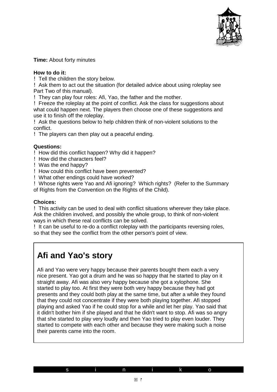

**Time:** About forty minutes

# **How to do it:**

! Tell the children the story below.

! Ask them to act out the situation (for detailed advice about using roleplay see Part Two of this manual).

! They can play four roles: Afi, Yao, the father and the mother.

! Freeze the roleplay at the point of conflict. Ask the class for suggestions about what could happen next. The players then choose one of these suggestions and use it to finish off the roleplay.

! Ask the questions below to help children think of non-violent solutions to the conflict.

! The players can then play out a peaceful ending.

# **Questions:**

! How did this conflict happen? Why did it happen?

- ! How did the characters feel?
- ! Was the end happy?
- ! How could this conflict have been prevented?
- ! What other endings could have worked?

! Whose rights were Yao and Afi ignoring? Which rights? (Refer to the Summary of Rights from the Convention on the Rights of the Child).

# **Choices:**

! This activity can be used to deal with conflict situations wherever they take place. Ask the children involved, and possibly the whole group, to think of non-violent ways in which these real conflicts can be solved.

! It can be useful to re-do a conflict roleplay with the participants reversing roles, so that they see the conflict from the other person's point of view.

# **Afi and Yao's story**

Afi and Yao were very happy because their parents bought them each a very nice present. Yao got a drum and he was so happy that he started to play on it straight away. Afi was also very happy because she got a xylophone. She started to play too. At first they were both very happy because they had got presents and they could both play at the same time, but after a while they found that they could not concentrate if they were both playing together. Afi stopped playing and asked Yao if he could stop for a while and let her play. Yao said that it didn't bother him if she played and that he didn't want to stop. Afi was so angry that she started to play very loudly and then Yao tried to play even louder. They started to compete with each other and because they were making such a noise their parents came into the room.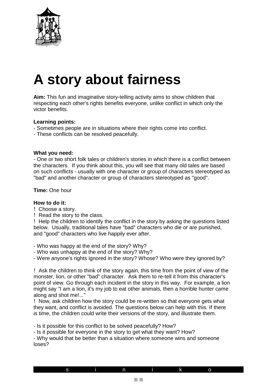

# **A story about fairness**

**Aim:** This fun and imaginative story-telling activity aims to show children that respecting each other's rights benefits everyone, unlike conflict in which only the victor benefits.

# **Learning points:**

- Sometimes people are in situations where their rights come into conflict.
- These conflicts can be resolved peacefully.

# **What you need:**

- One or two short folk tales or children's stories in which there is a conflict between the characters. If you think about this, you will see that many old tales are based on such conflicts - usually with one character or group of characters stereotyped as "bad" and another character or group of characters stereotyped as "good".

**Time:** One hour

# **How to do it:**

- ! Choose a story.
- ! Read the story to the class.

! Help the children to identify the conflict in the story by asking the questions listed below. Usually, traditional tales have "bad" characters who die or are punished, and "good" characters who live happily ever after.

- Who was happy at the end of the story? Why?
- Who was unhappy at the end of the story? Why?
- Were anyone's rights ignored in the story? Whose? Who were they ignored by?

! Ask the children to think of the story again, this time from the point of view of the monster, lion, or other "bad" character. Ask them to re-tell it from this character's point of view. Go through each incident in the story in this way. For example, a lion might say "I am a lion, it's my job to eat other animals, then a horrible hunter came along and shot me!..."

! Now, ask children how the story could be re-written so that everyone gets what they want, and conflict is avoided. The questions below can help with this. If there is time, the children could write their versions of the story, and illustrate them.

- Is it possible for this conflict to be solved peacefully? How?

- Is it possible for everyone in the story to get what they want? How?

- Why would that be better than a situation where someone wins and someone loses?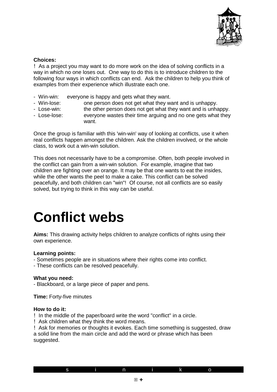

# **Choices:**

! As a project you may want to do more work on the idea of solving conflicts in a way in which no one loses out. One way to do this is to introduce children to the following four ways in which conflicts can end. Ask the children to help you think of examples from their experience which illustrate each one.

- Win-win: everyone is happy and gets what they want.
- Win-lose: one person does not get what they want and is unhappy.
- Lose-win: the other person does not get what they want and is unhappy.
- Lose-lose: everyone wastes their time arguing and no one gets what they want.

Once the group is familiar with this 'win-win' way of looking at conflicts, use it when real conflicts happen amongst the children. Ask the children involved, or the whole class, to work out a win-win solution.

This does not necessarily have to be a compromise. Often, both people involved in the conflict can gain from a win-win solution. For example, imagine that two children are fighting over an orange. It may be that one wants to eat the insides, while the other wants the peel to make a cake. This conflict can be solved peacefully, and both children can "win"! Of course, not all conflicts are so easily solved, but trying to think in this way can be useful.

# **Conflict webs**

**Aims:** This drawing activity helps children to analyze conflicts of rights using their own experience.

# **Learning points:**

- Sometimes people are in situations where their rights come into conflict.
- These conflicts can be resolved peacefully.

# **What you need:**

- Blackboard, or a large piece of paper and pens.

**Time:** Forty-five minutes

# **How to do it:**

- ! In the middle of the paper/board write the word "conflict" in a circle.
- ! Ask children what they think the word means.

! Ask for memories or thoughts it evokes. Each time something is suggested, draw a solid line from the main circle and add the word or phrase which has been suggested.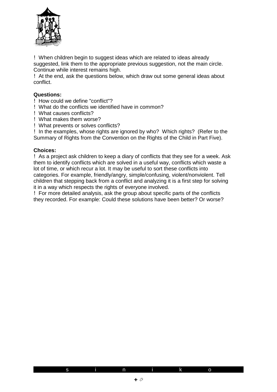

! When children begin to suggest ideas which are related to ideas already suggested, link them to the appropriate previous suggestion, not the main circle. Continue while interest remains high.

! At the end, ask the questions below, which draw out some general ideas about conflict.

# **Questions:**

- ! How could we define "conflict"?
- ! What do the conflicts we identified have in common?
- ! What causes conflicts?
- ! What makes them worse?
- ! What prevents or solves conflicts?

! In the examples, whose rights are ignored by who? Which rights? (Refer to the Summary of Rights from the Convention on the Rights of the Child in Part Five).

### **Choices:**

! As a project ask children to keep a diary of conflicts that they see for a week. Ask them to identify conflicts which are solved in a useful way, conflicts which waste a lot of time, or which recur a lot. It may be useful to sort these conflicts into categories. For example, friendly/angry, simple/confusing, violent/nonviolent. Tell children that stepping back from a conflict and analyzing it is a first step for solving it in a way which respects the rights of everyone involved.

! For more detailed analysis, ask the group about specific parts of the conflicts they recorded. For example: Could these solutions have been better? Or worse?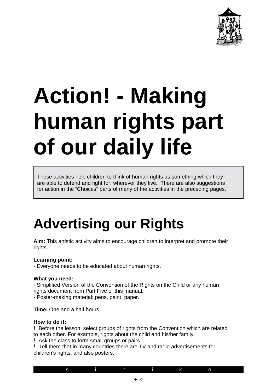

# **Action! - Making human rights part of our daily life**

These activities help children to think of human rights as something which they are able to defend and fight for, wherever they live. There are also suggestions for action in the "Choices" parts of many of the activities in the preceding pages.

# **Advertising our Rights**

**Aim:** This artistic activity aims to encourage children to interpret and promote their rights.

# **Learning point:**

- Everyone needs to be educated about human rights.

# **What you need:**

- Simplified Version of the Convention of the Rights on the Child or any human rights document from Part Five of this manual.

- Poster-making material: pens, paint, paper.

**Time:** One and a half hours

# **How to do it:**

! Before the lesson, select groups of rights from the Convention which are related to each other. For example, rights about the child and his/her family.

! Ask the class to form small groups or pairs.

! Tell them that in many countries there are TV and radio advertisements for children's rights, and also posters.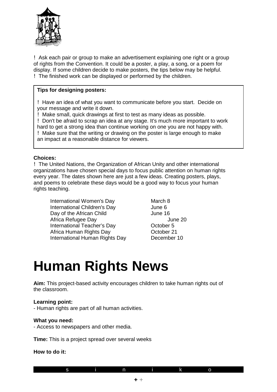

! Ask each pair or group to make an advertisement explaining one right or a group of rights from the Convention. It could be a poster, a play, a song, or a poem for display. If some children decide to make posters, the tips below may be helpful. ! The finished work can be displayed or performed by the children.

# **Tips for designing posters:**

! Have an idea of what you want to communicate before you start. Decide on your message and write it down.

! Make small, quick drawings at first to test as many ideas as possible.

! Don't be afraid to scrap an idea at any stage. It's much more important to work hard to get a strong idea than continue working on one you are not happy with. ! Make sure that the writing or drawing on the poster is large enough to make

an impact at a reasonable distance for viewers.

# **Choices:**

! The United Nations, the Organization of African Unity and other international organizations have chosen special days to focus public attention on human rights every year. The dates shown here are just a few ideas. Creating posters, plays, and poems to celebrate these days would be a good way to focus your human rights teaching.

International Women's Day **March 8** International Children's Day June 6 Day of the African Child **June 16** Africa Refugee Day June 20 International Teacher's Day **Charlots** October 5 Africa Human Rights Day **CHACK COMMON PROCESS** October 21 International Human Rights Day December 10

# **Human Rights News**

**Aim:** This project-based activity encourages children to take human rights out of the classroom.

# **Learning point:**

- Human rights are part of all human activities.

# **What you need:**

- Access to newspapers and other media.

**Time:** This is a project spread over several weeks

**How to do it:**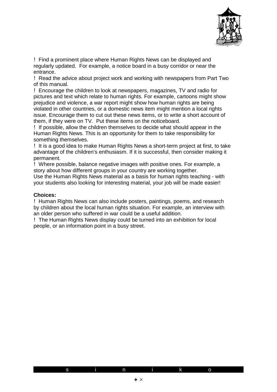

! Find a prominent place where Human Rights News can be displayed and regularly updated. For example, a notice board in a busy corridor or near the entrance.

! Read the advice about project work and working with newspapers from Part Two of this manual.

! Encourage the children to look at newspapers, magazines, TV and radio for pictures and text which relate to human rights. For example, cartoons might show prejudice and violence, a war report might show how human rights are being violated in other countries, or a domestic news item might mention a local rights issue. Encourage them to cut out these news items, or to write a short account of them, if they were on TV. Put these items on the noticeboard.

! If possible, allow the children themselves to decide what should appear in the Human Rights News. This is an opportunity for them to take responsibility for something themselves.

! It is a good idea to make Human Rights News a short-term project at first, to take advantage of the children's enthusiasm. If it is successful, then consider making it permanent.

! Where possible, balance negative images with positive ones. For example, a story about how different groups in your country are working together.

Use the Human Rights News material as a basis for human rights teaching - with your students also looking for interesting material, your job will be made easier!

# **Choices:**

! Human Rights News can also include posters, paintings, poems, and research by children about the local human rights situation. For example, an interview with an older person who suffered in war could be a useful addition.

! The Human Rights News display could be turned into an exhibition for local people, or an information point in a busy street.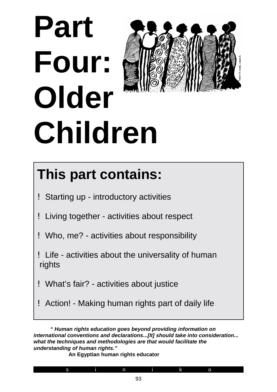# **Part Four: Older Children**

# **This part contains:**

- ! Starting up introductory activities
- ! Living together activities about respect
- ! Who, me? activities about responsibility
- ! Life activities about the universality of human rights
- ! What's fair? activities about justice
- ! Action! Making human rights part of daily life

*" Human rights education goes beyond providing information on international conventions and declarations...[It] should take into consideration... what the techniques and methodologies are that would facilitate the understanding of human rights."*

 **An Egyptian human rights educator**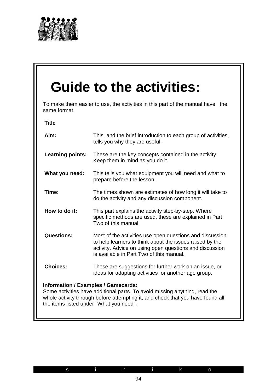

# **Guide to the activities:**

To make them easier to use, the activities in this part of the manual have the same format.

 **Title**

| Aim:                                                                                                                                                                                                                                                  | This, and the brief introduction to each group of activities,<br>tells you why they are useful.                                                                                                                             |
|-------------------------------------------------------------------------------------------------------------------------------------------------------------------------------------------------------------------------------------------------------|-----------------------------------------------------------------------------------------------------------------------------------------------------------------------------------------------------------------------------|
| <b>Learning points:</b>                                                                                                                                                                                                                               | These are the key concepts contained in the activity.<br>Keep them in mind as you do it.                                                                                                                                    |
| What you need:                                                                                                                                                                                                                                        | This tells you what equipment you will need and what to<br>prepare before the lesson.                                                                                                                                       |
| Time:                                                                                                                                                                                                                                                 | The times shown are estimates of how long it will take to<br>do the activity and any discussion component.                                                                                                                  |
| How to do it:                                                                                                                                                                                                                                         | This part explains the activity step-by-step. Where<br>specific methods are used, these are explained in Part<br>Two of this manual.                                                                                        |
| <b>Questions:</b>                                                                                                                                                                                                                                     | Most of the activities use open questions and discussion<br>to help learners to think about the issues raised by the<br>activity. Advice on using open questions and discussion<br>is available in Part Two of this manual. |
| <b>Choices:</b>                                                                                                                                                                                                                                       | These are suggestions for further work on an issue, or<br>ideas for adapting activities for another age group.                                                                                                              |
| <b>Information / Examples / Gamecards:</b><br>Some activities have additional parts. To avoid missing anything, read the<br>whole activity through before attempting it, and check that you have found all<br>the items listed under "What you need". |                                                                                                                                                                                                                             |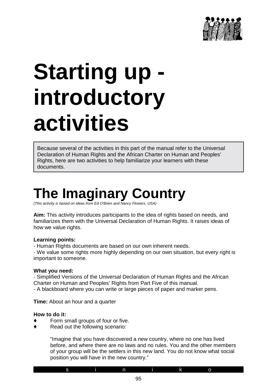

# **Starting up introductory activities**

Because several of the activities in this part of the manual refer to the Universal Declaration of Human Rights and the African Charter on Human and Peoples' Rights, here are two activities to help familiarize your learners with these documents.

# **The Imaginary Country**

*(This activity is based on ideas from Ed O'Brien and Nancy Flowers, USA)*

**Aim:** This activity introduces participants to the idea of rights based on needs, and familiarizes them with the Universal Declaration of Human Rights. It raises ideas of how we value rights.

# **Learning points:**

- Human Rights documents are based on our own inherent needs.

- We value some rights more highly depending on our own situation, but every right is important to someone.

# **What you need:**

- Simplified Versions of the Universal Declaration of Human Rights and the African Charter on Human and Peoples' Rights from Part Five of this manual.

- A blackboard where you can write or large pieces of paper and marker pens.

**Time:** About an hour and a quarter

# **How to do it:**

- Form small groups of four or five.
- Read out the following scenario:

"Imagine that you have discovered a new country, where no one has lived before, and where there are no laws and no rules. You and the other members of your group will be the settlers in this new land. You do not know what social position you will have in the new country."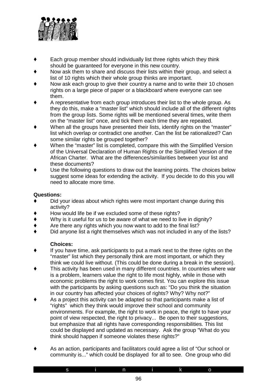

- Each group member should individually list three rights which they think should be guaranteed for everyone in this new country.
- Now ask them to share and discuss their lists within their group, and select a list of 10 rights which their whole group thinks are important.
- Now ask each group to give their country a name and to write their 10 chosen rights on a large piece of paper or a blackboard where everyone can see them.
- A representative from each group introduces their list to the whole group. As they do this, make a "master list" which should include all of the different rights from the group lists. Some rights will be mentioned several times, write them on the "master list" once, and tick them each time they are repeated.
- When all the groups have presented their lists, identify rights on the "master" list which overlap or contradict one another. Can the list be rationalized? Can some similar rights be grouped together?
- When the "master" list is completed, compare this with the Simplified Version of the Universal Declaration of Human Rights or the Simplified Version of the African Charter. What are the differences/similarities between your list and these documents?
- Use the following questions to draw out the learning points. The choices below suggest some ideas for extending the activity. If you decide to do this you will need to allocate more time.

# **Questions:**

- Did your ideas about which rights were most important change during this activity?
- How would life be if we excluded some of these rights?
- Why is it useful for us to be aware of what we need to live in dignity?
- Are there any rights which you now want to add to the final list?
- Did anyone list a right themselves which was not included in any of the lists?

# **Choices:**

- If you have time, ask participants to put a mark next to the three rights on the "master" list which they personally think are most important, or which they think we could live without. (This could be done during a break in the session).
- This activity has been used in many different countries. In countries where war is a problem, learners value the right to life most highly, while in those with economic problems the right to work comes first. You can explore this issue with the participants by asking questions such as: "Do you think the situation in our country has affected your choices of rights? Why? Why not?"
- As a project this activity can be adapted so that participants make a list of "rights" which they think would improve their school and community environments. For example, the right to work in peace, the right to have your point of view respected, the right to privacy... Be open to their suggestions, but emphasize that all rights have corresponding responsibilities. This list could be displayed and updated as necessary. Ask the group "What do you think should happen if someone violates these rights?"
- As an action, participants and facilitators could agree a list of "Our school or community is..." which could be displayed for all to see. One group who did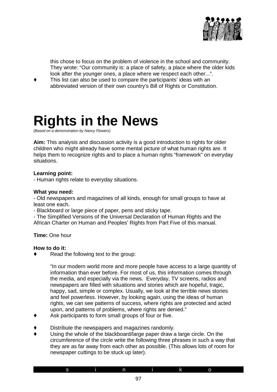

this chose to focus on the problem of violence in the school and community. They wrote: "Our community is: a place of safety, a place where the older kids look after the younger ones, a place where we respect each other...".

 This list can also be used to compare the participants' ideas with an abbreviated version of their own country's Bill of Rights or Constitution.

# **Rights in the News**

*(Based on a demonstration by Nancy Flowers)*

**Aim:** This analysis and discussion activity is a good introduction to rights for older children who might already have some mental picture of what human rights are. It helps them to recognize rights and to place a human rights "framework" on everyday situations.

# **Learning point:**

- Human rights relate to everyday situations.

# **What you need:**

- Old newspapers and magazines of all kinds, enough for small groups to have at least one each.

- Blackboard or large piece of paper, pens and sticky tape.

- The Simplified Versions of the Universal Declaration of Human Rights and the African Charter on Human and Peoples' Rights from Part Five of this manual.

**Time:** One hour

# **How to do it:**

Read the following text to the group:

"In our modern world more and more people have access to a large quantity of information than ever before. For most of us, this information comes through the media, and especially via the news. Everyday, TV screens, radios and newspapers are filled with situations and stories which are hopeful, tragic, happy, sad, simple or complex. Usually, we look at the terrible news stories and feel powerless. However, by looking again, using the ideas of human rights, we can see patterns of success, where rights are protected and acted upon, and patterns of problems, where rights are denied."

- Ask participants to form small groups of four or five.
- Distribute the newspapers and magazines randomly.
- Using the whole of the blackboard/large paper draw a large circle. On the circumference of the circle write the following three phrases in such a way that they are as far away from each other as possible. (This allows lots of room for newspaper cuttings to be stuck up later).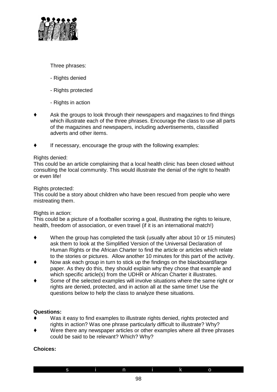

Three phrases:

- Rights denied
- Rights protected
- Rights in action
- Ask the groups to look through their newspapers and magazines to find things which illustrate each of the three phrases. Encourage the class to use all parts of the magazines and newspapers, including advertisements, classified adverts and other items.
- If necessary, encourage the group with the following examples:

# Rights denied:

This could be an article complaining that a local health clinic has been closed without consulting the local community. This would illustrate the denial of the right to health or even life!

# Rights protected:

This could be a story about children who have been rescued from people who were mistreating them.

# Rights in action:

This could be a picture of a footballer scoring a goal, illustrating the rights to leisure, health, freedom of association, or even travel (if it is an international match!)

- When the group has completed the task (usually after about 10 or 15 minutes) ask them to look at the Simplified Version of the Universal Declaration of Human Rights or the African Charter to find the article or articles which relate to the stories or pictures. Allow another 10 minutes for this part of the activity.
- Now ask each group in turn to stick up the findings on the blackboard/large paper. As they do this, they should explain why they chose that example and which specific article(s) from the UDHR or African Charter it illustrates.
- Some of the selected examples will involve situations where the same right or rights are denied, protected, and in action all at the same time! Use the questions below to help the class to analyze these situations.

# **Questions:**

- Was it easy to find examples to illustrate rights denied, rights protected and rights in action? Was one phrase particularly difficult to illustrate? Why?
- Were there any newspaper articles or other examples where all three phrases could be said to be relevant? Which? Why?

# **Choices:**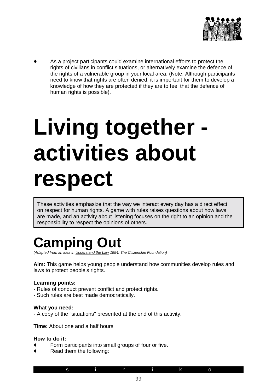

 As a project participants could examine international efforts to protect the rights of civilians in conflict situations, or alternatively examine the defence of the rights of a vulnerable group in your local area. (Note: Although participants need to know that rights are often denied, it is important for them to develop a knowledge of how they are protected if they are to feel that the defence of human rights is possible).

# **Living together activities about respect**

These activities emphasize that the way we interact every day has a direct effect on respect for human rights. A game with rules raises questions about how laws are made, and an activity about listening focuses on the right to an opinion and the responsibility to respect the opinions of others.

# **Camping Out**

*(Adapted from an idea in Understand the Law 1994, The Citizenship Foundation)*

**Aim:** This game helps young people understand how communities develop rules and laws to protect people's rights.

# **Learning points:**

- Rules of conduct prevent conflict and protect rights.
- Such rules are best made democratically.

### **What you need:**

- A copy of the "situations" presented at the end of this activity.

**Time:** About one and a half hours

### **How to do it:**

- Form participants into small groups of four or five.
- Read them the following: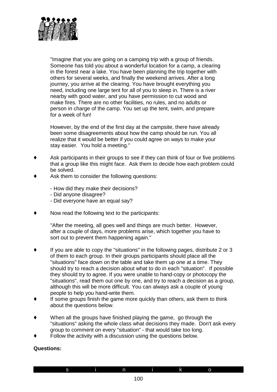

"Imagine that you are going on a camping trip with a group of friends. Someone has told you about a wonderful location for a camp, a clearing in the forest near a lake. You have been planning the trip together with others for several weeks, and finally the weekend arrives. After a long journey, you arrive at the clearing. You have brought everything you need, including one large tent for all of you to sleep in. There is a river nearby with good water, and you have permission to cut wood and make fires. There are no other facilities, no rules, and no adults or person in charge of the camp. You set up the tent, swim, and prepare for a week of fun!

However, by the end of the first day at the campsite, there have already been some disagreements about how the camp should be run. You all realize that it would be better if you could agree on ways to make your stay easier. You hold a meeting."

- Ask participants in their groups to see if they can think of four or five problems that a group like this might face. Ask them to decide how each problem could be solved.
- Ask them to consider the following questions:
	- How did they make their decisions?
	- Did anyone disagree?
	- Did everyone have an equal say?
- Now read the following text to the participants:

"After the meeting, all goes well and things are much better. However, after a couple of days, more problems arise, which together you have to sort out to prevent them happening again."

- If you are able to copy the "situations" in the following pages, distribute 2 or 3 of them to each group. In their groups participants should place all the "situations" face down on the table and take them up one at a time. They should try to reach a decision about what to do in each "situation". If possible they should try to agree. If you were unable to hand-copy or photocopy the "situations", read them out one by one, and try to reach a decision as a group, although this will be more difficult. You can always ask a couple of young people to help you hand-write them.
- If some groups finish the game more quickly than others, ask them to think about the questions below.
- When all the groups have finished playing the game, go through the "situations" asking the whole class what decisions they made. Don't ask every group to comment on every "situation" - that would take too long.
- Follow the activity with a discussion using the questions below.

# **Questions:**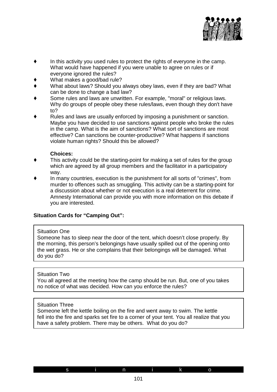

- In this activity you used rules to protect the rights of everyone in the camp. What would have happened if you were unable to agree on rules or if everyone ignored the rules?
- What makes a good/bad rule?
- What about laws? Should you always obey laws, even if they are bad? What can be done to change a bad law?
- Some rules and laws are unwritten. For example, "moral" or religious laws. Why do groups of people obey these rules/laws, even though they don't have to?
- Rules and laws are usually enforced by imposing a punishment or sanction. Maybe you have decided to use sanctions against people who broke the rules in the camp. What is the aim of sanctions? What sort of sanctions are most effective? Can sanctions be counter-productive? What happens if sanctions violate human rights? Should this be allowed?

# **Choices:**

- This activity could be the starting-point for making a set of rules for the group which are agreed by all group members and the facilitator in a participatory way.
- In many countries, execution is the punishment for all sorts of "crimes", from murder to offences such as smuggling. This activity can be a starting-point for a discussion about whether or not execution is a real deterrent for crime. Amnesty International can provide you with more information on this debate if you are interested.

# **Situation Cards for "Camping Out":**

# Situation One

Someone has to sleep near the door of the tent, which doesn't close properly. By the morning, this person's belongings have usually spilled out of the opening onto the wet grass. He or she complains that their belongings will be damaged. What do you do?

# Situation Two

You all agreed at the meeting how the camp should be run. But, one of you takes no notice of what was decided. How can you enforce the rules?

# Situation Three

Someone left the kettle boiling on the fire and went away to swim. The kettle fell into the fire and sparks set fire to a corner of your tent. You all realize that you have a safety problem. There may be others. What do you do?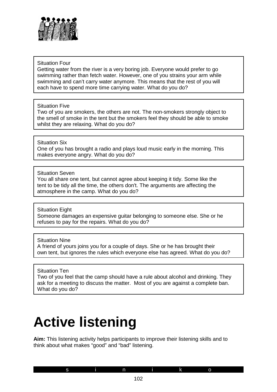

# Situation Four

Getting water from the river is a very boring job. Everyone would prefer to go swimming rather than fetch water. However, one of you strains your arm while swimming and can't carry water anymore. This means that the rest of you will each have to spend more time carrying water. What do you do?

# Situation Five

Two of you are smokers, the others are not. The non-smokers strongly object to the smell of smoke in the tent but the smokers feel they should be able to smoke whilst they are relaxing. What do you do?

# Situation Six

One of you has brought a radio and plays loud music early in the morning. This makes everyone angry. What do you do?

# Situation Seven

You all share one tent, but cannot agree about keeping it tidy. Some like the tent to be tidy all the time, the others don't. The arguments are affecting the atmosphere in the camp. What do you do?

# Situation Eight

Someone damages an expensive guitar belonging to someone else. She or he refuses to pay for the repairs. What do you do?

# Situation Nine

A friend of yours joins you for a couple of days. She or he has brought their own tent, but ignores the rules which everyone else has agreed. What do you do?

# Situation Ten Two of you feel that the camp should have a rule about alcohol and drinking. They ask for a meeting to discuss the matter. Most of you are against a complete ban. What do you do?

# **Active listening**

**Aim:** This listening activity helps participants to improve their listening skills and to think about what makes "good" and "bad" listening.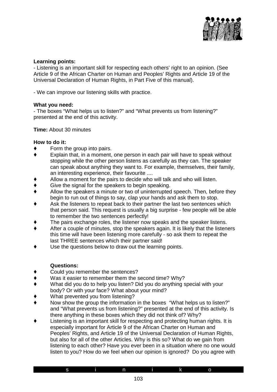

# **Learning points:**

- Listening is an important skill for respecting each others' right to an opinion. (See Article 9 of the African Charter on Human and Peoples' Rights and Article 19 of the Universal Declaration of Human Rights, in Part Five of this manual).

- We can improve our listening skills with practice.

# **What you need:**

- The boxes "What helps us to listen?" and "What prevents us from listening?" presented at the end of this activity.

**Time:** About 30 minutes

# **How to do it:**

- Form the group into pairs.
- Explain that, in a moment, one person in each pair will have to speak without stopping while the other person listens as carefully as they can. The speaker can speak about anything they want to. For example, themselves, their family, an interesting experience, their favourite ....
- Allow a moment for the pairs to decide who will talk and who will listen.
- Give the signal for the speakers to begin speaking.
- Allow the speakers a minute or two of uninterrupted speech. Then, before they begin to run out of things to say, clap your hands and ask them to stop.
- Ask the listeners to repeat back to their partner the last two sentences which that person said. This request is usually a big surprise - few people will be able to remember the two sentences perfectly!
- The pairs exchange roles, the listener now speaks and the speaker listens.
- After a couple of minutes, stop the speakers again. It is likely that the listeners this time will have been listening more carefully - so ask them to repeat the last THREE sentences which their partner said!
- Use the questions below to draw out the learning points.

# **Questions:**

- Could you remember the sentences?
- Was it easier to remember them the second time? Why?
- What did you do to help you listen? Did you do anything special with your body? Or with your face? What about your mind?
- What prevented you from listening?
- Now show the group the information in the boxes "What helps us to listen?" and "What prevents us from listening?" presented at the end of this activity. Is there anything in these boxes which they did not think of? Why?
- Listening is an important skill for respecting and protecting human rights. It is especially important for Article 9 of the African Charter on Human and Peoples' Rights, and Article 19 of the Universal Declaration of Human Rights, but also for all of the other Articles. Why is this so? What do we gain from listening to each other? Have you ever been in a situation where no one would listen to you? How do we feel when our opinion is ignored? Do you agree with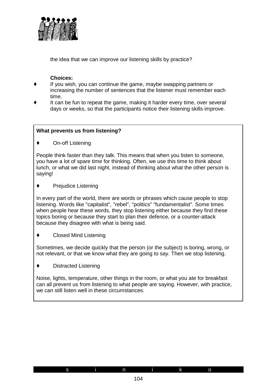

the idea that we can improve our listening skills by practice?

# **Choices:**

- If you wish, you can continue the game, maybe swapping partners or increasing the number of sentences that the listener must remember each time.
- It can be fun to repeat the game, making it harder every time, over several days or weeks, so that the participants notice their listening skills improve.

# **What prevents us from listening?**

On-off Listening

People think faster than they talk. This means that when you listen to someone, you have a lot of spare time for thinking. Often, we use this time to think about lunch, or what we did last night, instead of thinking about what the other person is saying!

◆ Prejudice Listening

In every part of the world, there are words or phrases which cause people to stop listening. Words like "capitalist", "rebel", "politics" "fundamentalist". Some times when people hear these words, they stop listening either because they find these topics boring or because they start to plan their defence, or a counter-attack because they disagree with what is being said.

◆ Closed Mind Listening

Sometimes, we decide quickly that the person (or the subject) is boring, wrong, or not relevant, or that we know what they are going to say. Then we stop listening.

Distracted Listening

Noise, lights, temperature, other things in the room, or what you ate for breakfast can all prevent us from listening to what people are saying. However, with practice, we can still listen well in these circumstances.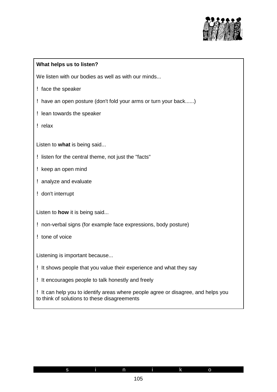

# **What helps us to listen?**

We listen with our bodies as well as with our minds...

- ! face the speaker
- ! have an open posture (don't fold your arms or turn your back......)
- ! lean towards the speaker
- ! relax
- Listen to **what** is being said...
- ! listen for the central theme, not just the "facts"
- ! keep an open mind
- ! analyze and evaluate
- ! don't interrupt

Listen to **how** it is being said...

- ! non-verbal signs (for example face expressions, body posture)
- ! tone of voice

Listening is important because...

- ! It shows people that you value their experience and what they say
- ! It encourages people to talk honestly and freely

! It can help you to identify areas where people agree or disagree, and helps you to think of solutions to these disagreements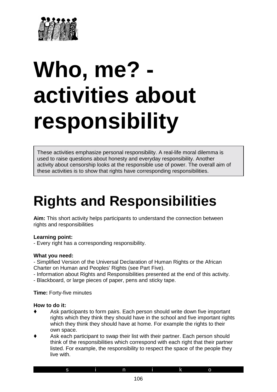

# **Who, me? activities about responsibility**

These activities emphasize personal responsibility. A real-life moral dilemma is used to raise questions about honesty and everyday responsibility. Another activity about censorship looks at the responsible use of power. The overall aim of these activities is to show that rights have corresponding responsibilities.

## **Rights and Responsibilities**

**Aim:** This short activity helps participants to understand the connection between rights and responsibilities

#### **Learning point:**

- Every right has a corresponding responsibility.

#### **What you need:**

- Simplified Version of the Universal Declaration of Human Rights or the African Charter on Human and Peoples' Rights (see Part Five).

- Information about Rights and Responsibilities presented at the end of this activity.
- Blackboard, or large pieces of paper, pens and sticky tape.

**Time:** Forty-five minutes

#### **How to do it:**

- Ask participants to form pairs. Each person should write down five important rights which they think they should have in the school and five important rights which they think they should have at home. For example the rights to their own space.
- Ask each participant to swap their list with their partner. Each person should think of the responsibilities which correspond with each right that their partner listed. For example, the responsibility to respect the space of the people they live with.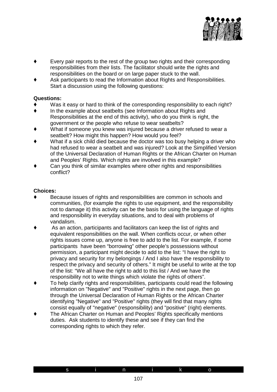

- Every pair reports to the rest of the group two rights and their corresponding responsibilities from their lists. The facilitator should write the rights and responsibilities on the board or on large paper stuck to the wall.
- Ask participants to read the Information about Rights and Responsibilities. Start a discussion using the following questions:

#### **Questions:**

- Was it easy or hard to think of the corresponding responsibility to each right?
- In the example about seatbelts (see Information about Rights and Responsibilities at the end of this activity), who do you think is right, the government or the people who refuse to wear seatbelts?
- What if someone you knew was injured because a driver refused to wear a seatbelt? How might this happen? How would you feel?
- What if a sick child died because the doctor was too busy helping a driver who had refused to wear a seatbelt and was injured? Look at the Simplified Version of the Universal Declaration of Human Rights or the African Charter on Human and Peoples' Rights. Which rights are involved in this example?
- Can you think of similar examples where other rights and responsibilities conflict?

#### **Choices:**

- Because issues of rights and responsibilities are common in schools and communities, (for example the rights to use equipment, and the responsibility not to damage it) this activity can be the basis for using the language of rights and responsibility in everyday situations, and to deal with problems of vandalism.
- As an action, participants and facilitators can keep the list of rights and equivalent responsibilities on the wall. When conflicts occur, or when other rights issues come up, anyone is free to add to the list. For example, if some participants have been "borrowing" other people's possessions without permission, a participant might decide to add to the list: "I have the right to privacy and security for my belongings / And I also have the responsibility to respect the privacy and security of others." It might be useful to write at the top of the list: "We all have the right to add to this list / And we have the responsibility not to write things which violate the rights of others".
- To help clarify rights and responsibilities, participants could read the following information on "Negative" and "Positive" rights in the next page, then go through the Universal Declaration of Human Rights or the African Charter identifying "Negative" and "Positive" rights (they will find that many rights consist equally of "negative" (responsibility) and "positive" (right) elements.
- The African Charter on Human and Peoples' Rights specifically mentions duties. Ask students to identify these and see if they can find the corresponding rights to which they refer.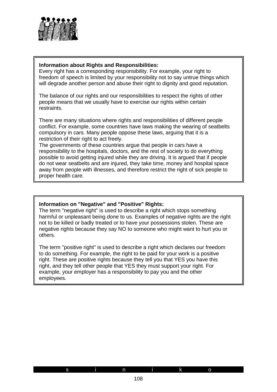

#### **Information about Rights and Responsibilities:**

Every right has a corresponding responsibility. For example, your right to freedom of speech is limited by your responsibility not to say untrue things which will degrade another person and abuse their right to dignity and good reputation.

The balance of our rights and our responsibilities to respect the rights of other people means that we usually have to exercise our rights within certain restraints.

There are many situations where rights and responsibilities of different people conflict. For example, some countries have laws making the wearing of seatbelts compulsory in cars. Many people oppose these laws, arguing that it is a restriction of their right to act freely.

The governments of these countries argue that people in cars have a responsibility to the hospitals, doctors, and the rest of society to do everything possible to avoid getting injured while they are driving. It is argued that if people do not wear seatbelts and are injured, they take time, money and hospital space away from people with illnesses, and therefore restrict the right of sick people to proper health care.

#### **Information on "Negative" and "Positive" Rights:**

The term "negative right" is used to describe a right which stops something harmful or unpleasant being done to us. Examples of negative rights are the right not to be killed or badly treated or to have your possessions stolen. These are negative rights because they say NO to someone who might want to hurt you or others.

The term "positive right" is used to describe a right which declares our freedom to do something. For example, the right to be paid for your work is a positive right. These are positive rights because they tell you that YES you have this right, and they tell other people that YES they must support your right. For example, your employer has a responsibility to pay you and the other employees.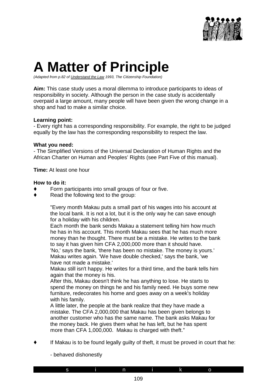

## **A Matter of Principle**

*(Adapted from p.82 of Understand the Law 1993, The Citizenship Foundation)*

**Aim:** This case study uses a moral dilemma to introduce participants to ideas of responsibility in society. Although the person in the case study is accidentally overpaid a large amount, many people will have been given the wrong change in a shop and had to make a similar choice.

#### **Learning point:**

- Every right has a corresponding responsibility. For example, the right to be judged equally by the law has the corresponding responsibility to respect the law.

#### **What you need:**

- The Simplified Versions of the Universal Declaration of Human Rights and the African Charter on Human and Peoples' Rights (see Part Five of this manual).

**Time:** At least one hour

#### **How to do it:**

- Form participants into small groups of four or five.
- Read the following text to the group:

"Every month Makau puts a small part of his wages into his account at the local bank. It is not a lot, but it is the only way he can save enough for a holiday with his children.

Each month the bank sends Makau a statement telling him how much he has in his account. This month Makau sees that he has much more money than he thought. There must be a mistake. He writes to the bank to say it has given him CFA 2,000,000 more than it should have.

'No,' says the bank, 'there has been no mistake. The money is yours.' Makau writes again. 'We have double checked,' says the bank, 'we have not made a mistake.'

Makau still isn't happy. He writes for a third time, and the bank tells him again that the money is his.

After this, Makau doesn't think he has anything to lose. He starts to spend the money on things he and his family need. He buys some new furniture, redecorates his home and goes away on a week's holiday with his family.

A little later, the people at the bank realize that they have made a mistake. The CFA 2,000,000 that Makau has been given belongs to another customer who has the same name. The bank asks Makau for the money back. He gives them what he has left, but he has spent more than CFA 1,000,000. Makau is charged with theft."

If Makau is to be found legally guilty of theft, it must be proved in court that he:

- behaved dishonestly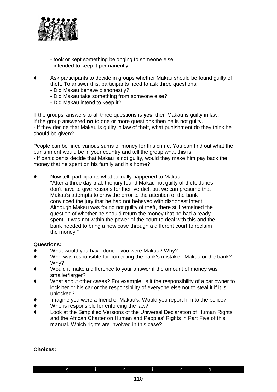

- took or kept something belonging to someone else
- intended to keep it permanently
- Ask participants to decide in groups whether Makau should be found guilty of theft. To answer this, participants need to ask three questions:
	- Did Makau behave dishonestly?
	- Did Makau take something from someone else?
	- Did Makau intend to keep it?

If the groups' answers to all three questions is **yes**, then Makau is guilty in law. If the group answered **no** to one or more questions then he is not guilty. - If they decide that Makau is guilty in law of theft, what punishment do they think he should be given?

People can be fined various sums of money for this crime. You can find out what the punishment would be in your country and tell the group what this is. - If participants decide that Makau is not guilty, would they make him pay back the

money that he spent on his family and his home?

 Now tell participants what actually happened to Makau: "After a three day trial, the jury found Makau not guilty of theft. Juries don't have to give reasons for their verdict, but we can presume that Makau's attempts to draw the error to the attention of the bank convinced the jury that he had not behaved with dishonest intent. Although Makau was found not guilty of theft, there still remained the question of whether he should return the money that he had already spent. It was not within the power of the court to deal with this and the bank needed to bring a new case through a different court to reclaim the money."

#### **Questions:**

- What would you have done if you were Makau? Why?
- Who was responsible for correcting the bank's mistake Makau or the bank? Why?
- Would it make a difference to your answer if the amount of money was smaller/larger?
- What about other cases? For example, is it the responsibility of a car owner to lock her or his car or the responsibility of everyone else not to steal it if it is unlocked?
- Imagine you were a friend of Makau's. Would you report him to the police?
- Who is responsible for enforcing the law?
- Look at the Simplified Versions of the Universal Declaration of Human Rights and the African Charter on Human and Peoples' Rights in Part Five of this manual. Which rights are involved in this case?

**Choices:**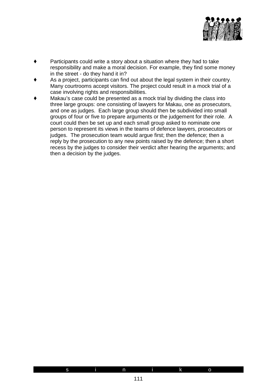

- Participants could write a story about a situation where they had to take responsibility and make a moral decision. For example, they find some money in the street - do they hand it in?
- As a project, participants can find out about the legal system in their country. Many courtrooms accept visitors. The project could result in a mock trial of a case involving rights and responsibilities.
- Makau's case could be presented as a mock trial by dividing the class into three large groups: one consisting of lawyers for Makau, one as prosecutors, and one as judges. Each large group should then be subdivided into small groups of four or five to prepare arguments or the judgement for their role. A court could then be set up and each small group asked to nominate one person to represent its views in the teams of defence lawyers, prosecutors or judges. The prosecution team would argue first; then the defence; then a reply by the prosecution to any new points raised by the defence; then a short recess by the judges to consider their verdict after hearing the arguments; and then a decision by the judges.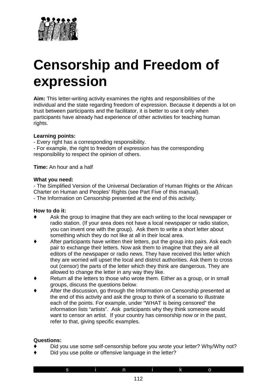

## **Censorship and Freedom of expression**

**Aim:** This letter-writing activity examines the rights and responsibilities of the individual and the state regarding freedom of expression. Because it depends a lot on trust between participants and the facilitator, it is better to use it only when participants have already had experience of other activities for teaching human rights.

#### **Learning points:**

- Every right has a corresponding responsibility.

- For example, the right to freedom of expression has the corresponding responsibility to respect the opinion of others.

#### **Time:** An hour and a half

#### **What you need:**

- The Simplified Version of the Universal Declaration of Human Rights or the African Charter on Human and Peoples' Rights (see Part Five of this manual).

- The Information on Censorship presented at the end of this activity.

#### **How to do it:**

- Ask the group to imagine that they are each writing to the local newspaper or radio station. (If your area does not have a local newspaper or radio station, you can invent one with the group). Ask them to write a short letter about something which they do not like at all in their local area.
- After participants have written their letters, put the group into pairs. Ask each pair to exchange their letters. Now ask them to imagine that they are all editors of the newspaper or radio news. They have received this letter which they are worried will upset the local and district authorities. Ask them to cross out (censor) the parts of the letter which they think are dangerous. They are allowed to change the letter in any way they like.
- Return all the letters to those who wrote them. Either as a group, or in small groups, discuss the questions below.
- After the discussion, go through the Information on Censorship presented at the end of this activity and ask the group to think of a scenario to illustrate each of the points. For example, under "WHAT is being censored" the information lists "artists". Ask participants why they think someone would want to censor an artist. If your country has censorship now or in the past, refer to that, giving specific examples.

#### **Questions:**

- Did you use some self-censorship before you wrote your letter? Why/Why not?
- Did you use polite or offensive language in the letter?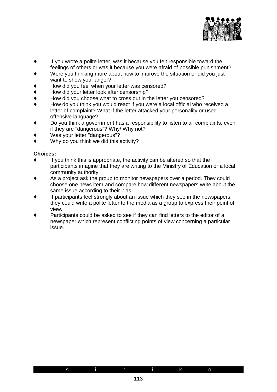

- If you wrote a polite letter, was it because you felt responsible toward the feelings of others or was it because you were afraid of possible punishment?
- Were you thinking more about how to improve the situation or did you just want to show your anger?
- How did you feel when your letter was censored?
- How did your letter look after censorship?
- How did you choose what to cross out in the letter you censored?
- How do you think you would react if you were a local official who received a letter of complaint? What if the letter attacked your personality or used offensive language?
- Do you think a government has a responsibility to listen to all complaints, even if they are "dangerous"? Why/ Why not?
- Was your letter "dangerous"?
- Why do you think we did this activity?

#### **Choices:**

- If you think this is appropriate, the activity can be altered so that the participants imagine that they are writing to the Ministry of Education or a local community authority.
- As a project ask the group to monitor newspapers over a period. They could choose one news item and compare how different newspapers write about the same issue according to their bias.
- If participants feel strongly about an issue which they see in the newspapers, they could write a polite letter to the media as a group to express their point of view.
- Participants could be asked to see if they can find letters to the editor of a newspaper which represent conflicting points of view concerning a particular issue.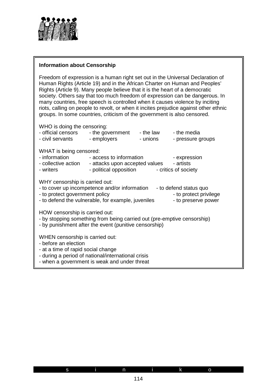

#### **Information about Censorship**

Freedom of expression is a human right set out in the Universal Declaration of Human Rights (Article 19) and in the African Charter on Human and Peoples' Rights (Article 9). Many people believe that it is the heart of a democratic society. Others say that too much freedom of expression can be dangerous. In many countries, free speech is controlled when it causes violence by inciting riots, calling on people to revolt, or when it incites prejudice against other ethnic groups. In some countries, criticism of the government is also censored.

WHO is doing the censoring:

| - official censors<br>- civil servants                                                                                                                                                                                                          | - the government<br>- employers | - the law<br>- unions | - the media<br>- pressure groups |
|-------------------------------------------------------------------------------------------------------------------------------------------------------------------------------------------------------------------------------------------------|---------------------------------|-----------------------|----------------------------------|
| WHAT is being censored:<br>- information<br>- access to information<br>- expression<br>- collective action - attacks upon accepted values<br>- artists<br>- political opposition<br>- critics of society<br>- writers                           |                                 |                       |                                  |
| WHY censorship is carried out:<br>- to cover up incompetence and/or information - to defend status quo<br>- to protect government policy<br>- to protect privilege<br>- to defend the vulnerable, for example, juveniles<br>- to preserve power |                                 |                       |                                  |
| HOW censorship is carried out:<br>- by stopping something from being carried out (pre-emptive censorship)<br>- by punishment after the event (punitive censorship)                                                                              |                                 |                       |                                  |
| WHEN censorship is carried out:<br>- before an election<br>- at a time of rapid social change<br>- during a period of national/international crisis<br>- when a government is weak and under threat                                             |                                 |                       |                                  |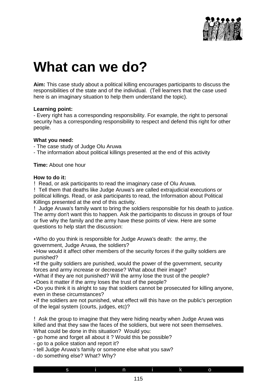

## **What can we do?**

**Aim:** This case study about a political killing encourages participants to discuss the responsibilities of the state and of the individual. (Tell learners that the case used here is an imaginary situation to help them understand the topic).

#### **Learning point:**

- Every right has a corresponding responsibility. For example, the right to personal security has a corresponding responsibility to respect and defend this right for other people.

#### **What you need:**

- The case study of Judge Olu Aruwa

- The information about political killings presented at the end of this activity

**Time:** About one hour

#### **How to do it:**

! Read, or ask participants to read the imaginary case of Olu Aruwa.

! Tell them that deaths like Judge Aruwa's are called extrajudicial executions or political killings. Read, or ask participants to read, the Information about Political Killings presented at the end of this activity.

! Judge Aruwa's family want to bring the soldiers responsible for his death to justice. The army don't want this to happen. Ask the participants to discuss in groups of four or five why the family and the army have these points of view. Here are some questions to help start the discussion:

-Who do you think is responsible for Judge Aruwa's death: the army, the government, Judge Aruwa, the soldiers?

-How would it affect other members of the security forces if the guilty soldiers are punished?

.<br>►If the guilty soldiers are punished, would the power of the government, security forces and army increase or decrease? What about their image?

-What if they are not punished? Will the army lose the trust of the people?

-Does it matter if the army loses the trust of the people?

-Do you think it is alright to say that soldiers cannot be prosecuted for killing anyone, even in these circumstances?

-If the soldiers are not punished, what effect will this have on the public's perception of the legal system (courts, judges, etc)?

! Ask the group to imagine that they were hiding nearby when Judge Aruwa was killed and that they saw the faces of the soldiers, but were not seen themselves. What could be done in this situation? Would you:

- go home and forget all about it ? Would this be possible?

- go to a police station and report it?

- tell Judge Aruwa's family or someone else what you saw?

- do something else? What? Why?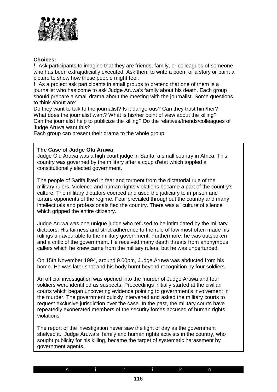

#### **Choices:**

! Ask participants to imagine that they are friends, family, or colleagues of someone who has been extrajudicially executed. Ask them to write a poem or a story or paint a picture to show how these people might feel.

! As a project ask participants in small groups to pretend that one of them is a journalist who has come to ask Judge Aruwa's family about his death. Each group should prepare a small drama about the meeting with the journalist. Some questions to think about are:

Do they want to talk to the journalist? Is it dangerous? Can they trust him/her? What does the journalist want? What is his/her point of view about the killing? Can the journalist help to publicize the killing? Do the relatives/friends/colleagues of Judge Aruwa want this?

Each group can present their drama to the whole group.

#### **The Case of Judge Olu Aruwa**

Judge Olu Aruwa was a high court judge in Sarifa, a small country in Africa. This country was governed by the military after a coup d'etat which toppled a constitutionally elected government.

The people of Sarifa lived in fear and torment from the dictatorial rule of the military rulers. Violence and human rights violations became a part of the country's culture. The military dictators coerced and used the judiciary to imprison and torture opponents of the regime. Fear prevailed throughout the country and many intellectuals and professionals fled the country. There was a "culture of silence" which gripped the entire citizenry.

Judge Aruwa was one unique judge who refused to be intimidated by the military dictators. His fairness and strict adherence to the rule of law most often made his rulings unfavourable to the military government. Furthermore, he was outspoken and a critic of the government. He received many death threats from anonymous callers which he knew came from the military rulers, but he was unperturbed.

On 15th November 1994, around 9.00pm, Judge Aruwa was abducted from his home. He was later shot and his body burnt beyond recognition by four soldiers.

An official investigation was opened into the murder of Judge Aruwa and four soldiers were identified as suspects. Proceedings initially started at the civilian courts which began uncovering evidence pointing to government's involvement in the murder. The government quickly intervened and asked the military courts to request exclusive jurisdiction over the case. In the past, the military courts have repeatedly exonerated members of the security forces accused of human rights violations.

The report of the investigation never saw the light of day as the government shelved it. Judge Aruwa's family and human rights activists in the country, who sought publicity for his killing, became the target of systematic harassment by government agents.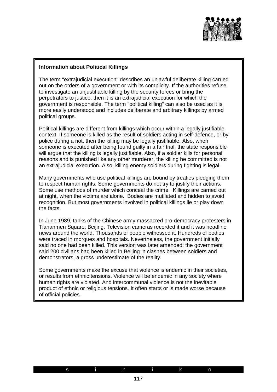

#### **Information about Political Killings**

The term "extrajudicial execution" describes an unlawful deliberate killing carried out on the orders of a government or with its complicity. If the authorities refuse to investigate an unjustifiable killing by the security forces or bring the perpetrators to justice, then it is an extrajudicial execution for which the government is responsible. The term "political killing" can also be used as it is more easily understood and includes deliberate and arbitrary killings by armed political groups.

Political killings are different from killings which occur within a legally justifiable context. If someone is killed as the result of soldiers acting in self-defence, or by police during a riot, then the killing may be legally justifiable. Also, when someone is executed after being found guilty in a fair trial, the state responsible will argue that the killing is legally justifiable. Also, if a soldier kills for personal reasons and is punished like any other murderer, the killing he committed is not an extrajudicial execution. Also, killing enemy soldiers during fighting is legal.

Many governments who use political killings are bound by treaties pledging them to respect human rights. Some governments do not try to justify their actions. Some use methods of murder which conceal the crime. Killings are carried out at night, when the victims are alone. Bodies are mutilated and hidden to avoid recognition. But most governments involved in political killings lie or play down the facts.

In June 1989, tanks of the Chinese army massacred pro-democracy protesters in Tiananmen Square, Beijing. Television cameras recorded it and it was headline news around the world. Thousands of people witnessed it. Hundreds of bodies were traced in morgues and hospitals. Nevertheless, the government initially said no one had been killed. This version was later amended: the government said 200 civilians had been killed in Beijing in clashes between soldiers and demonstrators, a gross underestimate of the reality.

Some governments make the excuse that violence is endemic in their societies, or results from ethnic tensions. Violence will be endemic in any society where human rights are violated. And intercommunal violence is not the inevitable product of ethnic or religious tensions. It often starts or is made worse because of official policies.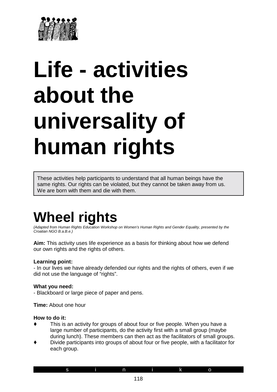

# **Life - activities about the universality of human rights**

These activities help participants to understand that all human beings have the same rights. Our rights can be violated, but they cannot be taken away from us. We are born with them and die with them.

## **Wheel rights**

*(Adapted from Human Rights Education Workshop on Women's Human Rights and Gender Equality, presented by the Croatian NGO B.a.B.e.)* 

**Aim:** This activity uses life experience as a basis for thinking about how we defend our own rights and the rights of others.

#### **Learning point:**

- In our lives we have already defended our rights and the rights of others, even if we did not use the language of "rights".

#### **What you need:**

- Blackboard or large piece of paper and pens.

**Time:** About one hour

#### **How to do it:**

- This is an activity for groups of about four or five people. When you have a large number of participants, do the activity first with a small group (maybe during lunch). These members can then act as the facilitators of small groups.
- Divide participants into groups of about four or five people, with a facilitator for each group.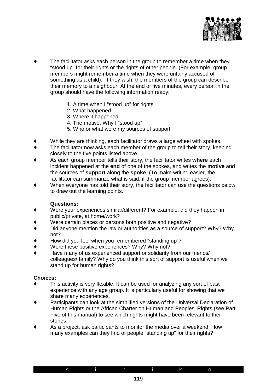

- The facilitator asks each person in the group to remember a time when they "stood up" for their rights or the rights of other people. (For example, group members might remember a time when they were unfairly accused of something as a child). If they wish, the members of the group can describe their memory to a neighbour. At the end of five minutes, every person in the group should have the following information ready:
	- 1. A time when I "stood up" for rights
	- 2. What happened
	- 3. Where it happened
	- 4. The motive. Why I "stood up"
	- 5. Who or what were my sources of support
- While they are thinking, each facilitator draws a large wheel with spokes.
- The facilitator now asks each member of the group to tell their story, keeping closely to the five points listed above.
- As each group member tells their story, the facilitator writes **where** each incident happened at the **end** of one of the spokes, and writes the **motive** and the sources of **support** along the **spoke**. (To make writing easier, the facilitator can summarize what is said, if the group member agrees).
- When everyone has told their story, the facilitator can use the questions below to draw out the learning points.

#### **Questions:**

- Were your experiences similar/different? For example, did they happen in public/private, at home/work?
- Were certain places or persons both positive and negative?
- Did anyone mention the law or authorities as a source of support? Why? Why not?
- How did you feel when you remembered "standing up"?
- Were these positive experiences? Why? Why not?
- Have many of us experienced support or solidarity from our friends/ colleagues/ family? Why do you think this sort of support is useful when we stand up for human rights?

#### **Choices:**

- This activity is very flexible. It can be used for analyzing any sort of past experience with any age group. It is particularly useful for showing that we share many experiences.
- Participants can look at the simplified versions of the Universal Declaration of Human Rights or the African Charter on Human and Peoples' Rights (see Part Five of this manual) to see which rights might have been relevant to their stories.
- As a project, ask participants to monitor the media over a weekend. How many examples can they find of people "standing up" for their rights?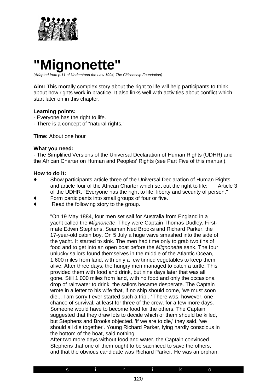

### **"Mignonette"**

*(Adapted from p.11 of Understand the Law 1994, The Citizenship Foundation)*

**Aim:** This morally complex story about the right to life will help participants to think about how rights work in practice. It also links well with activities about conflict which start later on in this chapter.

#### **Learning points:**

- Everyone has the right to life.
- There is a concept of "natural rights."

**Time:** About one hour

#### **What you need:**

- The Simplified Versions of the Universal Declaration of Human Rights (UDHR) and the African Charter on Human and Peoples' Rights (see Part Five of this manual).

#### **How to do it:**

- Show participants article three of the Universal Declaration of Human Rights and article four of the African Charter which set out the right to life: Article 3 of the UDHR. "Everyone has the right to life, liberty and security of person."
- Form participants into small groups of four or five.
- Read the following story to the group.

"On 19 May 1884, four men set sail for Australia from England in a yacht called the *Mignonette*. They were Captain Thomas Dudley, Firstmate Edwin Stephens, Seaman Ned Brooks and Richard Parker, the 17-year-old cabin boy. On 5 July a huge wave smashed into the side of the yacht. It started to sink. The men had time only to grab two tins of food and to get into an open boat before the *Mignonette* sank. The four unlucky sailors found themselves in the middle of the Atlantic Ocean, 1,600 miles from land, with only a few tinned vegetables to keep them alive. After three days, the hungry men managed to catch a turtle. This provided them with food and drink, but nine days later that was all gone. Still 1,000 miles from land, with no food and only the occasional drop of rainwater to drink, the sailors became desperate. The Captain wrote in a letter to his wife that, if no ship should come, 'we must soon die... I am sorry I ever started such a trip...' There was, however, one chance of survival, at least for three of the crew, for a few more days. Someone would have to become food for the others. The Captain suggested that they draw lots to decide which of them should be killed, but Stephens and Brooks objected. 'if we are to die,' they said, 'we should all die together'. Young Richard Parker, lying hardly conscious in the bottom of the boat, said nothing.

After two more days without food and water, the Captain convinced Stephens that one of them ought to be sacrificed to save the others, and that the obvious candidate was Richard Parker. He was an orphan,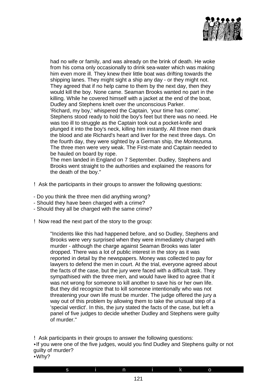

had no wife or family, and was already on the brink of death. He woke from his coma only occasionally to drink sea-water which was making him even more ill. They knew their little boat was drifting towards the shipping lanes. They might sight a ship any day - or they might not. They agreed that if no help came to them by the next day, then they would kill the boy. None came. Seaman Brooks wanted no part in the killing. While he covered himself with a jacket at the end of the boat, Dudley and Stephens knelt over the unconscious Parker. 'Richard, my boy,' whispered the Captain, 'your time has come'. Stephens stood ready to hold the boy's feet but there was no need. He was too ill to struggle as the Captain took out a pocket-knife and plunged it into the boy's neck, killing him instantly. All three men drank the blood and ate Richard's heart and liver for the next three days. On the fourth day, they were sighted by a German ship, the *Montezuma*. The three men were very weak. The First-mate and Captain needed to be hauled on board by rope. The men landed in England on 7 September. Dudley, Stephens and

Brooks went straight to the authorities and explained the reasons for the death of the boy."

- ! Ask the participants in their groups to answer the following questions:
- Do you think the three men did anything wrong?
- Should they have been charged with a crime?
- Should they all be charged with the same crime?
- ! Now read the next part of the story to the group:

"Incidents like this had happened before, and so Dudley, Stephens and Brooks were very surprised when they were immediately charged with murder - although the charge against Seaman Brooks was later dropped. There was a lot of public interest in the story as it was reported in detail by the newspapers. Money was collected to pay for lawyers to defend the men in court. At the trial, everyone agreed about the facts of the case, but the jury were faced with a difficult task. They sympathised with the three men, and would have liked to agree that it was not wrong for someone to kill another to save his or her own life. But they did recognize that to kill someone intentionally who was not threatening your own life must be murder. The judge offered the jury a way out of this problem by allowing them to take the unusual step of a 'special verdict'. In this, the jury stated the facts of the case, but left a panel of five judges to decide whether Dudley and Stephens were guilty of murder."

! Ask participants in their groups to answer the following questions: -If you were one of the five judges, would you find Dudley and Stephens guilty or not guilty of murder? -Why?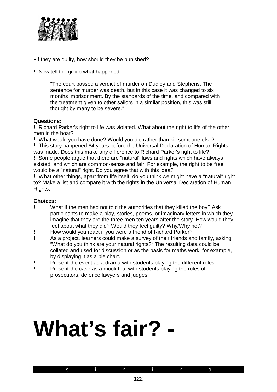

- -If they are guilty, how should they be punished?
- ! Now tell the group what happened:

"The court passed a verdict of murder on Dudley and Stephens. The sentence for murder was death, but in this case it was changed to six months imprisonment. By the standards of the time, and compared with the treatment given to other sailors in a similar position, this was still thought by many to be severe."

#### **Questions:**

! Richard Parker's right to life was violated. What about the right to life of the other men in the boat?

! What would you have done? Would you die rather than kill someone else?

! This story happened 64 years before the Universal Declaration of Human Rights was made. Does this make any difference to Richard Parker's right to life?

! Some people argue that there are "natural" laws and rights which have always existed, and which are common-sense and fair. For example, the right to be free would be a "natural" right. Do you agree that with this idea?

! What other things, apart from life itself, do you think we might have a "natural" right to? Make a list and compare it with the rights in the Universal Declaration of Human Rights.

#### **Choices:**

- ! What if the men had not told the authorities that they killed the boy? Ask participants to make a play, stories, poems, or imaginary letters in which they imagine that they are the three men ten years after the story. How would they feel about what they did? Would they feel guilty? Why/Why not?
- ! How would you react if you were a friend of Richard Parker?
- ! As a project, learners could make a survey of their friends and family, asking "What do you think are your natural rights?" The resulting data could be collated and used for discussion or as the basis for maths work, for example, by displaying it as a pie chart.
- Present the event as a drama with students playing the different roles.<br>Present the case as a mock trial with students playing the roles of
- Present the case as a mock trial with students playing the roles of prosecutors, defence lawyers and judges.

## **What's fair? -**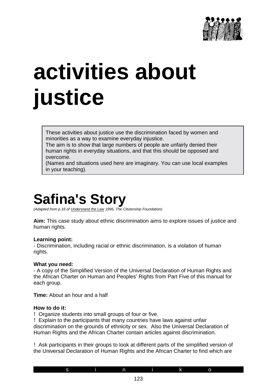

# **activities about justice**

These activities about justice use the discrimination faced by women and minorities as a way to examine everyday injustice.

The aim is to show that large numbers of people are unfairly denied their human rights in everyday situations, and that this should be opposed and overcome.

(Names and situations used here are imaginary. You can use local examples in your teaching).

### **Safina's Story**

*(Adapted from p.16 of Understand the Law 1995, The Citizenship Foundation)*

**Aim:** This case study about ethnic discrimination aims to explore issues of justice and human rights.

#### **Learning point:**

- Discrimination, including racial or ethnic discrimination, is a violation of human rights.

#### **What you need:**

- A copy of the Simplified Version of the Universal Declaration of Human Rights and the African Charter on Human and Peoples' Rights from Part Five of this manual for each group.

**Time:** About an hour and a half

#### **How to do it:**

! Organize students into small groups of four or five.

! Explain to the participants that many countries have laws against unfair discrimination on the grounds of ethnicity or sex. Also the Universal Declaration of Human Rights and the African Charter contain articles against discrimination.

! Ask participants in their groups to look at different parts of the simplified version of the Universal Declaration of Human Rights and the African Charter to find which are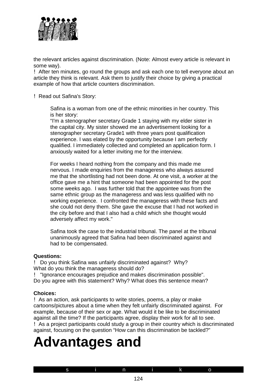

the relevant articles against discrimination. (Note: Almost every article is relevant in some way).

! After ten minutes, go round the groups and ask each one to tell everyone about an article they think is relevant. Ask them to justify their choice by giving a practical example of how that article counters discrimination.

#### ! Read out Safina's Story:

Safina is a woman from one of the ethnic minorities in her country. This is her story:

"I'm a stenographer secretary Grade 1 staying with my elder sister in the capital city. My sister showed me an advertisement looking for a stenographer secretary Grade1 with three years post qualification experience. I was elated by the opportunity because I am perfectly qualified. I immediately collected and completed an application form. I anxiously waited for a letter inviting me for the interview.

For weeks I heard nothing from the company and this made me nervous. I made enquiries from the manageress who always assured me that the shortlisting had not been done. At one visit, a worker at the office gave me a hint that someone had been appointed for the post some weeks ago. I was further told that the appointee was from the same ethnic group as the manageress and was less qualified with no working experience. I confronted the manageress with these facts and she could not deny them. She gave the excuse that I had not worked in the city before and that I also had a child which she thought would adversely affect my work."

Safina took the case to the industrial tribunal. The panel at the tribunal unanimously agreed that Safina had been discriminated against and had to be compensated.

#### **Questions:**

! Do you think Safina was unfairly discriminated against? Why? What do you think the manageress should do?

! "Ignorance encourages prejudice and makes discrimination possible". Do you agree with this statement? Why? What does this sentence mean?

#### **Choices:**

! As an action, ask participants to write stories, poems, a play or make cartoons/pictures about a time when they felt unfairly discriminated against. For example, because of their sex or age. What would it be like to be discriminated against all the time? If the participants agree, display their work for all to see. ! As a project participants could study a group in their country which is discriminated against, focusing on the question "How can this discrimination be tackled?"

## **Advantages and**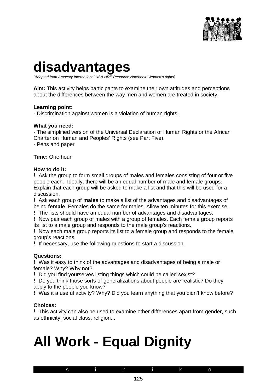

## **disadvantages**

*(Adapted from Amnesty International USA HRE Resource Notebook: Women's rights)*

**Aim:** This activity helps participants to examine their own attitudes and perceptions about the differences between the way men and women are treated in society.

#### **Learning point:**

- Discrimination against women is a violation of human rights.

#### **What you need:**

- The simplified version of the Universal Declaration of Human Rights or the African Charter on Human and Peoples' Rights (see Part Five).

- Pens and paper

**Time:** One hour

#### **How to do it:**

! Ask the group to form small groups of males and females consisting of four or five people each. Ideally, there will be an equal number of male and female groups. Explain that each group will be asked to make a list and that this will be used for a discussion.

! Ask each group of **males** to make a list of the advantages and disadvantages of being **female**. Females do the same for males. Allow ten minutes for this exercise.

! The lists should have an equal number of advantages and disadvantages.

! Now pair each group of males with a group of females. Each female group reports its list to a male group and responds to the male group's reactions.

! Now each male group reports its list to a female group and responds to the female group's reactions.

! If necessary, use the following questions to start a discussion.

#### **Questions:**

! Was it easy to think of the advantages and disadvantages of being a male or female? Why? Why not?

! Did you find yourselves listing things which could be called sexist?

! Do you think those sorts of generalizations about people are realistic? Do they apply to the people you know?

! Was it a useful activity? Why? Did you learn anything that you didn't know before?

#### **Choices:**

! This activity can also be used to examine other differences apart from gender, such as ethnicity, social class, religion...

## **All Work - Equal Dignity**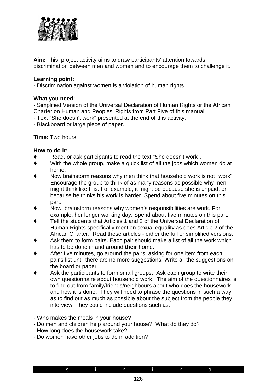

**Aim:** This project activity aims to draw participants' attention towards discrimination between men and women and to encourage them to challenge it.

#### **Learning point:**

- Discrimination against women is a violation of human rights.

#### **What you need:**

- Simplified Version of the Universal Declaration of Human Rights or the African Charter on Human and Peoples' Rights from Part Five of this manual.

- Text "She doesn't work" presented at the end of this activity.
- Blackboard or large piece of paper.

#### **Time:** Two hours

#### **How to do it:**

- Read, or ask participants to read the text "She doesn't work".
- With the whole group, make a quick list of all the jobs which women do at home.
- Now brainstorm reasons why men think that household work is not "work". Encourage the group to think of as many reasons as possible why men might think like this. For example, it might be because she is unpaid, or because he thinks his work is harder. Spend about five minutes on this part.
- Now, brainstorm reasons why women's responsibilities are work. For example, her longer working day. Spend about five minutes on this part.
- Tell the students that Articles 1 and 2 of the Universal Declaration of Human Rights specifically mention sexual equality as does Article 2 of the African Charter. Read these articles - either the full or simplified versions.
- Ask them to form pairs. Each pair should make a list of all the work which has to be done in and around **their** home.
- After five minutes, go around the pairs, asking for one item from each pair's list until there are no more suggestions. Write all the suggestions on the board or paper.
- Ask the participants to form small groups. Ask each group to write their own questionnaire about household work. The aim of the questionnaires is to find out from family/friends/neighbours about who does the housework and how it is done. They will need to phrase the questions in such a way as to find out as much as possible about the subject from the people they interview. They could include questions such as:

- Who makes the meals in your house?

- Do men and children help around your house? What do they do?
- How long does the housework take?
- Do women have other jobs to do in addition?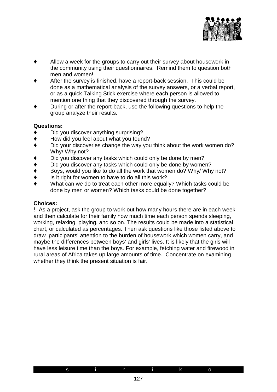

- Allow a week for the groups to carry out their survey about housework in the community using their questionnaires. Remind them to question both men and women!
- After the survey is finished, have a report-back session. This could be done as a mathematical analysis of the survey answers, or a verbal report, or as a quick Talking Stick exercise where each person is allowed to mention one thing that they discovered through the survey.
- During or after the report-back, use the following questions to help the group analyze their results.

#### **Questions:**

- Did you discover anything surprising?
- How did you feel about what you found?
- Did your discoveries change the way you think about the work women do? Why/ Why not?
- Did you discover any tasks which could only be done by men?
- Did you discover any tasks which could only be done by women?
- Boys, would you like to do all the work that women do? Why/ Why not?
- Is it right for women to have to do all this work?
- What can we do to treat each other more equally? Which tasks could be done by men or women? Which tasks could be done together?

#### **Choices:**

! As a project, ask the group to work out how many hours there are in each week and then calculate for their family how much time each person spends sleeping, working, relaxing, playing, and so on. The results could be made into a statistical chart, or calculated as percentages. Then ask questions like those listed above to draw participants' attention to the burden of housework which women carry, and maybe the differences between boys' and girls' lives. It is likely that the girls will have less leisure time than the boys. For example, fetching water and firewood in rural areas of Africa takes up large amounts of time. Concentrate on examining whether they think the present situation is fair.

127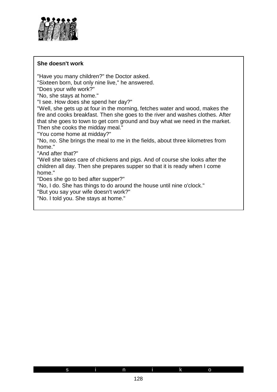

#### **She doesn't work**

"Have you many children?" the Doctor asked.

"Sixteen born, but only nine live," he answered.

"Does your wife work?"

"No, she stays at home."

"I see. How does she spend her day?"

"Well, she gets up at four in the morning, fetches water and wood, makes the fire and cooks breakfast. Then she goes to the river and washes clothes. After that she goes to town to get corn ground and buy what we need in the market. Then she cooks the midday meal."

"You come home at midday?"

"No, no. She brings the meal to me in the fields, about three kilometres from home."

"And after that?"

"Well she takes care of chickens and pigs. And of course she looks after the children all day. Then she prepares supper so that it is ready when I come home."

"Does she go to bed after supper?"

"No, I do. She has things to do around the house until nine o'clock."

"But you say your wife doesn't work?"

"No. I told you. She stays at home."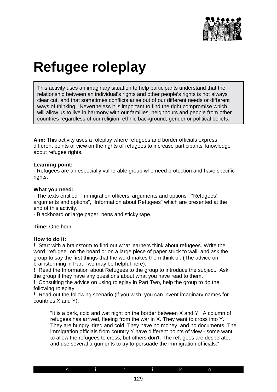

## **Refugee roleplay**

This activity uses an imaginary situation to help participants understand that the relationship between an individual's rights and other people's rights is not always clear cut, and that sometimes conflicts arise out of our different needs or different ways of thinking. Nevertheless it is important to find the right compromise which will allow us to live in harmony with our families, neighbours and people from other countries regardless of our religion, ethnic background, gender or political beliefs.

**Aim:** This activity uses a roleplay where refugees and border officials express different points of view on the rights of refugees to increase participants' knowledge about refugee rights.

#### **Learning point:**

- Refugees are an especially vulnerable group who need protection and have specific rights.

#### **What you need:**

- The texts entitled "Immigration officers' arguments and options", "Refugees'. arguments and options", "Information about Refugees" which are presented at the end of this activity.

- Blackboard or large paper, pens and sticky tape.

#### **Time:** One hour

#### **How to do it:**

! Start with a brainstorm to find out what learners think about refugees. Write the word "refugee" on the board or on a large piece of paper stuck to wall, and ask the group to say the first things that the word makes them think of. (The advice on brainstorming in Part Two may be helpful here).

! Read the Information about Refugees to the group to introduce the subject. Ask the group if they have any questions about what you have read to them.

! Consulting the advice on using roleplay in Part Two, help the group to do the following roleplay.

! Read out the following scenario (if you wish, you can invent imaginary names for countries X and Y):

"It is a dark, cold and wet night on the border between X and Y. A column of refugees has arrived, fleeing from the war in X. They want to cross into Y. They are hungry, tired and cold. They have no money, and no documents. The immigration officials from country Y have different points of view - some want to allow the refugees to cross, but others don't. The refugees are desperate, and use several arguments to try to persuade the immigration officials."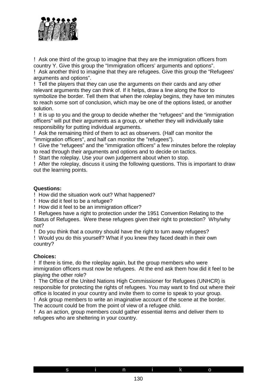

! Ask one third of the group to imagine that they are the immigration officers from country Y. Give this group the "Immigration officers' arguments and options". ! Ask another third to imagine that they are refugees. Give this group the "Refugees' arguments and options".

! Tell the players that they can use the arguments on their cards and any other relevant arguments they can think of. If it helps, draw a line along the floor to symbolize the border. Tell them that when the roleplay begins, they have ten minutes to reach some sort of conclusion, which may be one of the options listed, or another solution.

! It is up to you and the group to decide whether the "refugees" and the "immigration officers" will put their arguments as a group, or whether they will individually take responsibility for putting individual arguments.

! Ask the remaining third of them to act as observers. (Half can monitor the "immigration officers", and half can monitor the "refugees").

! Give the "refugees" and the "immigration officers" a few minutes before the roleplay to read through their arguments and options and to decide on tactics.

! Start the roleplay. Use your own judgement about when to stop.

! After the roleplay, discuss it using the following questions. This is important to draw out the learning points.

#### **Questions:**

! How did the situation work out? What happened?

! How did it feel to be a refugee?

! How did it feel to be an immigration officer?

! Refugees have a right to protection under the 1951 Convention Relating to the Status of Refugees. Were these refugees given their right to protection? Why/why not?

! Do you think that a country should have the right to turn away refugees?

! Would you do this yourself? What if you knew they faced death in their own country?

#### **Choices:**

! If there is time, do the roleplay again, but the group members who were immigration officers must now be refugees. At the end ask them how did it feel to be playing the other role?

! The Office of the United Nations High Commissioner for Refugees (UNHCR) is responsible for protecting the rights of refugees. You may want to find out where their office is located in your country and invite them to come to speak to your group.

! Ask group members to write an imaginative account of the scene at the border. The account could be from the point of view of a refugee child.

! As an action, group members could gather essential items and deliver them to refugees who are sheltering in your country.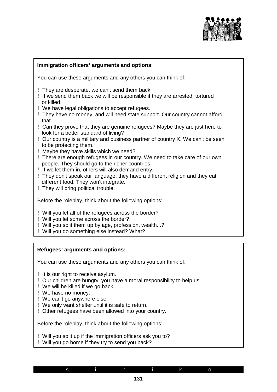

#### **Immigration officers' arguments and options**:

You can use these arguments and any others you can think of:

- ! They are desperate, we can't send them back.
- ! If we send them back we will be responsible if they are arrested, tortured or killed.
- ! We have legal obligations to accept refugees.
- ! They have no money, and will need state support. Our country cannot afford that.
- ! Can they prove that they are genuine refugees? Maybe they are just here to look for a better standard of living?
- ! Our country is a military and business partner of country X. We can't be seen to be protecting them.
- ! Maybe they have skills which we need?
- ! There are enough refugees in our country. We need to take care of our own people. They should go to the richer countries.
- ! If we let them in, others will also demand entry.
- ! They don't speak our language, they have a different religion and they eat different food. They won't integrate.
- ! They will bring political trouble.

Before the roleplay, think about the following options:

- ! Will you let all of the refugees across the border?
- ! Will you let some across the border?
- ! Will you split them up by age, profession, wealth...?
- ! Will you do something else instead? What?

#### **Refugees' arguments and options:**

You can use these arguments and any others you can think of:

- ! It is our right to receive asylum.
- ! Our children are hungry, you have a moral responsibility to help us.
- ! We will be killed if we go back.
- ! We have no money.
- ! We can't go anywhere else.
- ! We only want shelter until it is safe to return.
- ! Other refugees have been allowed into your country.

Before the roleplay, think about the following options:

- ! Will you split up if the immigration officers ask you to?
- ! Will you go home if they try to send you back?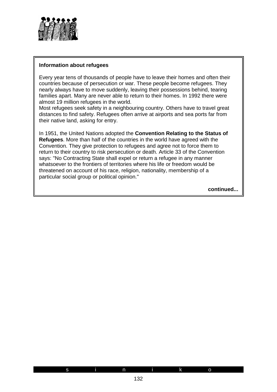

#### **Information about refugees**

Every year tens of thousands of people have to leave their homes and often their countries because of persecution or war. These people become refugees. They nearly always have to move suddenly, leaving their possessions behind, tearing families apart. Many are never able to return to their homes. In 1992 there were almost 19 million refugees in the world.

Most refugees seek safety in a neighbouring country. Others have to travel great distances to find safety. Refugees often arrive at airports and sea ports far from their native land, asking for entry.

In 1951, the United Nations adopted the **Convention Relating to the Status of Refugees**. More than half of the countries in the world have agreed with the Convention. They give protection to refugees and agree not to force them to return to their country to risk persecution or death. Article 33 of the Convention says: "No Contracting State shall expel or return a refugee in any manner whatsoever to the frontiers of territories where his life or freedom would be threatened on account of his race, religion, nationality, membership of a particular social group or political opinion."

 **continued...**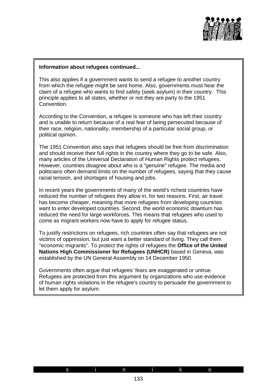

#### **Information about refugees continued...**

This also applies if a government wants to send a refugee to another country from which the refugee might be sent home. Also, governments must hear the claim of a refugee who wants to find safety (seek asylum) in their country. This principle applies to all states, whether or not they are party to the 1951 Convention.

According to the Convention, a refugee is someone who has left their country and is unable to return because of a real fear of being persecuted because of their race, religion, nationality, membership of a particular social group, or political opinion.

The 1951 Convention also says that refugees should be free from discrimination and should receive their full rights in the country where they go to be safe. Also, many articles of the Universal Declaration of Human Rights protect refugees. However, countries disagree about who is a "genuine" refugee. The media and politicians often demand limits on the number of refugees, saying that they cause racial tension, and shortages of housing and jobs.

In recent years the governments of many of the world's richest countries have reduced the number of refugees they allow in, for two reasons. First, air travel has become cheaper, meaning that more refugees from developing countries want to enter developed countries. Second, the world economic downturn has reduced the need for large workforces. This means that refugees who used to come as migrant workers now have to apply for refugee status.

To justify restrictions on refugees, rich countries often say that refugees are not victims of oppression, but just want a better standard of living. They call them "economic migrants". To protect the rights of refugees the **Office of the United Nations High Commissioner for Refugees (UNHCR)** based in Geneva, was established by the UN General Assembly on 14 December 1950.

Governments often argue that refugees' fears are exaggerated or untrue. Refugees are protected from this argument by organizations who use evidence of human rights violations in the refugee's country to persuade the government to let them apply for asylum.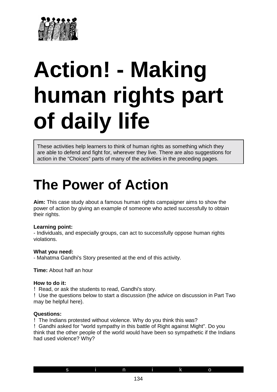

# **Action! - Making human rights part of daily life**

These activities help learners to think of human rights as something which they are able to defend and fight for, wherever they live. There are also suggestions for action in the "Choices" parts of many of the activities in the preceding pages.

## **The Power of Action**

**Aim:** This case study about a famous human rights campaigner aims to show the power of action by giving an example of someone who acted successfully to obtain their rights.

#### **Learning point:**

- Individuals, and especially groups, can act to successfully oppose human rights violations.

#### **What you need:**

- Mahatma Gandhi's Story presented at the end of this activity.

**Time:** About half an hour

#### **How to do it:**

! Read, or ask the students to read, Gandhi's story.

! Use the questions below to start a discussion (the advice on discussion in Part Two may be helpful here).

#### **Questions:**

! The Indians protested without violence. Why do you think this was?

! Gandhi asked for "world sympathy in this battle of Right against Might". Do you think that the other people of the world would have been so sympathetic if the Indians had used violence? Why?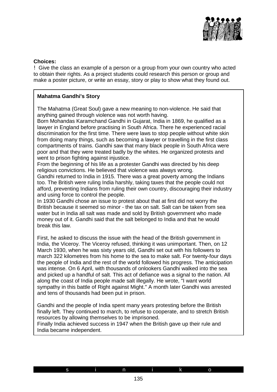

#### **Choices:**

! Give the class an example of a person or a group from your own country who acted to obtain their rights. As a project students could research this person or group and make a poster picture, or write an essay, story or play to show what they found out.

#### **Mahatma Gandhi's Story**

The Mahatma (Great Soul) gave a new meaning to non-violence. He said that anything gained through violence was not worth having.

Born Mohandas Karamchand Gandhi in Gujarat, India in 1869, he qualified as a lawyer in England before practising in South Africa. There he experienced racial discrimination for the first time. There were laws to stop people without white skin from doing many things, such as becoming a lawyer or travelling in the first class compartments of trains. Gandhi saw that many black people in South Africa were poor and that they were treated badly by the whites. He organized protests and went to prison fighting against injustice.

From the beginning of his life as a protester Gandhi was directed by his deep religious convictions. He believed that violence was always wrong.

Gandhi returned to India in 1915. There was a great poverty among the Indians too. The British were ruling India harshly, taking taxes that the people could not afford, preventing Indians from ruling their own country, discouraging their industry and using force to control the people.

In 1930 Gandhi chose an issue to protest about that at first did not worry the British because it seemed so minor - the tax on salt. Salt can be taken from sea water but in India all salt was made and sold by British government who made money out of it. Gandhi said that the salt belonged to India and that he would break this law.

First, he asked to discuss the issue with the head of the British government in India, the Viceroy. The Viceroy refused, thinking it was unimportant. Then, on 12 March 1930, when he was sixty years old, Gandhi set out with his followers to march 322 kilometres from his home to the sea to make salt. For twenty-four days the people of India and the rest of the world followed his progress. The anticipation was intense. On 6 April, with thousands of onlookers Gandhi walked into the sea and picked up a handful of salt. This act of defiance was a signal to the nation. All along the coast of India people made salt illegally. He wrote, "I want world sympathy in this battle of Right against Might." A month later Gandhi was arrested and tens of thousands had been put in prison.

Gandhi and the people of India spent many years protesting before the British finally left. They continued to march, to refuse to cooperate, and to stretch British resources by allowing themselves to be imprisoned.

Finally India achieved success in 1947 when the British gave up their rule and India became independent.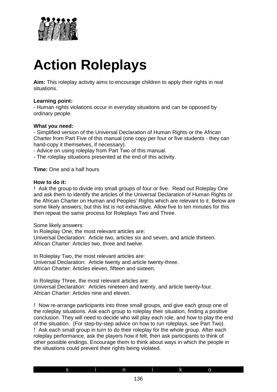

## **Action Roleplays**

**Aim:** This roleplay activity aims to encourage children to apply their rights in real situations.

#### **Learning point:**

- Human rights violations occur in everyday situations and can be opposed by ordinary people.

#### **What you need:**

- Simplified version of the Universal Declaration of Human Rights or the African Charter from Part Five of this manual (one copy per four or five students - they can hand-copy it themselves, if necessary).

- Advice on using roleplay from Part Two of this manual.

- The roleplay situations presented at the end of this activity.

**Time:** One and a half hours

#### **How to do it:**

! Ask the group to divide into small groups of four or five. Read out Roleplay One and ask them to identify the articles of the Universal Declaration of Human Rights or the African Charter on Human and Peoples' Rights which are relevant to it. Below are some likely answers, but this list is not exhaustive. Allow five to ten minutes for this then repeat the same process for Roleplays Two and Three.

Some likely answers:

In Roleplay One, the most relevant articles are: Universal Declaration: Article two, articles six and seven, and article thirteen. African Charter: Articles two, three and twelve.

In Roleplay Two, the most relevant articles are: Universal Declaration: Article twenty and article twenty-three. African Charter: Articles eleven, fifteen and sixteen.

In Roleplay Three, the most relevant articles are: Universal Declaration: Articles nineteen and twenty, and article twenty-four. African Charter: Articles nine and eleven.

! Now re-arrange participants into three small groups, and give each group one of the roleplay situations. Ask each group to roleplay their situation, finding a positive conclusion. They will need to decide who will play each role, and how to play the end of the situation. (For step-by-step advice on how to run roleplays, see Part Two). ! Ask each small group in turn to do their roleplay for the whole group. After each roleplay performance, ask the players how it felt, then ask participants to think of other possible endings. Encourage them to think about ways in which the people in the situations could prevent their rights being violated.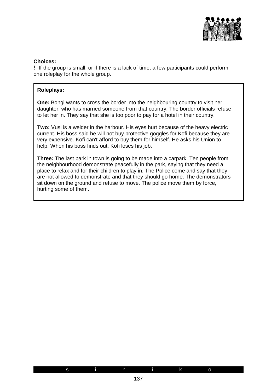

#### **Choices:**

! If the group is small, or if there is a lack of time, a few participants could perform one roleplay for the whole group.

#### **Roleplays:**

**One:** Bongi wants to cross the border into the neighbouring country to visit her daughter, who has married someone from that country. The border officials refuse to let her in. They say that she is too poor to pay for a hotel in their country.

**Two:** Vusi is a welder in the harbour. His eyes hurt because of the heavy electric current. His boss said he will not buy protective goggles for Kofi because they are very expensive. Kofi can't afford to buy them for himself. He asks his Union to help. When his boss finds out, Kofi loses his job.

**Three:** The last park in town is going to be made into a carpark. Ten people from the neighbourhood demonstrate peacefully in the park, saying that they need a place to relax and for their children to play in. The Police come and say that they are not allowed to demonstrate and that they should go home. The demonstrators sit down on the ground and refuse to move. The police move them by force, hurting some of them.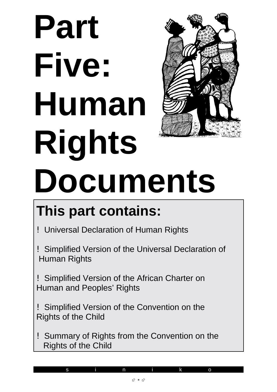# **Part Five: Human Rights**



# **Documents**

## **This part contains:**

- ! Universal Declaration of Human Rights
- ! Simplified Version of the Universal Declaration of Human Rights
- ! Simplified Version of the African Charter on Human and Peoples' Rights
- ! Simplified Version of the Convention on the Rights of the Child
- ! Summary of Rights from the Convention on the Rights of the Child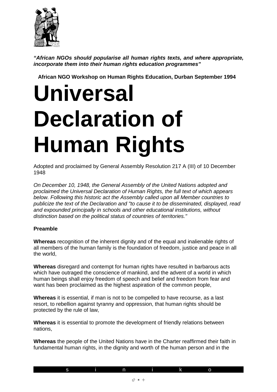

*"African NGOs should popularise all human rights texts, and where appropriate, incorporate them into their human rights education programmes"*

 **African NGO Workshop on Human Rights Education, Durban September 1994**

# **Universal Declaration of Human Rights**

Adopted and proclaimed by General Assembly Resolution 217 A (III) of 10 December 1948

*On December 10, 1948, the General Assembly of the United Nations adopted and proclaimed the Universal Declaration of Human Rights, the full text of which appears below. Following this historic act the Assembly called upon all Member countries to publicize the text of the Declaration and "to cause it to be disseminated, displayed, read and expounded principally in schools and other educational institutions, without distinction based on the political status of countries of territories."*

#### **Preamble**

**Whereas** recognition of the inherent dignity and of the equal and inalienable rights of all members of the human family is the foundation of freedom, justice and peace in all the world,

**Whereas** disregard and contempt for human rights have resulted in barbarous acts which have outraged the conscience of mankind, and the advent of a world in which human beings shall enjoy freedom of speech and belief and freedom from fear and want has been proclaimed as the highest aspiration of the common people,

**Whereas** it is essential, if man is not to be compelled to have recourse, as a last resort, to rebellion against tyranny and oppression, that human rights should be protected by the rule of law,

**Whereas** it is essential to promote the development of friendly relations between nations,

**Whereas** the people of the United Nations have in the Charter reaffirmed their faith in fundamental human rights, in the dignity and worth of the human person and in the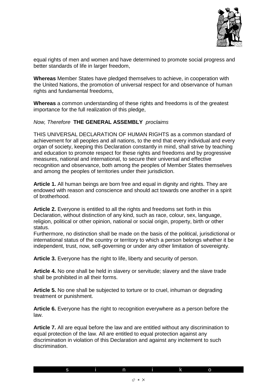

equal rights of men and women and have determined to promote social progress and better standards of life in larger freedom,

**Whereas** Member States have pledged themselves to achieve, in cooperation with the United Nations, the promotion of universal respect for and observance of human rights and fundamental freedoms,

**Whereas** a common understanding of these rights and freedoms is of the greatest importance for the full realization of this pledge,

#### *Now, Therefore* **THE GENERAL ASSEMBLY** *proclaims*

THIS UNIVERSAL DECLARATION OF HUMAN RIGHTS as a common standard of achievement for all peoples and all nations, to the end that every individual and every organ of society, keeping this Declaration constantly in mind, shall strive by teaching and education to promote respect for these rights and freedoms and by progressive measures, national and international, to secure their universal and effective recognition and observance, both among the peoples of Member States themselves and among the peoples of territories under their jurisdiction.

**Article 1.** All human beings are born free and equal in dignity and rights. They are endowed with reason and conscience and should act towards one another in a spirit of brotherhood.

**Article 2.** Everyone is entitled to all the rights and freedoms set forth in this Declaration, without distinction of any kind, such as race, colour, sex, language, religion, political or other opinion, national or social origin, property, birth or other status.

Furthermore, no distinction shall be made on the basis of the political, jurisdictional or international status of the country or territory to which a person belongs whether it be independent, trust, now, self-governing or under any other limitation of sovereignty.

**Article 3.** Everyone has the right to life, liberty and security of person.

**Article 4.** No one shall be held in slavery or servitude; slavery and the slave trade shall be prohibited in all their forms.

**Article 5.** No one shall be subjected to torture or to cruel, inhuman or degrading treatment or punishment.

**Article 6.** Everyone has the right to recognition everywhere as a person before the law.

**Article 7.** All are equal before the law and are entitled without any discrimination to equal protection of the law. All are entitled to equal protection against any discrimination in violation of this Declaration and against any incitement to such discrimination.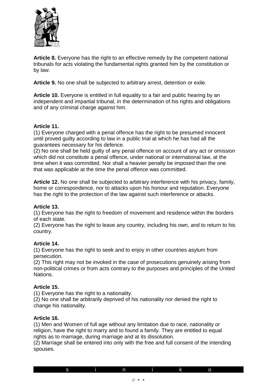

**Article 8.** Everyone has the right to an effective remedy by the competent national tribunals for acts violating the fundamental rights granted him by the constitution or by law.

**Article 9.** No one shall be subjected to arbitrary arrest, detention or exile.

**Article 10.** Everyone is entitled in full equality to a fair and public hearing by an independent and impartial tribunal, in the determination of his rights and obligations and of any criminal charge against him.

#### **Article 11.**

(1) Everyone charged with a penal offence has the right to be presumed innocent until proved guilty according to law in a public trial at which he has had all the guarantees necessary for his defence.

(2) No one shall be held guilty of any penal offence on account of any act or omission which did not constitute a penal offence, under national or international law, at the time when it was committed. Nor shall a heavier penalty be imposed than the one that was applicable at the time the penal offence was committed.

**Article 12.** No one shall be subjected to arbitrary interference with his privacy, family, home or correspondence, nor to attacks upon his honour and reputation. Everyone has the right to the protection of the law against such interference or attacks.

#### **Article 13.**

(1) Everyone has the right to freedom of movement and residence within the borders of each state.

(2) Everyone has the right to leave any country, including his own, and to return to his country.

#### **Article 14.**

(1) Everyone has the right to seek and to enjoy in other countries asylum from persecution.

(2) This right may not be invoked in the case of prosecutions genuinely arising from non-political crimes or from acts contrary to the purposes and principles of the United Nations.

#### **Article 15.**

(1) Everyone has the right to a nationality.

(2) No one shall be arbitrarily deprived of his nationality nor denied the right to change his nationality.

#### **Article 16.**

(1) Men and Women of full age without any limitation due to race, nationality or religion, have the right to marry and to found a family. They are entitled to equal rights as to marriage, during marriage and at its dissolution.

(2) Marriage shall be entered into only with the free and full consent of the intending spouses.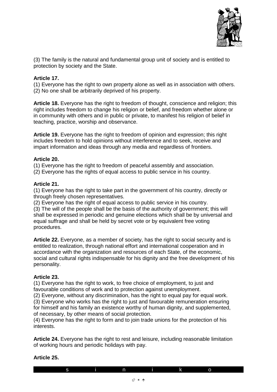

(3) The family is the natural and fundamental group unit of society and is entitled to protection by society and the State.

#### **Article 17.**

(1) Everyone has the right to own property alone as well as in association with others. (2) No one shall be arbitrarily deprived of his property.

**Article 18.** Everyone has the right to freedom of thought, conscience and religion; this right includes freedom to change his religion or belief, and freedom whether alone or in community with others and in public or private, to manifest his religion of belief in teaching, practice, worship and observance.

**Article 19.** Everyone has the right to freedom of opinion and expression; this right includes freedom to hold opinions without interference and to seek, receive and impart information and ideas through any media and regardless of frontiers.

#### **Article 20.**

(1) Everyone has the right to freedom of peaceful assembly and association.

(2) Everyone has the rights of equal access to public service in his country.

#### **Article 21.**

(1) Everyone has the right to take part in the government of his country, directly or through freely chosen representatives.

(2) Everyone has the right of equal access to public service in his country.

(3) The will of the people shall be the basis of the authority of government; this will shall be expressed in periodic and genuine elections which shall be by universal and equal suffrage and shall be held by secret vote or by equivalent free voting procedures.

**Article 22.** Everyone, as a member of society, has the right to social security and is entitled to realization, through national effort and international cooperation and in accordance with the organization and resources of each State, of the economic, social and cultural rights indispensable for his dignity and the free development of his personality.

#### **Article 23.**

(1) Everyone has the right to work, to free choice of employment, to just and favourable conditions of work and to protection against unemployment.

(2) Everyone, without any discrimination, has the right to equal pay for equal work.

(3) Everyone who works has the right to just and favourable remuneration ensuring for himself and his family an existence worthy of human dignity, and supplemented, of necessary, by other means of social protection.

(4) Everyone has the right to form and to join trade unions for the protection of his interests.

**Article 24.** Everyone has the right to rest and leisure, including reasonable limitation of working hours and periodic holidays with pay.

**Article 25.**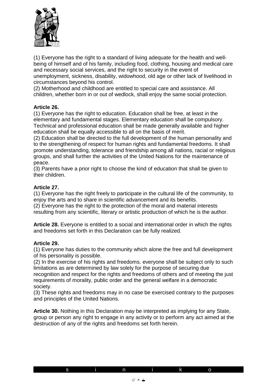

(1) Everyone has the right to a standard of living adequate for the health and wellbeing of himself and of his family, including food, clothing, housing and medical care and necessary social services, and the right to security in the event of unemployment, sickness, disability, widowhood, old age or other lack of livelihood in circumstances beyond his control.

(2) Motherhood and childhood are entitled to special care and assistance. All children, whether born in or out of wedlock, shall enjoy the same social protection.

#### **Article 26.**

(1) Everyone has the right to education. Education shall be free, at least in the elementary and fundamental stages. Elementary education shall be compulsory. Technical and professional education shall be made generally available and higher education shall be equally accessible to all on the basis of merit.

(2) Education shall be directed to the full development of the human personality and to the strengthening of respect for human rights and fundamental freedoms. It shall promote understanding, tolerance and friendship among all nations, racial or religious groups, and shall further the activities of the United Nations for the maintenance of peace.

(3) Parents have a prior right to choose the kind of education that shall be given to their children.

#### **Article 27.**

(1) Everyone has the right freely to participate in the cultural life of the community, to enjoy the arts and to share in scientific advancement and its benefits.

(2) Everyone has the right to the protection of the moral and material interests resulting from any scientific, literary or artistic production of which he is the author.

**Article 28.** Everyone is entitled to a social and international order in which the rights and freedoms set forth in this Declaration can be fully realized.

#### **Article 29.**

(1) Everyone has duties to the community which alone the free and full development of his personality is possible.

(2) In the exercise of his rights and freedoms. everyone shall be subject only to such limitations as are determined by law solely for the purpose of securing due

recognition and respect for the rights and freedoms of others and of meeting the just requirements of morality, public order and the general welfare in a democratic society.

(3) These rights and freedoms may in no case be exercised contrary to the purposes and principles of the United Nations.

**Article 30.** Nothing in this Declaration may be interpreted as implying for any State, group or person any right to engage in any activity or to perform any act aimed at the destruction of any of the rights and freedoms set forth herein.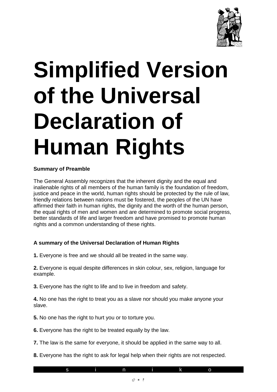

## **Simplified Version of the Universal Declaration of Human Rights**

#### **Summary of Preamble**

The General Assembly recognizes that the inherent dignity and the equal and inalienable rights of all members of the human family is the foundation of freedom, justice and peace in the world, human rights should be protected by the rule of law, friendly relations between nations must be fostered, the peoples of the UN have affirmed their faith in human rights, the dignity and the worth of the human person, the equal rights of men and women and are determined to promote social progress, better standards of life and larger freedom and have promised to promote human rights and a common understanding of these rights.

#### **A summary of the Universal Declaration of Human Rights**

**1.** Everyone is free and we should all be treated in the same way.

**2.** Everyone is equal despite differences in skin colour, sex, religion, language for example.

**3.** Everyone has the right to life and to live in freedom and safety.

**4.** No one has the right to treat you as a slave nor should you make anyone your slave.

- **5.** No one has the right to hurt you or to torture you.
- **6.** Everyone has the right to be treated equally by the law.
- **7.** The law is the same for everyone, it should be applied in the same way to all.
- **8.** Everyone has the right to ask for legal help when their rights are not respected.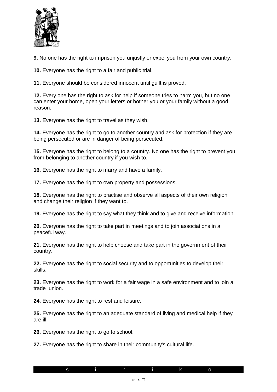

**9.** No one has the right to imprison you unjustly or expel you from your own country.

**10.** Everyone has the right to a fair and public trial.

**11.** Everyone should be considered innocent until guilt is proved.

**12.** Every one has the right to ask for help if someone tries to harm you, but no one can enter your home, open your letters or bother you or your family without a good reason.

**13.** Everyone has the right to travel as they wish.

**14.** Everyone has the right to go to another country and ask for protection if they are being persecuted or are in danger of being persecuted.

**15.** Everyone has the right to belong to a country. No one has the right to prevent you from belonging to another country if you wish to.

**16.** Everyone has the right to marry and have a family.

**17.** Everyone has the right to own property and possessions.

**18.** Everyone has the right to practise and observe all aspects of their own religion and change their religion if they want to.

**19.** Everyone has the right to say what they think and to give and receive information.

**20.** Everyone has the right to take part in meetings and to join associations in a peaceful way.

**21.** Everyone has the right to help choose and take part in the government of their country.

**22.** Everyone has the right to social security and to opportunities to develop their skills.

**23.** Everyone has the right to work for a fair wage in a safe environment and to join a trade union.

**24.** Everyone has the right to rest and leisure.

**25.** Everyone has the right to an adequate standard of living and medical help if they are ill.

**26.** Everyone has the right to go to school.

**27.** Everyone has the right to share in their community's cultural life.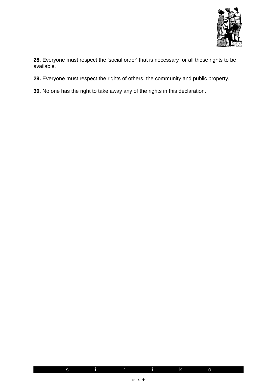

**28.** Everyone must respect the 'social order' that is necessary for all these rights to be available.

- **29.** Everyone must respect the rights of others, the community and public property.
- **30.** No one has the right to take away any of the rights in this declaration.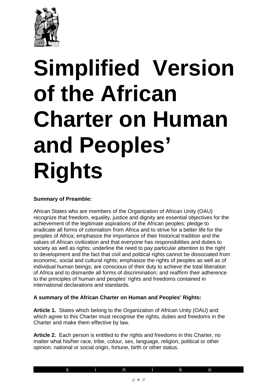

### **Simplified Version of the African Charter on Human and Peoples' Rights**

#### **Summary of Preamble:**

African States who are members of the Organization of African Unity (OAU) recognize that freedom, equality, justice and dignity are essential objectives for the achievement of the legitimate aspirations of the African peoples; pledge to eradicate all forms of colonialism from Africa and to strive for a better life for the peoples of Africa; emphasize the importance of their historical tradition and the values of African civilization and that everyone has responsibilities and duties to society as well as rights; underline the need to pay particular attention to the right to development and the fact that civil and political rights cannot be dissociated from economic, social and cultural rights; emphasize the rights of peoples as well as of individual human beings; are conscious of their duty to achieve the total liberation of Africa and to dismantle all forms of discrimination; and reaffirm their adherence to the principles of human and peoples' rights and freedoms contained in international declarations and standards.

#### **A summary of the African Charter on Human and Peoples' Rights:**

**Article 1.** States which belong to the Organization of African Unity (OAU) and which agree to this Charter must recognise the rights, duties and freedoms in the Charter and make them effective by law.

**Article 2.** Each person is entitled to the rights and freedoms in this Charter, no matter what his/her race, tribe, colour, sex, language, religion, political or other opinion, national or social origin, fortune, birth or other status.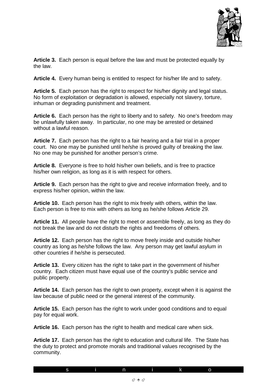

**Article 3.** Each person is equal before the law and must be protected equally by the law.

**Article 4.** Every human being is entitled to respect for his/her life and to safety.

**Article 5.** Each person has the right to respect for his/her dignity and legal status. No form of exploitation or degradation is allowed, especially not slavery, torture, inhuman or degrading punishment and treatment.

**Article 6.** Each person has the right to liberty and to safety. No one's freedom may be unlawfully taken away. In particular, no one may be arrested or detained without a lawful reason.

**Article 7.** Each person has the right to a fair hearing and a fair trial in a proper court. No one may be punished until he/she is proved guilty of breaking the law. No one may be punished for another person's crime.

**Article 8.** Everyone is free to hold his/her own beliefs, and is free to practice his/her own religion, as long as it is with respect for others.

**Article 9.** Each person has the right to give and receive information freely, and to express his/her opinion, within the law.

**Article 10.** Each person has the right to mix freely with others, within the law. Each person is free to mix with others as long as he/she follows Article 29.

**Article 11.** All people have the right to meet or assemble freely, as long as they do not break the law and do not disturb the rights and freedoms of others.

**Article 12.** Each person has the right to move freely inside and outside his/her country as long as he/she follows the law. Any person may get lawful asylum in other countries if he/she is persecuted.

**Article 13.** Every citizen has the right to take part in the government of his/her country. Each citizen must have equal use of the country's public service and public property.

**Article 14.** Each person has the right to own property, except when it is against the law because of public need or the general interest of the community.

**Article 15.** Each person has the right to work under good conditions and to equal pay for equal work.

**Article 16.** Each person has the right to health and medical care when sick.

**Article 17.** Each person has the right to education and cultural life. The State has the duty to protect and promote morals and traditional values recognised by the community.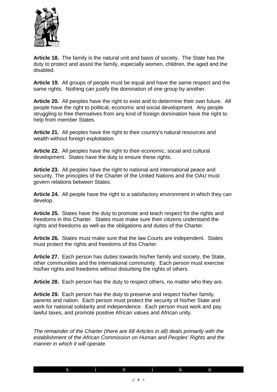

**Article 18.** The family is the natural unit and basis of society. The State has the duty to protect and assist the family, especially women, children, the aged and the disabled.

**Article 19.** All groups of people must be equal and have the same respect and the same rights. Nothing can justify the domination of one group by another.

**Article 20.** All peoples have the right to exist and to determine their own future. All people have the right to political, economic and social development. Any people struggling to free themselves from any kind of foreign domination have the right to help from member States.

**Article 21.** All peoples have the right to their country's natural resources and wealth without foreign exploitation.

**Article 22.** All peoples have the right to their economic, social and cultural development. States have the duty to ensure these rights.

**Article 23.** All peoples have the right to national and international peace and security. The principles of the Charter of the United Nations and the OAU must govern relations between States.

**Article 24.** All people have the right to a satisfactory environment in which they can develop.

**Article 25.** States have the duty to promote and teach respect for the rights and freedoms in this Charter. States must make sure their citizens understand the rights and freedoms as well as the obligations and duties of the Charter.

**Article 26.** States must make sure that the law Courts are independent. States must protect the rights and freedoms of this Charter.

**Article 27.** Each person has duties towards his/her family and society, the State, other communities and the international community. Each person must exercise his/her rights and freedoms without disturbing the rights of others.

**Article 28.** Each person has the duty to respect others, no matter who they are.

**Article 29.** Each person has the duty to preserve and respect his/her family, parents and nation. Each person must protect the security of his/her State and work for national solidarity and independence. Each person must work and pay lawful taxes, and promote positive African values and African unity.

*The remainder of the Charter (there are 68 Articles in all) deals primarily with the establishment of the African Commission on Human and Peoples' Rights and the manner in which it will operate.*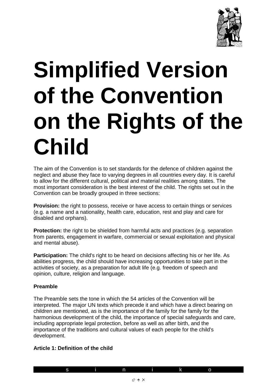

## **Simplified Version of the Convention on the Rights of the Child**

The aim of the Convention is to set standards for the defence of children against the neglect and abuse they face to varying degrees in all countries every day. It is careful to allow for the different cultural, political and material realities among states. The most important consideration is the best interest of the child. The rights set out in the Convention can be broadly grouped in three sections:

**Provision:** the right to possess, receive or have access to certain things or services (e.g. a name and a nationality, health care, education, rest and play and care for disabled and orphans).

**Protection:** the right to be shielded from harmful acts and practices (e.g. separation from parents, engagement in warfare, commercial or sexual exploitation and physical and mental abuse).

**Participation:** The child's right to be heard on decisions affecting his or her life. As abilities progress, the child should have increasing opportunities to take part in the activities of society, as a preparation for adult life (e.g. freedom of speech and opinion, culture, religion and language.

#### **Preamble**

The Preamble sets the tone in which the 54 articles of the Convention will be interpreted. The major UN texts which precede it and which have a direct bearing on children are mentioned, as is the importance of the family for the family for the harmonious development of the child, the importance of special safeguards and care, including appropriate legal protection, before as well as after birth, and the importance of the traditions and cultural values of each people for the child's development.

#### **Article 1: Definition of the child**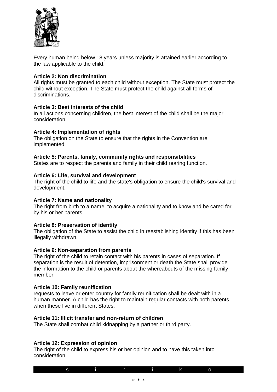

Every human being below 18 years unless majority is attained earlier according to the law applicable to the child.

#### **Article 2: Non discrimination**

All rights must be granted to each child without exception. The State must protect the child without exception. The State must protect the child against all forms of discriminations.

#### **Article 3: Best interests of the child**

In all actions concerning children, the best interest of the child shall be the major consideration.

#### **Article 4: Implementation of rights**

The obligation on the State to ensure that the rights in the Convention are implemented.

#### **Article 5: Parents, family, community rights and responsibilities**

States are to respect the parents and family in their child rearing function.

#### **Article 6: Life, survival and development**

The right of the child to life and the state's obligation to ensure the child's survival and development.

#### **Article 7: Name and nationality**

The right from birth to a name, to acquire a nationality and to know and be cared for by his or her parents.

#### **Article 8: Preservation of identity**

The obligation of the State to assist the child in reestablishing identity if this has been illegally withdrawn.

#### **Article 9: Non-separation from parents**

The right of the child to retain contact with his parents in cases of separation. If separation is the result of detention, imprisonment or death the State shall provide the information to the child or parents about the whereabouts of the missing family member.

#### **Article 10: Family reunification**

requests to leave or enter country for family reunification shall be dealt with in a human manner. A child has the right to maintain regular contacts with both parents when these live in different States.

#### **Article 11: Illicit transfer and non-return of children**

The State shall combat child kidnapping by a partner or third party.

#### **Article 12: Expression of opinion**

The right of the child to express his or her opinion and to have this taken into consideration.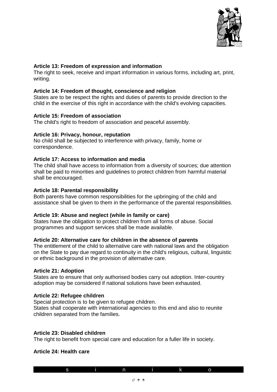

#### **Article 13: Freedom of expression and information**

The right to seek, receive and impart information in various forms, including art, print, writing.

#### **Article 14: Freedom of thought, conscience and religion**

States are to be respect the rights and duties of parents to provide direction to the child in the exercise of this right in accordance with the child's evolving capacities.

#### **Article 15: Freedom of association**

The child's right to freedom of association and peaceful assembly.

#### **Article 16: Privacy, honour, reputation**

No child shall be subjected to interference with privacy, family, home or correspondence.

#### **Article 17: Access to information and media**

The child shall have access to information from a diversity of sources; due attention shall be paid to minorities and guidelines to protect children from harmful material shall be encouraged.

#### **Article 18: Parental responsibility**

Both parents have common responsibilities for the upbringing of the child and assistance shall be given to them in the performance of the parental responsibilities.

#### **Article 19: Abuse and neglect (while in family or care)**

States have the obligation to protect children from all forms of abuse. Social programmes and support services shall be made available.

#### **Article 20: Alternative care for children in the absence of parents**

The entitlement of the child to alternative care with national laws and the obligation on the State to pay due regard to continuity in the child's religious, cultural, linguistic or ethnic background in the provision of alternative care.

#### **Article 21: Adoption**

States are to ensure that only authorised bodies carry out adoption. Inter-country adoption may be considered if national solutions have been exhausted.

#### **Article 22: Refugee children**

Special protection is to be given to refugee children.

States shall cooperate with international agencies to this end and also to reunite children separated from the families.

#### **Article 23: Disabled children**

The right to benefit from special care and education for a fuller life in society.

#### **Article 24: Health care**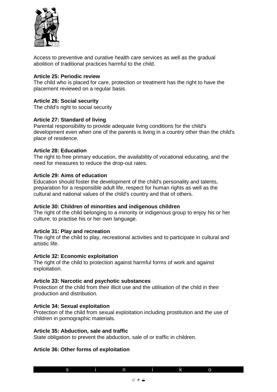

Access to preventive and curative health care services as well as the gradual abolition of traditional practices harmful to the child.

#### **Article 25: Periodic review**

The child who is placed for care, protection or treatment has the right to have the placement reviewed on a regular basis.

#### **Article 26: Social security**

The child's right to social security

#### **Article 27: Standard of living**

Parental responsibility to provide adequate living conditions for the child's development even when one of the parents is living in a country other than the child's place of residence.

#### **Article 28: Education**

The right to free primary education, the availability of vocational educating, and the need for measures to reduce the drop-out rates.

#### **Article 29: Aims of education**

Education should foster the development of the child's personality and talents, preparation for a responsible adult life, respect for human rights as well as the cultural and national values of the child's country and that of others.

#### **Article 30: Children of minorities and indigenous children**

The right of the child belonging to a minority or indigenous group to enjoy his or her culture, to practise his or her own language.

#### **Article 31: Play and recreation**

The right of the child to play, recreational activities and to participate in cultural and artistic life.

#### **Article 32: Economic exploitation**

The right of the child to protection against harmful forms of work and against exploitation.

#### **Article 33: Narcotic and psychotic substances**

Protection of the child from their illicit use and the utilisation of the child in their production and distribution.

#### **Article 34: Sexual exploitation**

Protection of the child from sexual exploitation including prostitution and the use of children in pornographic materials.

#### **Article 35: Abduction, sale and traffic**

State obligation to prevent the abduction, sale of or traffic in children.

#### **Article 36: Other forms of exploitation**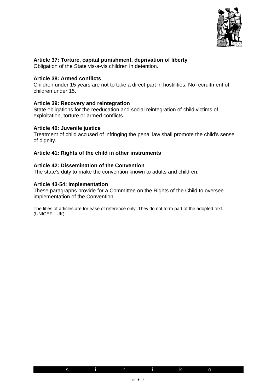

#### **Article 37: Torture, capital punishment, deprivation of liberty**

Obligation of the State vis-a-vis children in detention.

#### **Article 38: Armed conflicts**

Children under 15 years are not to take a direct part in hostilities. No recruitment of children under 15.

#### **Article 39: Recovery and reintegration**

State obligations for the reeducation and social reintegration of child victims of exploitation, torture or armed conflicts.

#### **Article 40: Juvenile justice**

Treatment of child accused of infringing the penal law shall promote the child's sense of dignity.

#### **Article 41: Rights of the child in other instruments**

#### **Article 42: Dissemination of the Convention**

The state's duty to make the convention known to adults and children.

#### **Article 43-54: Implementation**

These paragraphs provide for a Committee on the Rights of the Child to oversee implementation of the Convention.

The titles of articles are for ease of reference only. They do not form part of the adopted text. (UNICEF - UK)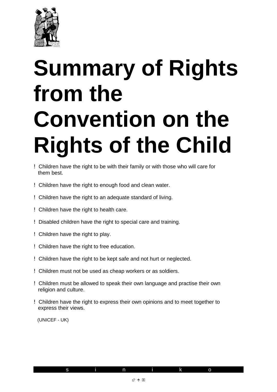

## **Summary of Rights from the Convention on the Rights of the Child**

- ! Children have the right to be with their family or with those who will care for them best.
- ! Children have the right to enough food and clean water.
- ! Children have the right to an adequate standard of living.
- ! Children have the right to health care.
- ! Disabled children have the right to special care and training.
- ! Children have the right to play.
- ! Children have the right to free education.
- ! Children have the right to be kept safe and not hurt or neglected.
- ! Children must not be used as cheap workers or as soldiers.
- ! Children must be allowed to speak their own language and practise their own religion and culture.
- ! Children have the right to express their own opinions and to meet together to express their views.

(UNICEF - UK)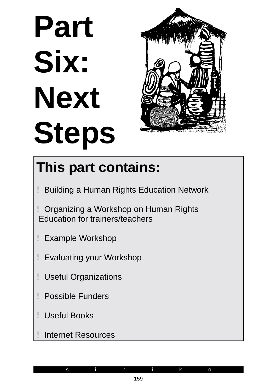# **Part Six: Next Steps**



### **This part contains:**

- ! Building a Human Rights Education Network
- ! Organizing a Workshop on Human Rights Education for trainers/teachers
- ! Example Workshop
- ! Evaluating your Workshop
- ! Useful Organizations
- ! Possible Funders
- ! Useful Books
- Internet Resources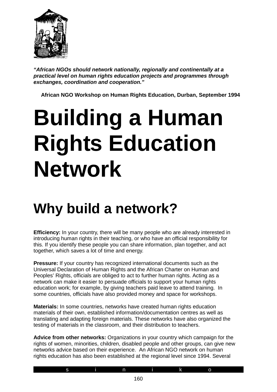

*"African NGOs should network nationally, regionally and continentally at a practical level on human rights education projects and programmes through exchanges, coordination and cooperation."*

 **African NGO Workshop on Human Rights Education, Durban, September 1994**

### **Building a Human Rights Education Network**

### **Why build a network?**

**Efficiency:** In your country, there will be many people who are already interested in introducing human rights in their teaching, or who have an official responsibility for this. If you identify these people you can share information, plan together, and act together, which saves a lot of time and energy.

**Pressure:** If your country has recognized international documents such as the Universal Declaration of Human Rights and the African Charter on Human and Peoples' Rights, officials are obliged to act to further human rights. Acting as a network can make it easier to persuade officials to support your human rights education work; for example, by giving teachers paid leave to attend training. In some countries, officials have also provided money and space for workshops.

**Materials:** In some countries, networks have created human rights education materials of their own, established information/documentation centres as well as translating and adapting foreign materials. These networks have also organized the testing of materials in the classroom, and their distribution to teachers.

**Advice from other networks:** Organizations in your country which campaign for the rights of women, minorities, children, disabled people and other groups, can give new networks advice based on their experience. An African NGO network on human rights education has also been established at the regional level since 1994. Several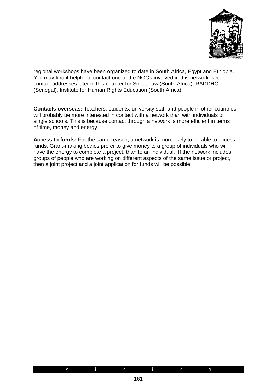

regional workshops have been organized to date in South Africa, Egypt and Ethiopia. You may find it helpful to contact one of the NGOs involved in this network: see contact addresses later in this chapter for Street Law (South Africa), RADDHO (Senegal), Institute for Human Rights Education (South Africa).

**Contacts overseas:** Teachers, students, university staff and people in other countries will probably be more interested in contact with a network than with individuals or single schools. This is because contact through a network is more efficient in terms of time, money and energy.

**Access to funds:** For the same reason, a network is more likely to be able to access funds. Grant-making bodies prefer to give money to a group of individuals who will have the energy to complete a project, than to an individual. If the network includes groups of people who are working on different aspects of the same issue or project, then a joint project and a joint application for funds will be possible.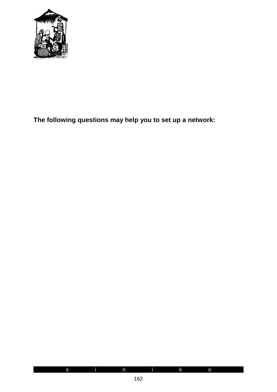

#### **The following questions may help you to set up a network:**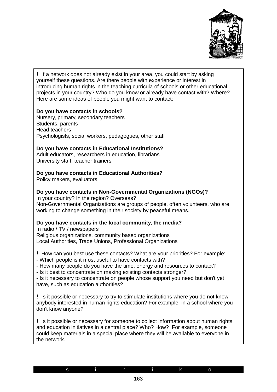

! If a network does not already exist in your area, you could start by asking yourself these questions. Are there people with experience or interest in introducing human rights in the teaching curricula of schools or other educational projects in your country? Who do you know or already have contact with? Where? Here are some ideas of people you might want to contact:

#### **Do you have contacts in schools?**

Nursery, primary, secondary teachers Students, parents Head teachers Psychologists, social workers, pedagogues, other staff

#### **Do you have contacts in Educational Institutions?**

Adult educators, researchers in education, librarians University staff, teacher trainers

#### **Do you have contacts in Educational Authorities?**

Policy makers, evaluators

#### **Do you have contacts in Non-Governmental Organizations (NGOs)?**

In your country? In the region? Overseas? Non-Governmental Organizations are groups of people, often volunteers, who are working to change something in their society by peaceful means.

#### **Do you have contacts in the local community, the media?**

In radio / TV / newspapers Religious organizations, community based organizations Local Authorities, Trade Unions, Professional Organizations

! How can you best use these contacts? What are your priorities? For example: - Which people is it most useful to have contacts with?

- How many people do you have the time, energy and resources to contact?

- Is it best to concentrate on making existing contacts stronger?

- Is it necessary to concentrate on people whose support you need but don't yet have, such as education authorities?

! Is it possible or necessary to try to stimulate institutions where you do not know anybody interested in human rights education? For example, in a school where you don't know anyone?

! Is it possible or necessary for someone to collect information about human rights and education initiatives in a central place? Who? How? For example, someone could keep materials in a special place where they will be available to everyone in the network.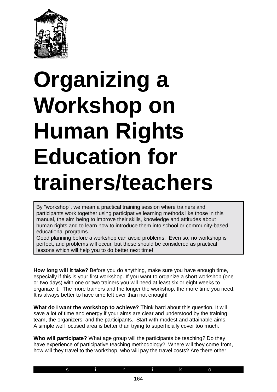

### **Organizing a Workshop on Human Rights Education for trainers/teachers**

By "workshop", we mean a practical training session where trainers and participants work together using participative learning methods like those in this manual, the aim being to improve their skills, knowledge and attitudes about human rights and to learn how to introduce them into school or community-based educational programs.

Good planning before a workshop can avoid problems. Even so, no workshop is perfect, and problems will occur, but these should be considered as practical lessons which will help you to do better next time!

**How long will it take?** Before you do anything, make sure you have enough time, especially if this is your first workshop. If you want to organize a short workshop (one or two days) with one or two trainers you will need at least six or eight weeks to organize it. The more trainers and the longer the workshop, the more time you need. It is always better to have time left over than not enough!

**What do I want the workshop to achieve?** Think hard about this question. It will save a lot of time and energy if your aims are clear and understood by the training team, the organizers, and the participants. Start with modest and attainable aims. A simple well focused area is better than trying to superficially cover too much.

**Who will participate?** What age group will the participants be teaching? Do they have experience of participative teaching methodology? Where will they come from, how will they travel to the workshop, who will pay the travel costs? Are there other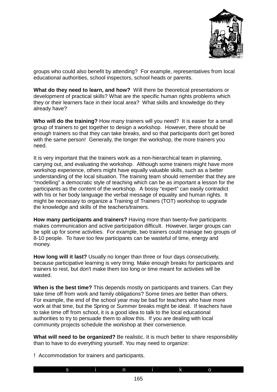

groups who could also benefit by attending? For example, representatives from local educational authorities, school inspectors, school heads or parents.

**What do they need to learn, and how?** Will there be theoretical presentations or development of practical skills? What are the specific human rights problems which they or their learners face in their local area? What skills and knowledge do they already have?

**Who will do the training?** How many trainers will you need? It is easier for a small group of trainers to get together to design a workshop. However, there should be enough trainers so that they can take breaks, and so that participants don't get bored with the same person! Generally, the longer the workshop, the more trainers you need.

It is very important that the trainers work as a non-hierarchical team in planning, carrying out, and evaluating the workshop. Although some trainers might have more workshop experience, others might have equally valuable skills, such as a better understanding of the local situation. The training team should remember that they are "modelling" a democratic style of teaching which can be as important a lesson for the participants as the content of the workshop. A bossy "expert" can easily contradict with his or her body language the verbal message of equality and human rights. It might be necessary to organize a Training of Trainers (TOT) workshop to upgrade the knowledge and skills of the teachers/trainers.

**How many participants and trainers?** Having more than twenty-five participants makes communication and active participation difficult. However, larger groups can be split up for some activities. For example, two trainers could manage two groups of 8-10 people. To have too few participants can be wasteful of time, energy and money.

**How long will it last?** Usually no longer than three or four days consecutively, because participative learning is very tiring. Make enough breaks for participants and trainers to rest, but don't make them too long or time meant for activities will be wasted.

**When is the best time?** This depends mostly on participants and trainers. Can they take time off from work and family obligations? Some times are better than others. For example, the end of the school year may be bad for teachers who have more work at that time, but the Spring or Summer breaks might be ideal. If teachers have to take time off from school, it is a good idea to talk to the local educational authorities to try to persuade them to allow this. If you are dealing with local community projects schedule the workshop at their convenience.

**What will need to be organized?** Be realistic. It is much better to share responsibility than to have to do everything yourself. You may need to organize:

! Accommodation for trainers and participants.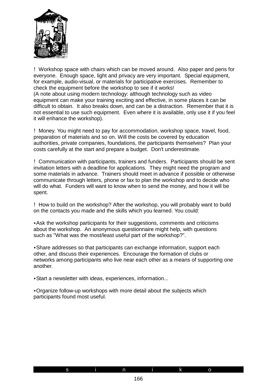

! Workshop space with chairs which can be moved around. Also paper and pens for everyone. Enough space, light and privacy are very important. Special equipment, for example, audio-visual, or materials for participative exercises. Remember to check the equipment before the workshop to see if it works! (A note about using modern technology: although technology such as video equipment can make your training exciting and effective, in some places it can be difficult to obtain. It also breaks down, and can be a distraction. Remember that it is not essential to use such equipment. Even where it is available, only use it if you feel it will enhance the workshop).

! Money. You might need to pay for accommodation, workshop space, travel, food, preparation of materials and so on. Will the costs be covered by education authorities, private companies, foundations, the participants themselves? Plan your costs carefully at the start and prepare a budget. Don't underestimate.

! Communication with participants, trainers and funders. Participants should be sent invitation letters with a deadline for applications. They might need the program and some materials in advance. Trainers should meet in advance if possible or otherwise communicate through letters, phone or fax to plan the workshop and to decide who will do what. Funders will want to know when to send the money, and how it will be spent.

! How to build on the workshop? After the workshop, you will probably want to build on the contacts you made and the skills which you learned. You could:

Ask the workshop participants for their suggestions, comments and criticisms about the workshop. An anonymous questionnaire might help, with questions such as "What was the most/least useful part of the workshop?".

Share addresses so that participants can exchange information, support each other, and discuss their experiences. Encourage the formation of clubs or networks among participants who live near each other as a means of supporting one another.

Start a newsletter with ideas, experiences, information...

Organize follow-up workshops with more detail about the subjects which participants found most useful.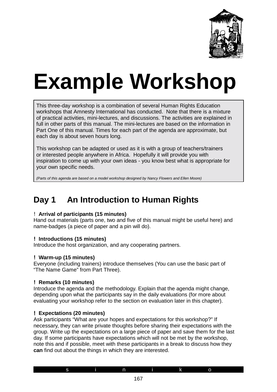

### **Example Workshop**

This three-day workshop is a combination of several Human Rights Education workshops that Amnesty International has conducted. Note that there is a mixture of practical activities, mini-lectures, and discussions. The activities are explained in full in other parts of this manual. The mini-lectures are based on the information in Part One of this manual. Times for each part of the agenda are approximate, but each day is about seven hours long.

This workshop can be adapted or used as it is with a group of teachers/trainers or interested people anywhere in Africa. Hopefully it will provide you with inspiration to come up with your own ideas - you know best what is appropriate for your own specific needs.

*(Parts of this agenda are based on a model workshop designed by Nancy Flowers and Ellen Moore)*

#### **Day 1 An Introduction to Human Rights**

#### ! **Arrival of participants (15 minutes)**

Hand out materials (parts one, two and five of this manual might be useful here) and name-badges (a piece of paper and a pin will do).

#### ! **Introductions (15 minutes)**

Introduce the host organization, and any cooperating partners.

#### ! **Warm-up (15 minutes)**

Everyone (including trainers) introduce themselves (You can use the basic part of "The Name Game" from Part Three).

#### ! **Remarks (10 minutes)**

Introduce the agenda and the methodology. Explain that the agenda might change, depending upon what the participants say in the daily evaluations (for more about evaluating your workshop refer to the section on evaluation later in this chapter).

#### ! **Expectations (20 minutes)**

Ask participants "What are your hopes and expectations for this workshop?" If necessary, they can write private thoughts before sharing their expectations with the group. Write up the expectations on a large piece of paper and save them for the last day. If some participants have expectations which will not be met by the workshop, note this and if possible, meet with these participants in a break to discuss how they **can** find out about the things in which they are interested.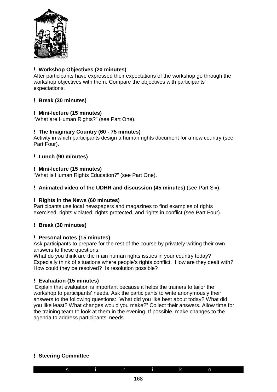

#### ! **Workshop Objectives (20 minutes)**

After participants have expressed their expectations of the workshop go through the workshop objectives with them. Compare the objectives with participants' expectations.

#### ! **Break (30 minutes)**

#### ! **Mini-lecture (15 minutes)**

"What are Human Rights?" (see Part One).

#### ! **The Imaginary Country (60 - 75 minutes)**

Activity in which participants design a human rights document for a new country (see Part Four).

#### ! **Lunch (90 minutes)**

#### ! **Mini-lecture (15 minutes)**

"What is Human Rights Education?" (see Part One).

#### ! **Animated video of the UDHR and discussion (45 minutes)** (see Part Six).

#### ! **Rights in the News (60 minutes)**

Participants use local newspapers and magazines to find examples of rights exercised, rights violated, rights protected, and rights in conflict (see Part Four).

#### ! **Break (30 minutes)**

#### ! **Personal notes (15 minutes)**

Ask participants to prepare for the rest of the course by privately writing their own answers to these questions:

What do you think are the main human rights issues in your country today? Especially think of situations where people's rights conflict. How are they dealt with? How could they be resolved? Is resolution possible?

#### ! **Evaluation (15 minutes)**

 Explain that evaluation is important because it helps the trainers to tailor the workshop to participants' needs. Ask the participants to write anonymously their answers to the following questions: "What did you like best about today? What did you like least? What changes would you make?" Collect their answers. Allow time for the training team to look at them in the evening. If possible, make changes to the agenda to address participants' needs.

#### ! **Steering Committee**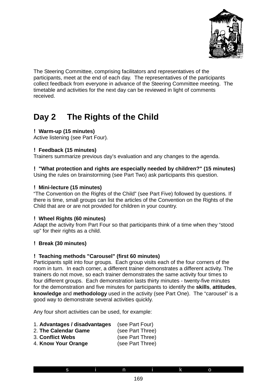

The Steering Committee, comprising facilitators and representatives of the participants, meet at the end of each day. The representatives of the participants collect feedback from everyone in advance of the Steering Committee meeting. The timetable and activities for the next day can be reviewed in light of comments received.

#### **Day 2 The Rights of the Child**

#### ! **Warm-up (15 minutes)**

Active listening (see Part Four)*.*

#### ! **Feedback (15 minutes)**

Trainers summarize previous day's evaluation and any changes to the agenda.

#### ! **"What protection and rights are especially needed by children?" (15 minutes)**  Using the rules on brainstorming (see Part Two) ask participants this question.

#### ! **Mini-lecture (15 minutes)**

"The Convention on the Rights of the Child" (see Part Five) followed by questions*.* If there is time, small groups can list the articles of the Convention on the Rights of the Child that are or are not provided for children in your country.

#### ! **Wheel Rights (60 minutes)**

Adapt the activity from Part Four so that participants think of a time when they "stood up" for their rights as a child.

#### ! **Break (30 minutes)**

#### ! **Teaching methods "Carousel" (first 60 minutes)**

Participants split into four groups. Each group visits each of the four corners of the room in turn. In each corner, a different trainer demonstrates a different activity. The trainers do not move, so each trainer demonstrates the same activity four times to four different groups. Each demonstration lasts thirty minutes - twenty-five minutes for the demonstration and five minutes for participants to identify the **skills**, **attitudes**, **knowledge** and **methodology** used in the activity (see Part One). The "carousel" is a good way to demonstrate several activities quickly.

Any four short activities can be used, for example:

- 1. **Advantages / disadvantages** (see Part Four)
- 2. **The Calendar Game** (see Part Three)
- 3. **Conflict Webs** (see Part Three)
- 4. **Know Your Orange** (see Part Three)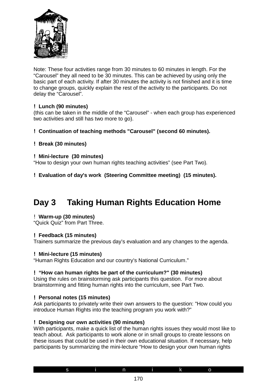

Note: These four activities range from 30 minutes to 60 minutes in length. For the "Carousel" they all need to be 30 minutes. This can be achieved by using only the basic part of each activity. If after 30 minutes the activity is not finished and it is time to change groups, quickly explain the rest of the activity to the participants. Do not delay the "Carousel".

#### ! **Lunch (90 minutes)**

(this can be taken in the middle of the "Carousel" - when each group has experienced two activities and still has two more to go).

#### ! **Continuation of teaching methods "Carousel" (second 60 minutes).**

! **Break (30 minutes)**

#### ! **Mini-lecture (30 minutes)**

"How to design your own human rights teaching activities" (see Part Two)*.*

#### ! **Evaluation of day's work (Steering Committee meeting) (15 minutes).**

#### **Day 3 Taking Human Rights Education Home**

#### ! **Warm-up (30 minutes)**

"Quick Quiz" from Part Three.

#### ! **Feedback (15 minutes)**

Trainers summarize the previous day's evaluation and any changes to the agenda.

#### ! **Mini-lecture (15 minutes)**

"Human Rights Education and our country's National Curriculum."

#### ! **"How can human rights be part of the curriculum?" (30 minutes)**

Using the rules on brainstorming ask participants this question. For more about brainstorming and fitting human rights into the curriculum, see Part Two.

#### ! **Personal notes (15 minutes)**

Ask participants to privately write their own answers to the question: "How could you introduce Human Rights into the teaching program you work with?"

#### ! **Designing our own activities (90 minutes)**

With participants, make a quick list of the human rights issues they would most like to teach about. Ask participants to work alone or in small groups to create lessons on these issues that could be used in their own educational situation. If necessary, help participants by summarizing the mini-lecture "How to design your own human rights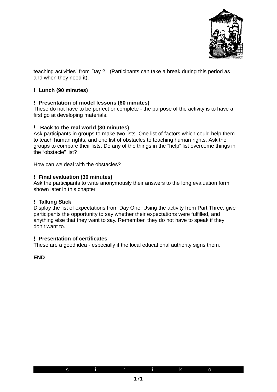

teaching activities" from Day 2. (Participants can take a break during this period as and when they need it).

#### ! **Lunch (90 minutes)**

#### ! **Presentation of model lessons (60 minutes)**

These do not have to be perfect or complete - the purpose of the activity is to have a first go at developing materials.

#### ! **Back to the real world (30 minutes)**

Ask participants in groups to make two lists. One list of factors which could help them to teach human rights, and one list of obstacles to teaching human rights. Ask the groups to compare their lists. Do any of the things in the "help" list overcome things in the "obstacle" list?

How can we deal with the obstacles?

#### ! **Final evaluation (30 minutes)**

Ask the participants to write anonymously their answers to the long evaluation form shown later in this chapter.

#### ! **Talking Stick**

Display the list of expectations from Day One. Using the activity from Part Three, give participants the opportunity to say whether their expectations were fulfilled, and anything else that they want to say. Remember, they do not have to speak if they don't want to.

#### ! **Presentation of certificates**

These are a good idea - especially if the local educational authority signs them.

**END**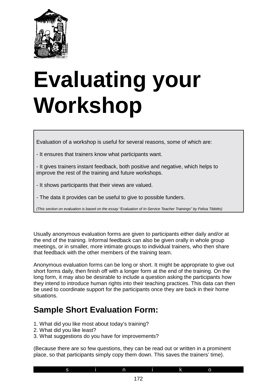

## **Evaluating your Workshop**

Evaluation of a workshop is useful for several reasons, some of which are:

- It ensures that trainers know what participants want.

- It gives trainers instant feedback, both positive and negative, which helps to improve the rest of the training and future workshops.

- It shows participants that their views are valued.
- The data it provides can be useful to give to possible funders.

*(This section on evaluation is based on the essay "Evaluation of In-Service Teacher Trainings" by Felisa Tibbitts)*

Usually anonymous evaluation forms are given to participants either daily and/or at the end of the training. Informal feedback can also be given orally in whole group meetings, or in smaller, more intimate groups to individual trainers, who then share that feedback with the other members of the training team.

Anonymous evaluation forms can be long or short. It might be appropriate to give out short forms daily, then finish off with a longer form at the end of the training. On the long form, it may also be desirable to include a question asking the participants how they intend to introduce human rights into their teaching practices. This data can then be used to coordinate support for the participants once they are back in their home situations.

#### **Sample Short Evaluation Form:**

- 1. What did you like most about today's training?
- 2. What did you like least?
- 3. What suggestions do you have for improvements?

(Because there are so few questions, they can be read out or written in a prominent place, so that participants simply copy them down. This saves the trainers' time).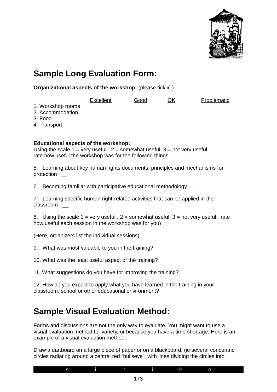

#### **Sample Long Evaluation Form:**

**Organizational aspects of the workshop:** (please tick √)

| Excellent | Good | ОK | Problematic |
|-----------|------|----|-------------|
|           |      |    |             |

- 1. Workshop rooms
- 2. Accommodation
- 3. Food
- 4. Transport

#### **Educational aspects of the workshop:**

Using the scale  $1 = \text{very useful}$ ,  $2 = \text{somewhat useful}$ ,  $3 = \text{not very useful}$ rate how useful the workshop was for the following things

5. Learning about key human rights documents, principles and mechanisms for protection \_\_

6. Becoming familiar with participative educational methodology

7. Learning specific human right-related activities that can be applied in the classroom \_\_

8. Using the scale  $1 = \text{very useful}$ ,  $2 = \text{somewhat useful}$ ,  $3 = \text{not very useful}$ , rate how useful each session in the workshop was for you)

(Here, organizers list the individual sessions)

9. What was most valuable to you in the training?

10. What was the least useful aspect of the training?

11. What suggestions do you have for improving the training?

12. How do you expect to apply what you have learned in the training in your classroom, school or other educational environment?

#### **Sample Visual Evaluation Method:**

Forms and discussions are not the only way to evaluate. You might want to use a visual evaluation method for variety, or because you have a time shortage. Here is an example of a visual evaluation method:

Draw a dartboard on a large piece of paper or on a blackboard. (ie several concentric circles radiating around a central red "bullseye", with lines dividing the circles into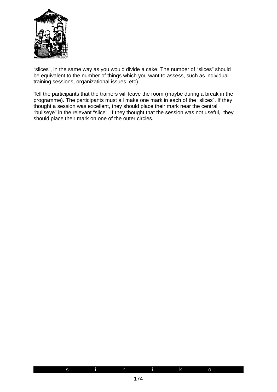

"slices", in the same way as you would divide a cake. The number of "slices" should be equivalent to the number of things which you want to assess, such as individual training sessions, organizational issues, etc).

Tell the participants that the trainers will leave the room (maybe during a break in the programme). The participants must all make one mark in each of the "slices". If they thought a session was excellent, they should place their mark near the central "bullseye" in the relevant "slice". If they thought that the session was not useful, they should place their mark on one of the outer circles.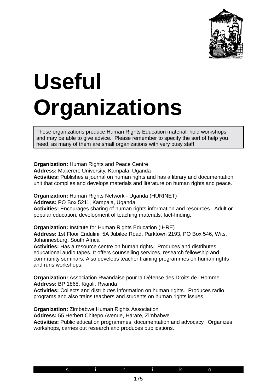

### **Useful Organizations**

These organizations produce Human Rights Education material, hold workshops, and may be able to give advice. Please remember to specify the sort of help you need, as many of them are small organizations with very busy staff.

**Organization:** Human Rights and Peace Centre **Address:** Makerere University, Kampala, Uganda **Activities:** Publishes a journal on human rights and has a library and documentation unit that compiles and develops materials and literature on human rights and peace.

**Organization:** Human Rights Network - Uganda (HURINET) **Address:** PO Box 5211, Kampala, Uganda **Activities:** Encourages sharing of human rights information and resources. Adult or popular education, development of teaching materials, fact-finding.

**Organization:** Institute for Human Rights Education (IHRE)

**Address:** 1st Floor Endulini, 5A Jubilee Road, Parktown 2193, PO Box 546, Wits, Johannesburg, South Africa

**Activities:** Has a resource centre on human rights. Produces and distributes educational audio tapes. It offers counselling services, research fellowship and community seminars. Also develops teacher training programmes on human rights and runs workshops.

**Organization:** Association Rwandaise pour la Défense des Droits de l'Homme **Address:** BP 1868, Kigali, Rwanda

**Activities:** Collects and distributes information on human rights. Produces radio programs and also trains teachers and students on human rights issues.

**Organization:** Zimbabwe Human Rights Association **Address:** 55 Herbert Chitepo Avenue, Harare, Zimbabwe **Activities:** Public education programmes, documentation and advocacy. Organizes workshops, carries out research and produces publications.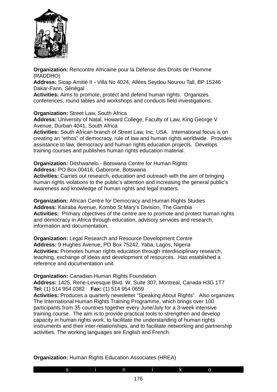

**Organization:** Rencontre Africaine pour la Défense des Droits de l'Homme (RADDHO)

**Address:** Sicap Amitié II - Villa No 4024, Allées Seydou Nourou Tall, BP 15246 Dakar-Fann, Sénégal

**Activities:** Aims to promote, protect and defend human rights. Organizes conferences, round tables and workshops and conducts field investigations.

**Organization:** Street Law, South Africa

**Address:** University of Natal, Howard College, Faculty of Law, King George V Avenue, Durban 4041, South Africa

**Activities:** South African branch of Street Law, Inc, USA. International focus is on creating an "ethos" of democracy, rule of law and human rights worldwide. Provides assistance to law, democracy and human rights education projects. Develops training courses and publishes human rights education material.

**Organization: Ditshwanelo - Botswana Centre for Human Rights Address:** PO Box 00416, Gaborone, Botswana

**Activities:** Carries out research, education and outreach with the aim of bringing human rights violations to the public's attention and increasing the general public's awareness and knowledge of human rights and legal matters.

**Organization:** African Centre for Democracy and Human Rights Studies **Address:** Kairaba Avenue, Kombo St Mary's Division, The Gambia **Activities:** Primary objectives of the centre are to promote and protect human rights and democracy in Africa through education, advisory services and research, information and documentation.

**Organization:** Legal Research and Resource Development Centre **Address:** 9 Hughes Avenue, PO Box 75242, Yaba, Lagos, Nigeria **Activities:** Promotes human rights education through interdisciplinary research, teaching, exchange of ideas and development of resources. Has established a reference and documentation unit.

**Organization:** Canadian Human Rights Foundation

**Address:** 1425, Rene-Levesque Blvd. W, Suite 307, Montreal, Canada H3G 1T7 **Tel:** (1) 514 954 0382 **Fax:** (1) 514 954 0659

**Activities:** Produces a quarterly newsletter "Speaking About Rights". Also organizes The International Human Rights Training Programme, which brings over 100 participants from 35 countries together every June/July for a 3-week intensive training course. The aim is to provide practical tools to strengthen and develop capacity in human rights work, to facilitate the understanding of human rights instruments and their inter-relationships, and to facilitate networking and partnership activities. The working languages are English and French.

**Organization:** Human Rights Education Associates (HREA)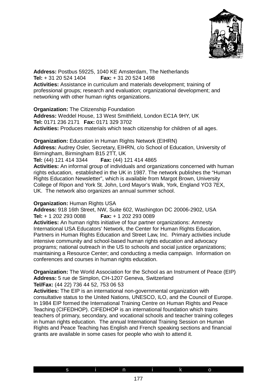

**Address:** Postbus 59225, 1040 KE Amsterdam, The Netherlands **Tel:** + 31 20 524 1404 **Fax:** + 31 20 524 1498 **Activities:** Assistance in curriculum and materials development; training of professional groups; research and evaluation; organizational development; and networking with other human rights organizations.

**Organization:** The Citizenship Foundation **Address:** Weddel House, 13 West Smithfield, London EC1A 9HY, UK **Tel:** 0171 236 2171 **Fax:** 0171 329 3702 **Activities:** Produces materials which teach citizenship for children of all ages.

**Organization:** Education in Human Rights Network (EIHRN)

**Address:** Audrey Osler, Secretary, EIHRN, c/o School of Education, University of Birmingham, Birmingham B15 2TT, UK

**Tel:** (44) 121 414 3344 **Fax:** (44) 121 414 4865

**Activities:** An informal group of individuals and organizations concerned with human rights education, established in the UK in 1987. The network publishes the "Human Rights Education Newsletter", which is available from Margot Brown, University College of Ripon and York St. John, Lord Mayor's Walk, York, England YO3 7EX, UK. The network also organizes an annual summer school.

**Organization:** Human Rights USA

**Address:** 918 16th Street, NW, Suite 602, Washington DC 20006-2902, USA **Tel:** + 1 202 293 0088 **Fax:** + 1 202 293 0089

**Activities:** An human rights initiative of four partner organizations: Amnesty International USA Educators' Network, the Center for Human Rights Education, Partners in Human Rights Education and Street Law, Inc. Primary activities include intensive community and school-based human rights education and advocacy programs; national outreach in the US to schools and social justice organizations; maintaining a Resource Center; and conducting a media campaign. Information on conferences and courses in human rights education.

**Organization:** The World Association for the School as an Instrument of Peace (EIP) **Address:** 5 rue de Simplon, CH-1207 Geneva, Switzerland **Tel/Fax:** (44 22) 736 44 52, 753 06 53

**Activities:** The EIP is an international non-governmental organization with consultative status to the United Nations, UNESCO, ILO, and the Council of Europe. In 1984 EIP formed the International Training Centre on Human Rights and Peace Teaching (CIFEDHOP). CIFEDHOP is an international foundation which trains teachers of primary, secondary, and vocational schools and teacher training colleges in human rights education. The annual International Training Session on Human Rights and Peace Teaching has English and French speaking sections and financial grants are available in some cases for people who wish to attend it.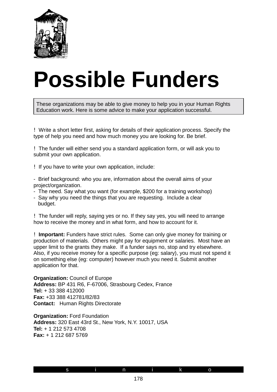

### **Possible Funders**

These organizations may be able to give money to help you in your Human Rights Education work. Here is some advice to make your application successful.

! Write a short letter first, asking for details of their application process. Specify the type of help you need and how much money you are looking for. Be brief.

! The funder will either send you a standard application form, or will ask you to submit your own application.

! If you have to write your own application, include:

- Brief background: who you are, information about the overall aims of your project/organization.
- The need. Say what you want (for example, \$200 for a training workshop)
- Say why you need the things that you are requesting. Include a clear budget.

! The funder will reply, saying yes or no. If they say yes, you will need to arrange how to receive the money and in what form, and how to account for it.

! **Important:** Funders have strict rules. Some can only give money for training or production of materials. Others might pay for equipment or salaries. Most have an upper limit to the grants they make. If a funder says no, stop and try elsewhere. Also, if you receive money for a specific purpose (eg: salary), you must not spend it on something else (eg: computer) however much you need it. Submit another application for that.

**Organization:** Council of Europe **Address:** BP 431 R6, F-67006, Strasbourg Cedex, France **Tel:** + 33 388 412000 **Fax:** +33 388 412781/82/83 **Contact:** Human Rights Directorate

**Organization:** Ford Foundation **Address:** 320 East 43rd St., New York, N.Y. 10017, USA **Tel:** + 1 212 573 4708 **Fax:** + 1 212 687 5769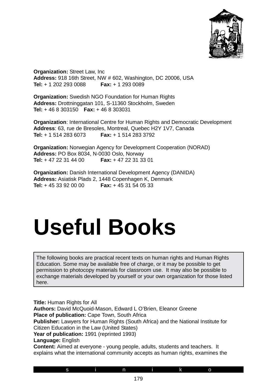

**Organization:** Street Law, Inc **Address:** 918 16th Street, NW # 602, Washington, DC 20006, USA **Tel:** + 1 202 293 0088 **Fax:** + 1 293 0089

**Organization:** Swedish NGO Foundation for Human Rights **Address:** Drottninggatan 101, S-11360 Stockholm, Sweden **Tel:** + 46 8 303150 **Fax:** + 46 8 303031

**Organization**: International Centre for Human Rights and Democratic Development **Address**: 63, rue de Bresoles, Montreal, Quebec H2Y 1V7, Canada **Tel:** + 1 514 283 6073 **Fax:** + 1 514 283 3792

**Organization:** Norwegian Agency for Development Cooperation (NORAD) **Address:** PO Box 8034, N-0030 Oslo, Norway **Tel:** + 47 22 31 44 00 **Fax:** + 47 22 31 33 01

**Organization:** Danish International Development Agency (DANIDA) **Address:** Asiatisk Plads 2, 1448 Copenhagen K, Denmark **Tel:** + 45 33 92 00 00 **Fax:** + 45 31 54 05 33

### **Useful Books**

The following books are practical recent texts on human rights and Human Rights Education. Some may be available free of charge, or it may be possible to get permission to photocopy materials for classroom use. It may also be possible to exchange materials developed by yourself or your own organization for those listed here.

**Title:** Human Rights for All **Authors:** David McQuoid-Mason, Edward L O'Brien, Eleanor Greene **Place of publication:** Cape Town, South Africa **Publisher:** Lawyers for Human Rights (South Africa) and the National Institute for Citizen Education in the Law (United States) Year of publication: 1991 (reprinted 1993) **Language:** English **Content:** Aimed at everyone - young people, adults, students and teachers. It explains what the international community accepts as human rights, examines the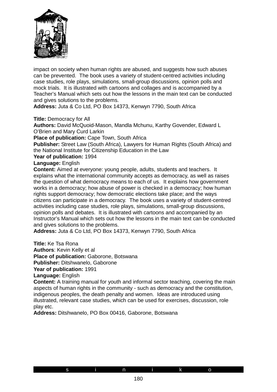

impact on society when human rights are abused, and suggests how such abuses can be prevented. The book uses a variety of student-centred activities including case studies, role plays, simulations, small-group discussions, opinion polls and mock trials. It is illustrated with cartoons and collages and is accompanied by a Teacher's Manual which sets out how the lessons in the main text can be conducted and gives solutions to the problems.

**Address:** Juta & Co Ltd, PO Box 14373, Kenwyn 7790, South Africa

#### **Title:** Democracy for All

**Authors:** David McQuoid-Mason, Mandla Mchunu, Karthy Govender, Edward L O'Brien and Mary Curd Larkin

**Place of publication:** Cape Town, South Africa

**Publisher:** Street Law (South Africa), Lawyers for Human Rights (South Africa) and the National Institute for Citizenship Education in the Law

#### **Year of publication:** 1994

**Language:** English

**Content:** Aimed at everyone: young people, adults, students and teachers. It explains what the international community accepts as democracy, as well as raises the question of what democracy means to each of us. It explains how government works in a democracy; how abuse of power is checked in a democracy; how human rights support democracy; how democratic elections take place; and the ways citizens can participate in a democracy. The book uses a variety of student-centred activities including case studies, role plays, simulations, small-group discussions, opinion polls and debates. It is illustrated with cartoons and accompanied by an Instructor's Manual which sets out how the lessons in the main text can be conducted and gives solutions to the problems.

**Address:** Juta & Co Ltd, PO Box 14373, Kenwyn 7790, South Africa

**Title:** Ke Tsa Rona

**Authors**: Kevin Kelly et al

**Place of publication:** Gaborone, Botswana

**Publisher:** Ditshwanelo, Gaborone

**Year of publication:** 1991

#### **Language:** English

**Content:** A training manual for youth and informal sector teaching, covering the main aspects of human rights in the community - such as democracy and the constitution, indigenous peoples, the death penalty and women. Ideas are introduced using illustrated, relevant case studies, which can be used for exercises, discussion, role play etc.

**Address:** Ditshwanelo, PO Box 00416, Gaborone, Botswana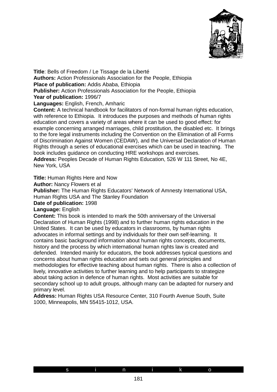

**Title**: Bells of Freedom / Le Tissage de la Liberté **Authors:** Action Professionals Association for the People, Ethiopia **Place of publication:** Addis Ababa, Ethiopia **Publisher:** Action Professionals Association for the People, Ethiopia **Year of publication:** 1996/7 **Languages:** English, French, Amharic

**Content:** A technical handbook for facilitators of non-formal human rights education, with reference to Ethiopia. It introduces the purposes and methods of human rights education and covers a variety of areas where it can be used to good effect: for example concerning arranged marriages, child prostitution, the disabled etc. It brings to the fore legal instruments including the Convention on the Elimination of all Forms of Discrimination Against Women (CEDAW), and the Universal Declaration of Human Rights through a series of educational exercises which can be used in teaching. The book includes guidance on conducting HRE workshops and exercises.

**Address:** Peoples Decade of Human Rights Education, 526 W 111 Street, No 4E, New York, USA

**Title:** Human Rights Here and Now

**Author:** Nancy Flowers et al

**Publisher:** The Human Rights Educators' Network of Amnesty International USA, Human Rights USA and The Stanley Foundation

**Date of publication:** 1998

## **Language:** English

**Content:** This book is intended to mark the 50th anniversary of the Universal Declaration of Human Rights (1998) and to further human rights education in the United States. It can be used by educators in classrooms, by human rights advocates in informal settings and by individuals for their own self-learning. It contains basic background information about human rights concepts, documents, history and the process by which international human rights law is created and defended. Intended mainly for educators, the book addresses typical questions and concerns about human rights education and sets out general principles and methodologies for effective teaching about human rights. There is also a collection of lively, innovative activities to further learning and to help participants to strategize about taking action in defence of human rights. Most activities are suitable for secondary school up to adult groups, although many can be adapted for nursery and primary level.

**Address:** Human Rights USA Resource Center, 310 Fourth Avenue South, Suite 1000, Minneapolis, MN 55415-1012, USA.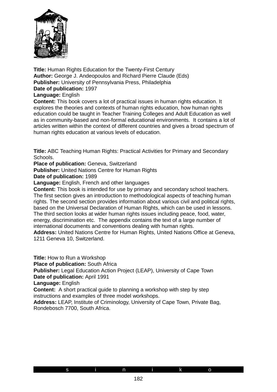

**Title:** Human Rights Education for the Twenty-First Century **Author:** George J. Andeopoulos and Richard Pierre Claude (Eds) **Publisher:** University of Pennsylvania Press, Philadelphia **Date of publication:** 1997

## **Language:** English

**Content:** This book covers a lot of practical issues in human rights education. It explores the theories and contexts of human rights education, how human rights education could be taught in Teacher Training Colleges and Adult Education as well as in community-based and non-formal educational environments. It contains a lot of articles written within the context of different countries and gives a broad spectrum of human rights education at various levels of education.

**Title:** ABC Teaching Human Rights: Practical Activities for Primary and Secondary Schools.

**Place of publication:** Geneva, Switzerland

**Publisher:** United Nations Centre for Human Rights

**Date of publication:** 1989

**Language:** English, French and other languages

**Content:** This book is intended for use by primary and secondary school teachers. The first section gives an introduction to methodological aspects of teaching human rights. The second section provides information about various civil and political rights, based on the Universal Declaration of Human Rights, which can be used in lessons. The third section looks at wider human rights issues including peace, food, water, energy, discrimination etc. The appendix contains the text of a large number of international documents and conventions dealing with human rights.

**Address:** United Nations Centre for Human Rights, United Nations Office at Geneva, 1211 Geneva 10, Switzerland.

**Title:** How to Run a Workshop **Place of publication: South Africa Publisher:** Legal Education Action Project (LEAP), University of Cape Town **Date of publication:** April 1991 **Language:** English **Content:** A short practical guide to planning a workshop with step by step instructions and examples of three model workshops. **Address:** LEAP, Institute of Criminology, University of Cape Town, Private Bag, Rondebosch 7700, South Africa.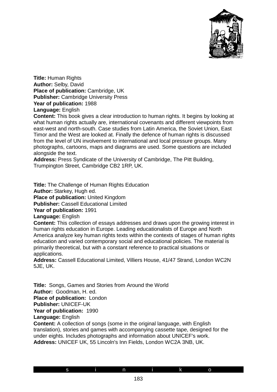

**Title:** Human Rights **Author:** Selby, David **Place of publication:** Cambridge, UK **Publisher:** Cambridge University Press **Year of publication:** 1988 **Language:** English

**Content:** This book gives a clear introduction to human rights. It begins by looking at what human rights actually are, international covenants and different viewpoints from east-west and north-south. Case studies from Latin America, the Soviet Union, East Timor and the West are looked at. Finally the defence of human rights is discussed from the level of UN involvement to international and local pressure groups. Many photographs, cartoons, maps and diagrams are used. Some questions are included alongside the text.

**Address:** Press Syndicate of the University of Cambridge, The Pitt Building, Trumpington Street, Cambridge CB2 1RP, UK.

**Title:** The Challenge of Human Rights Education

**Author:** Starkey, Hugh ed.

**Place of publication:** United Kingdom

**Publisher:** Cassell Educational Limited

**Year of publication:** 1991

**Language:** English

**Content:** This collection of essays addresses and draws upon the growing interest in human rights education in Europe. Leading educationalists of Europe and North America analyze key human rights texts within the contexts of stages of human rights education and varied contemporary social and educational policies. The material is primarily theoretical, but with a constant reference to practical situations or applications.

**Address:** Cassell Educational Limited, Villiers House, 41/47 Strand, London WC2N 5JE, UK.

**Title:** Songs, Games and Stories from Around the World **Author:** Goodman, H. ed. **Place of publication:** London **Publisher:** UNICEF-UK **Year of publication:** 1990 **Language:** English **Content:** A collection of songs (some in the original language, with English

translation), stories and games with accompanying cassette tape, designed for the under eights. Includes photographs and information about UNICEF's work. **Address:** UNICEF UK, 55 Lincoln's Inn Fields, London WC2A 3NB, UK.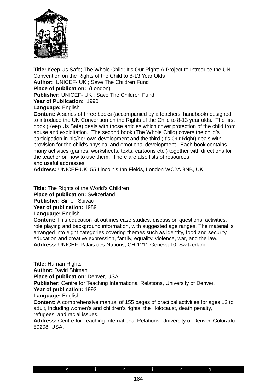

**Title:** Keep Us Safe; The Whole Child; It's Our Right: A Project to Introduce the UN Convention on the Rights of the Child to 8-13 Year Olds **Author:** UNICEF- UK ; Save The Children Fund **Place of publication:** (London) **Publisher:** UNICEF- UK ; Save The Children Fund **Year of Publication:** 1990 **Language:** English

**Content:** A series of three books (accompanied by a teachers' handbook) designed to introduce the UN Convention on the Rights of the Child to 8-13 year olds. The first book (Keep Us Safe) deals with those articles which cover protection of the child from abuse and exploitation. The second book (The Whole Child) covers the child's participation in his/her own development and the third (It's Our Right) deals with provision for the child's physical and emotional development. Each book contains many activities (games, worksheets, texts, cartoons etc.) together with directions for the teacher on how to use them. There are also lists of resources and useful addresses.

**Address:** UNICEF-UK, 55 Lincoln's Inn Fields, London WC2A 3NB, UK.

**Title:** The Rights of the World's Children **Place of publication:** Switzerland **Publisher:** Simon Spivac **Year of publication:** 1989 **Language:** English **Content:** This education kit outlines case studies, discussion questions, activities, role playing and background information, with suggested age ranges. The material is arranged into eight categories covering themes such as identity, food and security,

education and creative expression, family, equality, violence, war, and the law. **Address:** UNICEF, Palais des Nations, CH-1211 Geneva 10, Switzerland.

**Title:** Human Rights **Author:** David Shiman **Place of publication: Denver, USA Publisher:** Centre for Teaching International Relations, University of Denver. **Year of publication:** 1993 **Language:** English **Content:** A comprehensive manual of 155 pages of practical activities for ages 12 to adult, including women's and children's rights, the Holocaust, death penalty, refugees, and racial issues. **Address:** Centre for Teaching International Relations, University of Denver, Colorado 80208, USA.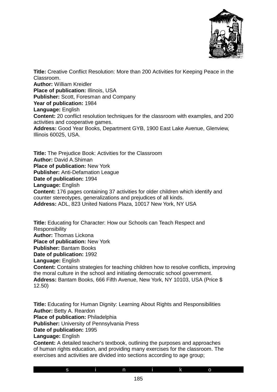

**Title:** Creative Conflict Resolution: More than 200 Activities for Keeping Peace in the Classroom. **Author:** William Kreidler **Place of publication: Illinois, USA Publisher:** Scott, Foresman and Company **Year of publication:** 1984 **Language:** English **Content:** 20 conflict resolution techniques for the classroom with examples, and 200 activities and cooperative games. **Address:** Good Year Books, Department GYB, 1900 East Lake Avenue, Glenview, Illinois 60025, USA.

**Title:** The Prejudice Book: Activities for the Classroom **Author:** David A.Shiman **Place of publication:** New York **Publisher:** Anti-Defamation League **Date of publication:** 1994 **Language:** English **Content:** 176 pages containing 37 activities for older children which identify and counter stereotypes, generalizations and prejudices of all kinds. **Address:** ADL, 823 United Nations Plaza, 10017 New York, NY USA

**Title:** Educating for Character: How our Schools can Teach Respect and Responsibility **Author:** Thomas Lickona **Place of publication:** New York **Publisher:** Bantam Books **Date of publication:** 1992 **Language:** English **Content:** Contains strategies for teaching children how to resolve conflicts, improving the moral culture in the school and initiating democratic school government. **Address:** Bantam Books, 666 Fifth Avenue, New York, NY 10103, USA (Price \$ 12.50)

**Title:** Educating for Human Dignity: Learning About Rights and Responsibilities **Author:** Betty A. Reardon **Place of publication:** Philadelphia **Publisher:** University of Pennsylvania Press **Date of publication:** 1995 **Language:** English **Content:** A detailed teacher's textbook, outlining the purposes and approaches of human rights education, and providing many exercises for the classroom. The exercises and activities are divided into sections according to age group;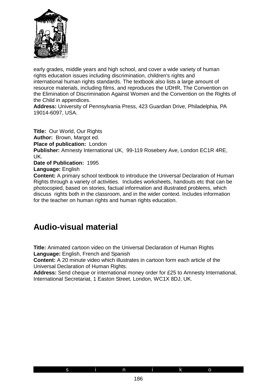

early grades, middle years and high school, and cover a wide variety of human rights education issues including discrimination, children's rights and international human rights standards. The textbook also lists a large amount of resource materials, including films, and reproduces the UDHR, The Convention on the Elimination of Discrimination Against Women and the Convention on the Rights of the Child in appendices.

**Address:** University of Pennsylvania Press, 423 Guardian Drive, Philadelphia, PA 19014-6097, USA.

**Title:** Our World, Our Rights **Author:** Brown, Margot ed. **Place of publication:** London **Publisher:** Amnesty International UK, 99-119 Rosebery Ave, London EC1R 4RE, UK. **Date of Publication:** 1995 **Language:** English **Content:** A primary school textbook to introduce the Universal Declaration of Human

Rights through a variety of activities. Includes worksheets, handouts etc that can be photocopied, based on stories, factual information and illustrated problems, which discuss rights both in the classroom, and in the wider context. Includes information for the teacher on human rights and human rights education.

## **Audio-visual material**

**Title:** Animated cartoon video on the Universal Declaration of Human Rights **Language:** English, French and Spanish

**Content:** A 20 minute video which illustrates in cartoon form each article of the Universal Declaration of Human Rights.

**Address:** Send cheque or international money order for £25 to Amnesty International, International Secretariat, 1 Easton Street, London, WC1X 8DJ, UK.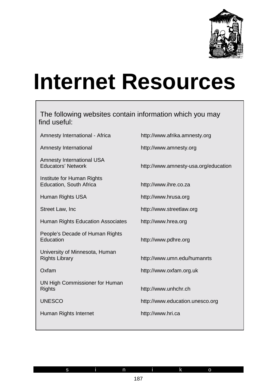

## **Internet Resources**

The following websites contain information which you may find useful:

Amnesty International USA

 Institute for Human Rights Education, South Africa http://www.ihre.co.za

Human Rights Education Associates http://www.hrea.org

 People's Decade of Human Rights Education http://www.pdhre.org

 University of Minnesota, Human Rights Library http://www.umn.edu/humanrts

 UN High Commissioner for Human Rights **http://www.unhchr.ch** 

Human Rights Internet http://www.hri.ca

Amnesty International - Africa http://www.afrika.amnesty.org

Amnesty International http://www.amnesty.org

Educators' Network http://www.amnesty-usa.org/education

Human Rights USA http://www.hrusa.org

Street Law, Inc http://www.streetlaw.org

Oxfam http://www.oxfam.org.uk

UNESCO http://www.education.unesco.org